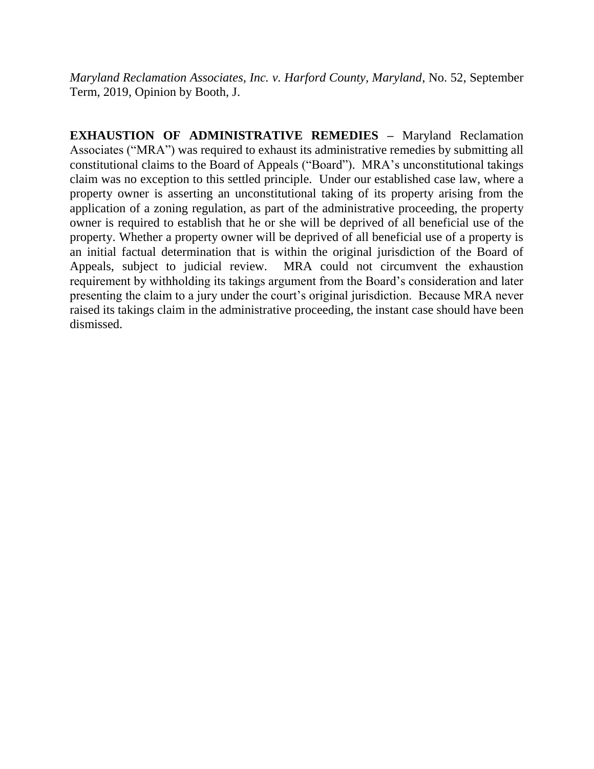*Maryland Reclamation Associates, Inc. v. Harford County, Maryland*, No. 52, September Term, 2019, Opinion by Booth, J.

**EXHAUSTION OF ADMINISTRATIVE REMEDIES –** Maryland Reclamation Associates ("MRA") was required to exhaust its administrative remedies by submitting all constitutional claims to the Board of Appeals ("Board"). MRA's unconstitutional takings claim was no exception to this settled principle. Under our established case law, where a property owner is asserting an unconstitutional taking of its property arising from the application of a zoning regulation, as part of the administrative proceeding, the property owner is required to establish that he or she will be deprived of all beneficial use of the property. Whether a property owner will be deprived of all beneficial use of a property is an initial factual determination that is within the original jurisdiction of the Board of Appeals, subject to judicial review. MRA could not circumvent the exhaustion requirement by withholding its takings argument from the Board's consideration and later presenting the claim to a jury under the court's original jurisdiction. Because MRA never raised its takings claim in the administrative proceeding, the instant case should have been dismissed.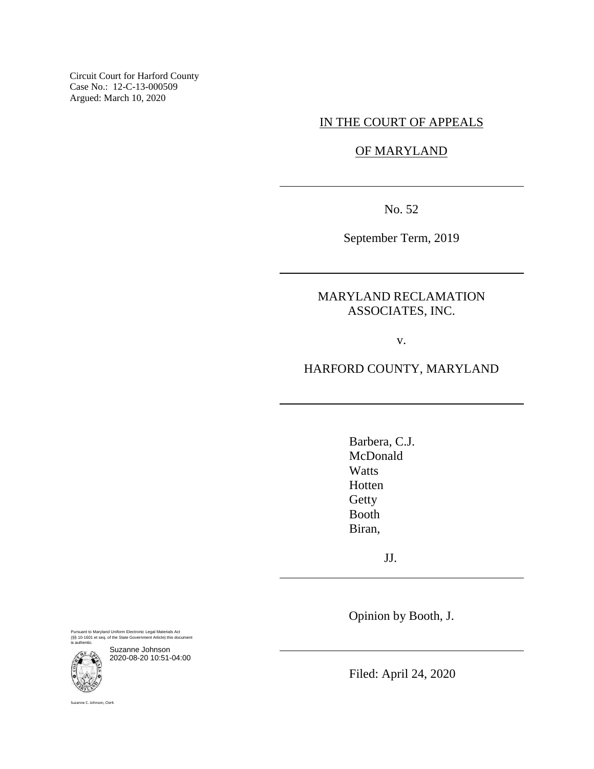Circuit Court for Harford County Case No.: 12-C-13-000509 Argued: March 10, 2020

# IN THE COURT OF APPEALS

OF MARYLAND

No. 52

September Term, 2019

MARYLAND RECLAMATION ASSOCIATES, INC.

v.

# HARFORD COUNTY, MARYLAND

Barbera, C.J. McDonald **Watts** Hotten **Getty** Booth Biran,

JJ.

Opinion by Booth, J.

Pursuant to Maryland Uniform Electronic Legal Materials Act (§§ 10-1601 et seq. of the State Government Article) this document is authentic.



Suzanne Johnson 2020-08-20 10:51-04:00

Filed: April 24, 2020

Suzanne C. Johnson, Clerk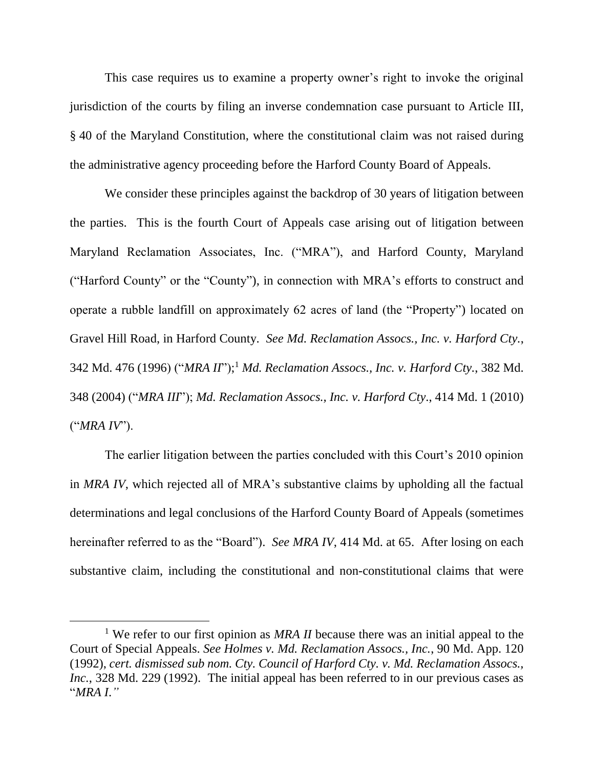This case requires us to examine a property owner's right to invoke the original jurisdiction of the courts by filing an inverse condemnation case pursuant to Article III, § 40 of the Maryland Constitution, where the constitutional claim was not raised during the administrative agency proceeding before the Harford County Board of Appeals.

We consider these principles against the backdrop of 30 years of litigation between the parties. This is the fourth Court of Appeals case arising out of litigation between Maryland Reclamation Associates, Inc. ("MRA"), and Harford County, Maryland ("Harford County" or the "County"), in connection with MRA's efforts to construct and operate a rubble landfill on approximately 62 acres of land (the "Property") located on Gravel Hill Road, in Harford County. *See Md. Reclamation Assocs., Inc. v. Harford Cty.*, 342 Md. 476 (1996) ("*MRA II*"); <sup>1</sup> *Md. Reclamation Assocs., Inc. v. Harford Cty.*, 382 Md. 348 (2004) ("*MRA III*"); *Md. Reclamation Assocs., Inc. v. Harford Cty*., 414 Md. 1 (2010) ("*MRA IV*").

The earlier litigation between the parties concluded with this Court's 2010 opinion in *MRA IV*, which rejected all of MRA's substantive claims by upholding all the factual determinations and legal conclusions of the Harford County Board of Appeals (sometimes hereinafter referred to as the "Board"). *See MRA IV*, 414 Md. at 65. After losing on each substantive claim, including the constitutional and non-constitutional claims that were

<sup>&</sup>lt;sup>1</sup> We refer to our first opinion as *MRA II* because there was an initial appeal to the Court of Special Appeals. *See Holmes v. Md. Reclamation Assocs., Inc.*, 90 Md. App. 120 (1992), *cert. dismissed sub nom. Cty. Council of Harford Cty. v. Md. Reclamation Assocs., Inc.*, 328 Md. 229 (1992). The initial appeal has been referred to in our previous cases as "*MRA I*.*"*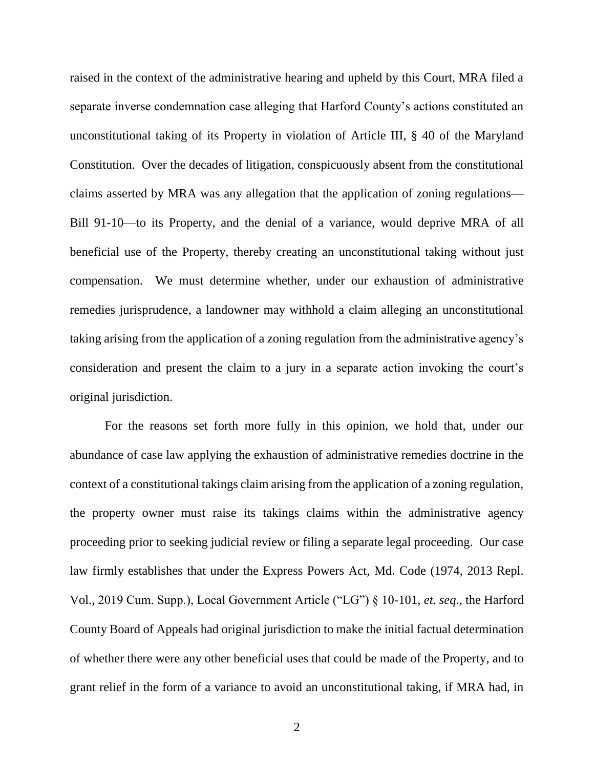raised in the context of the administrative hearing and upheld by this Court, MRA filed a separate inverse condemnation case alleging that Harford County's actions constituted an unconstitutional taking of its Property in violation of Article III, § 40 of the Maryland Constitution. Over the decades of litigation, conspicuously absent from the constitutional claims asserted by MRA was any allegation that the application of zoning regulations— Bill 91-10—to its Property, and the denial of a variance, would deprive MRA of all beneficial use of the Property, thereby creating an unconstitutional taking without just compensation. We must determine whether, under our exhaustion of administrative remedies jurisprudence, a landowner may withhold a claim alleging an unconstitutional taking arising from the application of a zoning regulation from the administrative agency's consideration and present the claim to a jury in a separate action invoking the court's original jurisdiction.

For the reasons set forth more fully in this opinion, we hold that, under our abundance of case law applying the exhaustion of administrative remedies doctrine in the context of a constitutional takings claim arising from the application of a zoning regulation, the property owner must raise its takings claims within the administrative agency proceeding prior to seeking judicial review or filing a separate legal proceeding. Our case law firmly establishes that under the Express Powers Act, Md. Code (1974, 2013 Repl. Vol., 2019 Cum. Supp.), Local Government Article ("LG") § 10-101, *et. seq*., the Harford County Board of Appeals had original jurisdiction to make the initial factual determination of whether there were any other beneficial uses that could be made of the Property, and to grant relief in the form of a variance to avoid an unconstitutional taking, if MRA had, in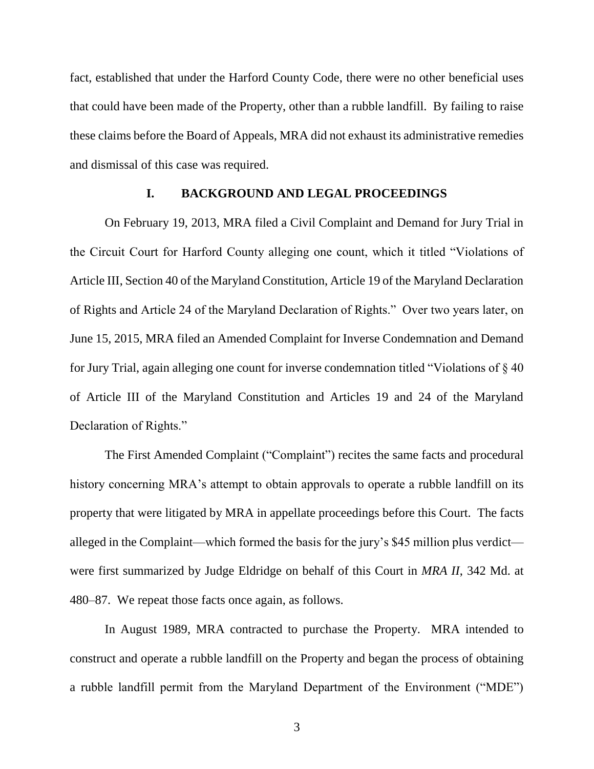fact, established that under the Harford County Code, there were no other beneficial uses that could have been made of the Property, other than a rubble landfill. By failing to raise these claims before the Board of Appeals, MRA did not exhaust its administrative remedies and dismissal of this case was required.

## **I. BACKGROUND AND LEGAL PROCEEDINGS**

On February 19, 2013, MRA filed a Civil Complaint and Demand for Jury Trial in the Circuit Court for Harford County alleging one count, which it titled "Violations of Article III, Section 40 of the Maryland Constitution, Article 19 of the Maryland Declaration of Rights and Article 24 of the Maryland Declaration of Rights." Over two years later, on June 15, 2015, MRA filed an Amended Complaint for Inverse Condemnation and Demand for Jury Trial, again alleging one count for inverse condemnation titled "Violations of § 40 of Article III of the Maryland Constitution and Articles 19 and 24 of the Maryland Declaration of Rights."

The First Amended Complaint ("Complaint") recites the same facts and procedural history concerning MRA's attempt to obtain approvals to operate a rubble landfill on its property that were litigated by MRA in appellate proceedings before this Court. The facts alleged in the Complaint—which formed the basis for the jury's \$45 million plus verdict were first summarized by Judge Eldridge on behalf of this Court in *MRA II*, 342 Md. at 480–87. We repeat those facts once again, as follows.

In August 1989, MRA contracted to purchase the Property. MRA intended to construct and operate a rubble landfill on the Property and began the process of obtaining a rubble landfill permit from the Maryland Department of the Environment ("MDE")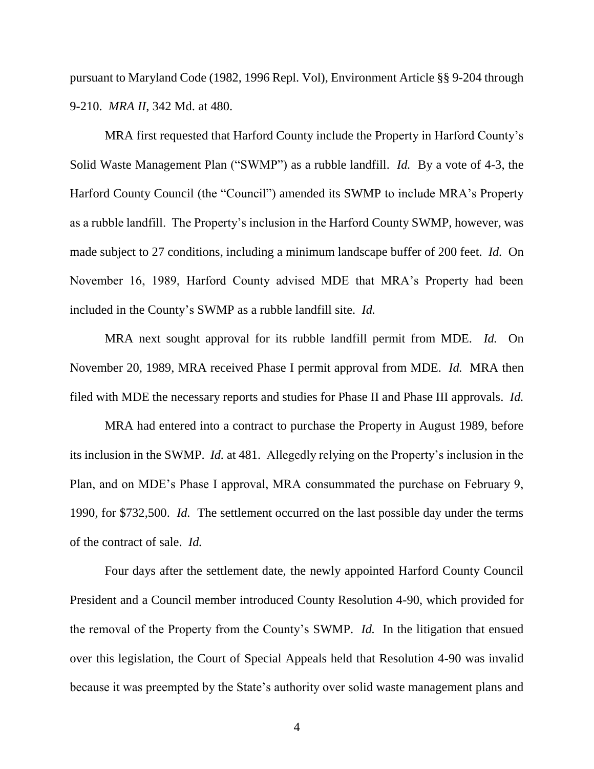pursuant to Maryland Code (1982, 1996 Repl. Vol), Environment Article §§ 9-204 through 9-210. *MRA II*, 342 Md. at 480.

MRA first requested that Harford County include the Property in Harford County's Solid Waste Management Plan ("SWMP") as a rubble landfill. *Id.* By a vote of 4-3, the Harford County Council (the "Council") amended its SWMP to include MRA's Property as a rubble landfill. The Property's inclusion in the Harford County SWMP, however, was made subject to 27 conditions, including a minimum landscape buffer of 200 feet. *Id.* On November 16, 1989, Harford County advised MDE that MRA's Property had been included in the County's SWMP as a rubble landfill site. *Id.*

MRA next sought approval for its rubble landfill permit from MDE. *Id.* On November 20, 1989, MRA received Phase I permit approval from MDE. *Id.* MRA then filed with MDE the necessary reports and studies for Phase II and Phase III approvals. *Id.*

MRA had entered into a contract to purchase the Property in August 1989, before its inclusion in the SWMP. *Id.* at 481. Allegedly relying on the Property's inclusion in the Plan, and on MDE's Phase I approval, MRA consummated the purchase on February 9, 1990, for \$732,500. *Id.* The settlement occurred on the last possible day under the terms of the contract of sale. *Id.*

Four days after the settlement date, the newly appointed Harford County Council President and a Council member introduced County Resolution 4-90, which provided for the removal of the Property from the County's SWMP. *Id.* In the litigation that ensued over this legislation, the Court of Special Appeals held that Resolution 4-90 was invalid because it was preempted by the State's authority over solid waste management plans and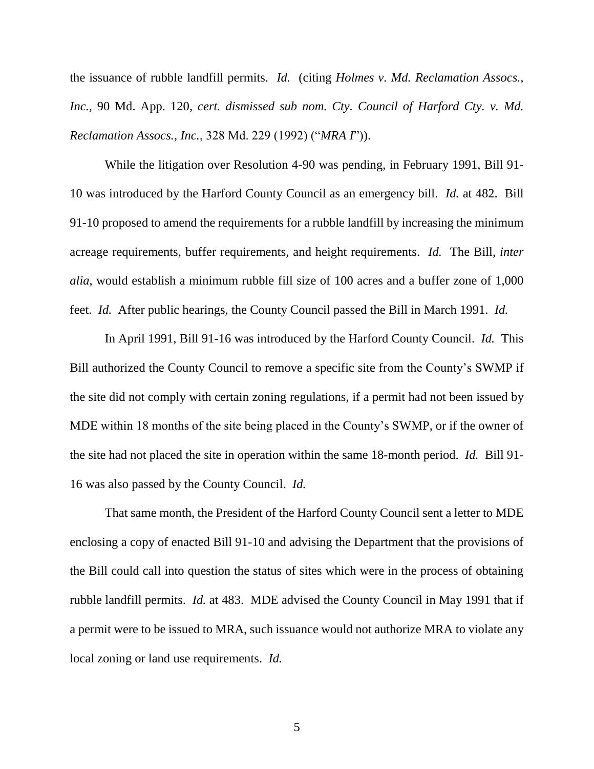the issuance of rubble landfill permits. *Id.* (citing *Holmes v. Md. Reclamation Assocs., Inc.*, 90 Md. App. 120, *cert. dismissed sub nom. Cty. Council of Harford Cty. v. Md. Reclamation Assocs., Inc.*, 328 Md. 229 (1992) ("*MRA I*")).

While the litigation over Resolution 4-90 was pending, in February 1991, Bill 91- 10 was introduced by the Harford County Council as an emergency bill. *Id.* at 482. Bill 91-10 proposed to amend the requirements for a rubble landfill by increasing the minimum acreage requirements, buffer requirements, and height requirements. *Id.* The Bill, *inter alia*, would establish a minimum rubble fill size of 100 acres and a buffer zone of 1,000 feet. *Id.* After public hearings, the County Council passed the Bill in March 1991. *Id.*

In April 1991, Bill 91-16 was introduced by the Harford County Council. *Id.* This Bill authorized the County Council to remove a specific site from the County's SWMP if the site did not comply with certain zoning regulations, if a permit had not been issued by MDE within 18 months of the site being placed in the County's SWMP, or if the owner of the site had not placed the site in operation within the same 18-month period. *Id.* Bill 91- 16 was also passed by the County Council. *Id.* 

That same month, the President of the Harford County Council sent a letter to MDE enclosing a copy of enacted Bill 91-10 and advising the Department that the provisions of the Bill could call into question the status of sites which were in the process of obtaining rubble landfill permits. *Id.* at 483. MDE advised the County Council in May 1991 that if a permit were to be issued to MRA, such issuance would not authorize MRA to violate any local zoning or land use requirements. *Id.*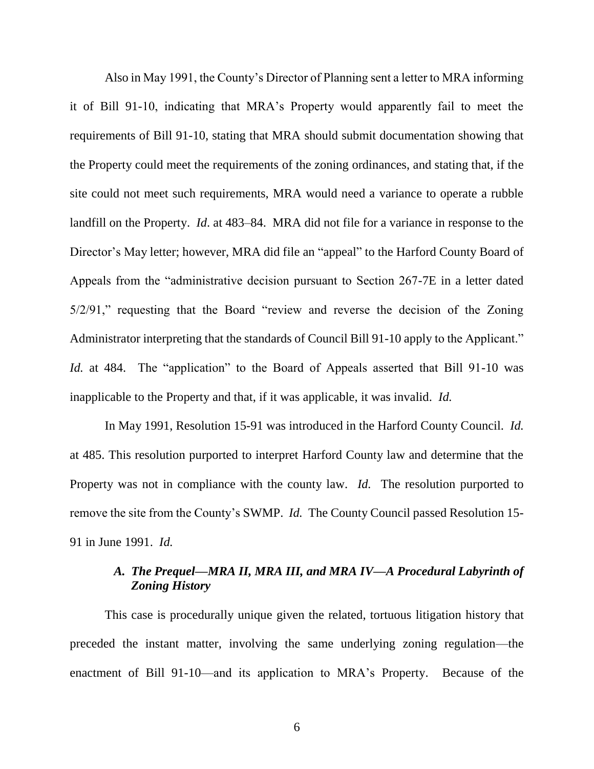Also in May 1991, the County's Director of Planning sent a letter to MRA informing it of Bill 91-10, indicating that MRA's Property would apparently fail to meet the requirements of Bill 91-10, stating that MRA should submit documentation showing that the Property could meet the requirements of the zoning ordinances, and stating that, if the site could not meet such requirements, MRA would need a variance to operate a rubble landfill on the Property. *Id*. at 483–84. MRA did not file for a variance in response to the Director's May letter; however, MRA did file an "appeal" to the Harford County Board of Appeals from the "administrative decision pursuant to Section 267-7E in a letter dated 5/2/91," requesting that the Board "review and reverse the decision of the Zoning Administrator interpreting that the standards of Council Bill 91-10 apply to the Applicant." *Id.* at 484. The "application" to the Board of Appeals asserted that Bill 91-10 was inapplicable to the Property and that, if it was applicable, it was invalid. *Id.*

In May 1991, Resolution 15-91 was introduced in the Harford County Council. *Id.* at 485. This resolution purported to interpret Harford County law and determine that the Property was not in compliance with the county law. *Id.* The resolution purported to remove the site from the County's SWMP. *Id.* The County Council passed Resolution 15- 91 in June 1991. *Id.*

# *A. The Prequel—MRA II, MRA III, and MRA IV—A Procedural Labyrinth of Zoning History*

This case is procedurally unique given the related, tortuous litigation history that preceded the instant matter, involving the same underlying zoning regulation—the enactment of Bill 91-10—and its application to MRA's Property. Because of the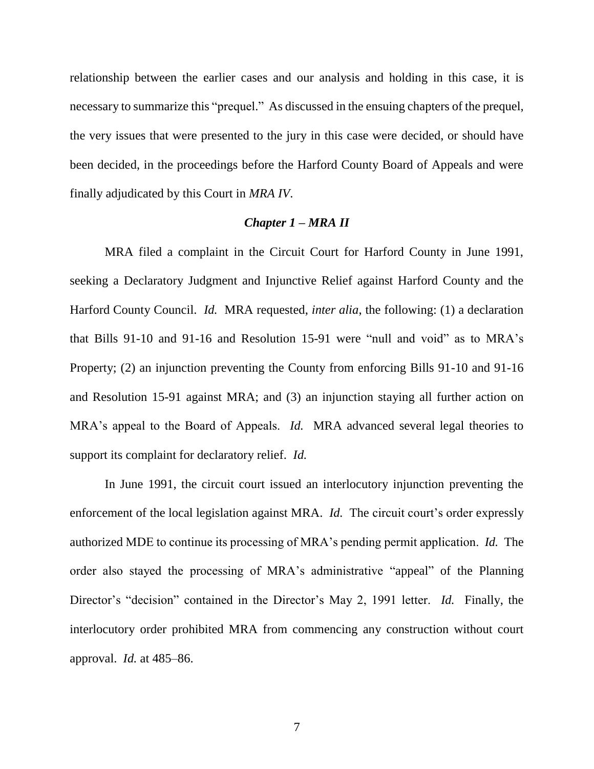relationship between the earlier cases and our analysis and holding in this case, it is necessary to summarize this "prequel." As discussed in the ensuing chapters of the prequel, the very issues that were presented to the jury in this case were decided, or should have been decided, in the proceedings before the Harford County Board of Appeals and were finally adjudicated by this Court in *MRA IV*.

#### *Chapter 1 – MRA II*

MRA filed a complaint in the Circuit Court for Harford County in June 1991, seeking a Declaratory Judgment and Injunctive Relief against Harford County and the Harford County Council. *Id.* MRA requested, *inter alia*, the following: (1) a declaration that Bills 91-10 and 91-16 and Resolution 15-91 were "null and void" as to MRA's Property; (2) an injunction preventing the County from enforcing Bills 91-10 and 91-16 and Resolution 15-91 against MRA; and (3) an injunction staying all further action on MRA's appeal to the Board of Appeals. *Id.* MRA advanced several legal theories to support its complaint for declaratory relief. *Id.*

In June 1991, the circuit court issued an interlocutory injunction preventing the enforcement of the local legislation against MRA. *Id.* The circuit court's order expressly authorized MDE to continue its processing of MRA's pending permit application. *Id.* The order also stayed the processing of MRA's administrative "appeal" of the Planning Director's "decision" contained in the Director's May 2, 1991 letter. *Id.* Finally, the interlocutory order prohibited MRA from commencing any construction without court approval. *Id.* at 485–86.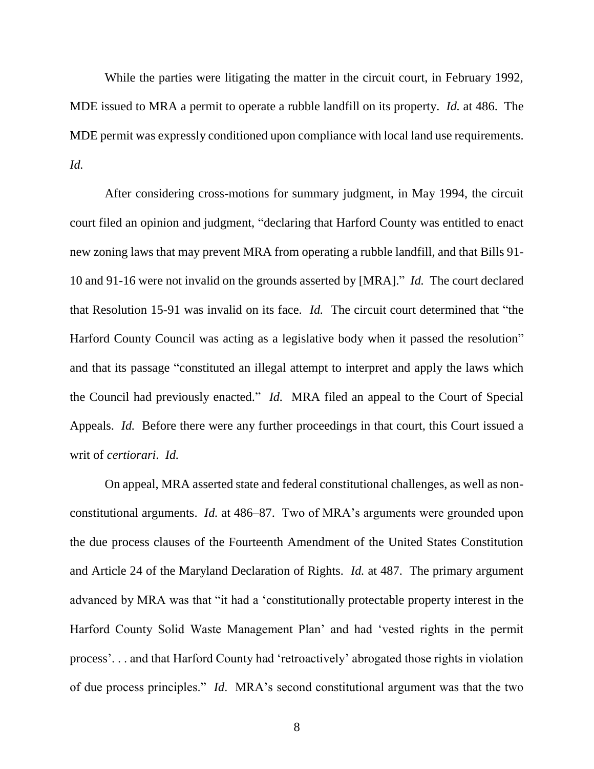While the parties were litigating the matter in the circuit court, in February 1992, MDE issued to MRA a permit to operate a rubble landfill on its property. *Id.* at 486. The MDE permit was expressly conditioned upon compliance with local land use requirements. *Id.*

After considering cross-motions for summary judgment, in May 1994, the circuit court filed an opinion and judgment, "declaring that Harford County was entitled to enact new zoning laws that may prevent MRA from operating a rubble landfill, and that Bills 91- 10 and 91-16 were not invalid on the grounds asserted by [MRA]." *Id.* The court declared that Resolution 15-91 was invalid on its face. *Id.* The circuit court determined that "the Harford County Council was acting as a legislative body when it passed the resolution" and that its passage "constituted an illegal attempt to interpret and apply the laws which the Council had previously enacted." *Id.* MRA filed an appeal to the Court of Special Appeals. *Id.* Before there were any further proceedings in that court, this Court issued a writ of *certiorari*. *Id.* 

On appeal, MRA asserted state and federal constitutional challenges, as well as nonconstitutional arguments. *Id.* at 486–87. Two of MRA's arguments were grounded upon the due process clauses of the Fourteenth Amendment of the United States Constitution and Article 24 of the Maryland Declaration of Rights. *Id.* at 487. The primary argument advanced by MRA was that "it had a 'constitutionally protectable property interest in the Harford County Solid Waste Management Plan' and had 'vested rights in the permit process'. . . and that Harford County had 'retroactively' abrogated those rights in violation of due process principles." *Id*. MRA's second constitutional argument was that the two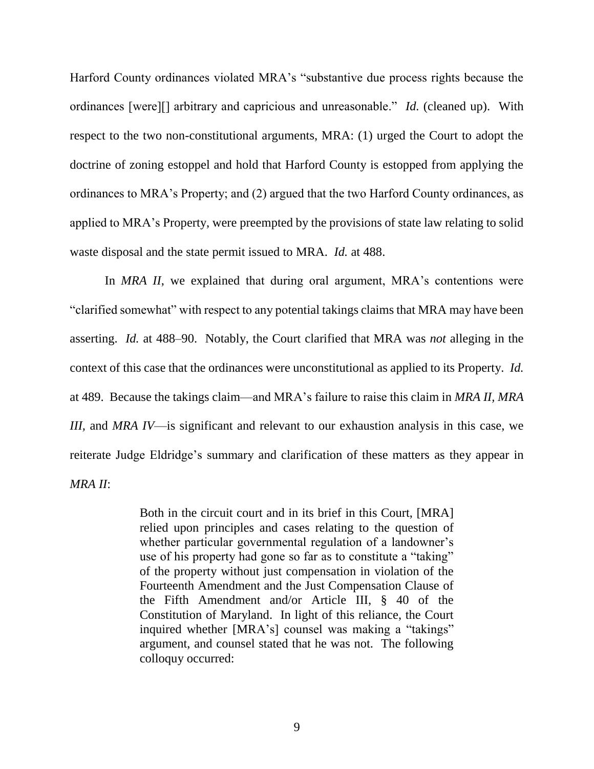Harford County ordinances violated MRA's "substantive due process rights because the ordinances [were][] arbitrary and capricious and unreasonable." *Id.* (cleaned up). With respect to the two non-constitutional arguments, MRA: (1) urged the Court to adopt the doctrine of zoning estoppel and hold that Harford County is estopped from applying the ordinances to MRA's Property; and (2) argued that the two Harford County ordinances, as applied to MRA's Property, were preempted by the provisions of state law relating to solid waste disposal and the state permit issued to MRA. *Id.* at 488.

In *MRA II*, we explained that during oral argument, MRA's contentions were "clarified somewhat" with respect to any potential takings claims that MRA may have been asserting. *Id.* at 488–90. Notably, the Court clarified that MRA was *not* alleging in the context of this case that the ordinances were unconstitutional as applied to its Property. *Id.* at 489. Because the takings claim—and MRA's failure to raise this claim in *MRA II, MRA III,* and *MRA IV*—is significant and relevant to our exhaustion analysis in this case, we reiterate Judge Eldridge's summary and clarification of these matters as they appear in *MRA II*:

> Both in the circuit court and in its brief in this Court, [MRA] relied upon principles and cases relating to the question of whether particular governmental regulation of a landowner's use of his property had gone so far as to constitute a "taking" of the property without just compensation in violation of the Fourteenth Amendment and the Just Compensation Clause of the Fifth Amendment and/or Article III, § 40 of the Constitution of Maryland. In light of this reliance, the Court inquired whether [MRA's] counsel was making a "takings" argument, and counsel stated that he was not. The following colloquy occurred: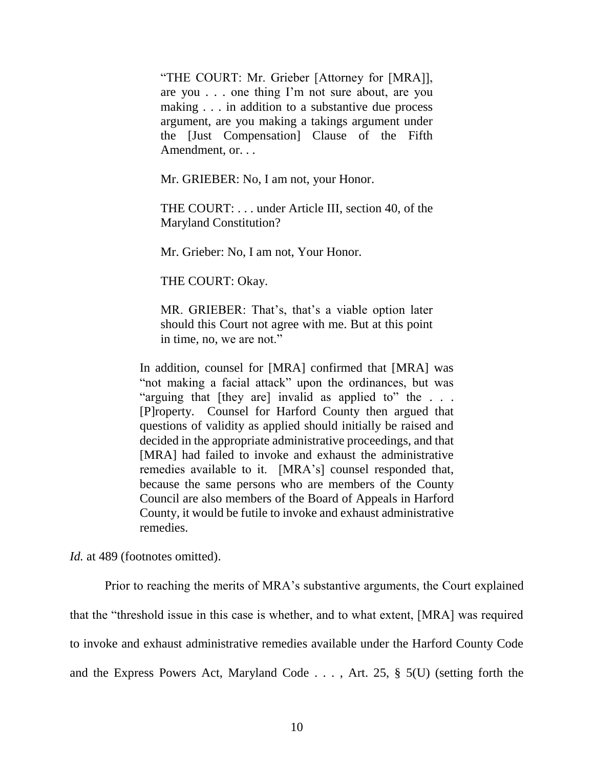"THE COURT: Mr. Grieber [Attorney for [MRA]], are you . . . one thing I'm not sure about, are you making . . . in addition to a substantive due process argument, are you making a takings argument under the [Just Compensation] Clause of the Fifth Amendment, or. . .

Mr. GRIEBER: No, I am not, your Honor.

THE COURT: . . . under Article III, section 40, of the Maryland Constitution?

Mr. Grieber: No, I am not, Your Honor.

THE COURT: Okay.

MR. GRIEBER: That's, that's a viable option later should this Court not agree with me. But at this point in time, no, we are not."

In addition, counsel for [MRA] confirmed that [MRA] was "not making a facial attack" upon the ordinances, but was "arguing that [they are] invalid as applied to" the . . . [P]roperty. Counsel for Harford County then argued that questions of validity as applied should initially be raised and decided in the appropriate administrative proceedings, and that [MRA] had failed to invoke and exhaust the administrative remedies available to it. [MRA's] counsel responded that, because the same persons who are members of the County Council are also members of the Board of Appeals in Harford County, it would be futile to invoke and exhaust administrative remedies.

*Id.* at 489 (footnotes omitted).

Prior to reaching the merits of MRA's substantive arguments, the Court explained that the "threshold issue in this case is whether, and to what extent, [MRA] was required to invoke and exhaust administrative remedies available under the Harford County Code and the Express Powers Act, Maryland Code . . . , Art. 25, § 5(U) (setting forth the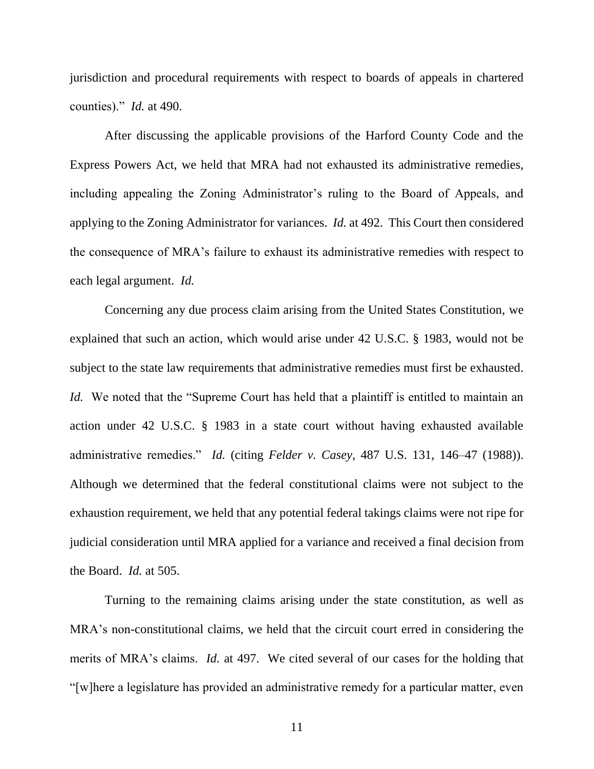jurisdiction and procedural requirements with respect to boards of appeals in chartered counties)." *Id.* at 490.

After discussing the applicable provisions of the Harford County Code and the Express Powers Act, we held that MRA had not exhausted its administrative remedies, including appealing the Zoning Administrator's ruling to the Board of Appeals, and applying to the Zoning Administrator for variances. *Id.* at 492. This Court then considered the consequence of MRA's failure to exhaust its administrative remedies with respect to each legal argument. *Id.*

Concerning any due process claim arising from the United States Constitution, we explained that such an action, which would arise under 42 U.S.C. § 1983, would not be subject to the state law requirements that administrative remedies must first be exhausted. *Id.* We noted that the "Supreme Court has held that a plaintiff is entitled to maintain an action under 42 U.S.C. § 1983 in a state court without having exhausted available administrative remedies." *Id.* (citing *Felder v. Casey*, 487 U.S. 131, 146–47 (1988)). Although we determined that the federal constitutional claims were not subject to the exhaustion requirement, we held that any potential federal takings claims were not ripe for judicial consideration until MRA applied for a variance and received a final decision from the Board. *Id.* at 505.

Turning to the remaining claims arising under the state constitution, as well as MRA's non-constitutional claims, we held that the circuit court erred in considering the merits of MRA's claims. *Id.* at 497. We cited several of our cases for the holding that "[w]here a legislature has provided an administrative remedy for a particular matter, even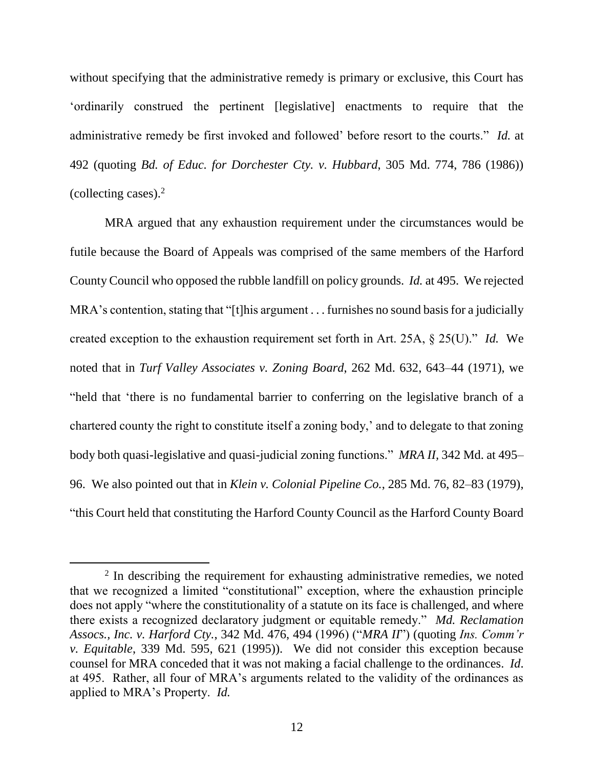without specifying that the administrative remedy is primary or exclusive, this Court has 'ordinarily construed the pertinent [legislative] enactments to require that the administrative remedy be first invoked and followed' before resort to the courts." *Id.* at 492 (quoting *Bd. of Educ. for Dorchester Cty. v. Hubbard*, 305 Md. 774, 786 (1986)) (collecting cases). $2$ 

MRA argued that any exhaustion requirement under the circumstances would be futile because the Board of Appeals was comprised of the same members of the Harford County Council who opposed the rubble landfill on policy grounds. *Id.* at 495. We rejected MRA's contention, stating that "[t]his argument . . . furnishes no sound basis for a judicially created exception to the exhaustion requirement set forth in Art. 25A, § 25(U)." *Id.* We noted that in *Turf Valley Associates v. Zoning Board*, 262 Md. 632, 643–44 (1971), we "held that 'there is no fundamental barrier to conferring on the legislative branch of a chartered county the right to constitute itself a zoning body,' and to delegate to that zoning body both quasi-legislative and quasi-judicial zoning functions." *MRA II,* 342 Md. at 495– 96. We also pointed out that in *Klein v. Colonial Pipeline Co.*, 285 Md. 76, 82–83 (1979), "this Court held that constituting the Harford County Council as the Harford County Board

 $\overline{a}$ 

<sup>&</sup>lt;sup>2</sup> In describing the requirement for exhausting administrative remedies, we noted that we recognized a limited "constitutional" exception, where the exhaustion principle does not apply "where the constitutionality of a statute on its face is challenged, and where there exists a recognized declaratory judgment or equitable remedy." *Md. Reclamation Assocs., Inc. v. Harford Cty.*, 342 Md. 476, 494 (1996) ("*MRA II*") (quoting *Ins. Comm'r v. Equitable*, 339 Md. 595, 621 (1995)). We did not consider this exception because counsel for MRA conceded that it was not making a facial challenge to the ordinances. *Id*. at 495. Rather, all four of MRA's arguments related to the validity of the ordinances as applied to MRA's Property. *Id.*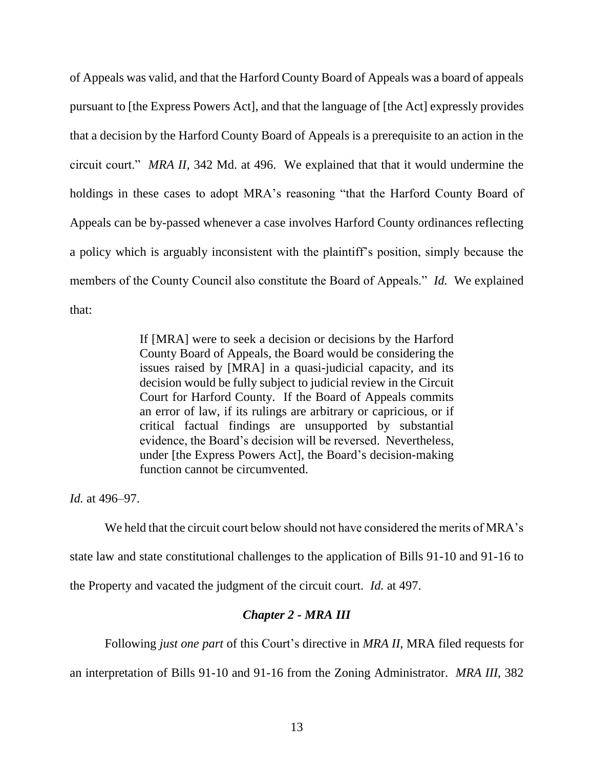of Appeals was valid, and that the Harford County Board of Appeals was a board of appeals pursuant to [the Express Powers Act], and that the language of [the Act] expressly provides that a decision by the Harford County Board of Appeals is a prerequisite to an action in the circuit court." *MRA II,* 342 Md. at 496. We explained that that it would undermine the holdings in these cases to adopt MRA's reasoning "that the Harford County Board of Appeals can be by-passed whenever a case involves Harford County ordinances reflecting a policy which is arguably inconsistent with the plaintiff's position, simply because the members of the County Council also constitute the Board of Appeals." *Id.* We explained that:

> If [MRA] were to seek a decision or decisions by the Harford County Board of Appeals, the Board would be considering the issues raised by [MRA] in a quasi-judicial capacity, and its decision would be fully subject to judicial review in the Circuit Court for Harford County. If the Board of Appeals commits an error of law, if its rulings are arbitrary or capricious, or if critical factual findings are unsupported by substantial evidence, the Board's decision will be reversed. Nevertheless, under [the Express Powers Act], the Board's decision-making function cannot be circumvented.

*Id.* at 496–97.

We held that the circuit court below should not have considered the merits of MRA's state law and state constitutional challenges to the application of Bills 91-10 and 91-16 to the Property and vacated the judgment of the circuit court. *Id.* at 497.

# *Chapter 2 - MRA III*

Following *just one part* of this Court's directive in *MRA II*, MRA filed requests for

an interpretation of Bills 91-10 and 91-16 from the Zoning Administrator. *MRA III*, 382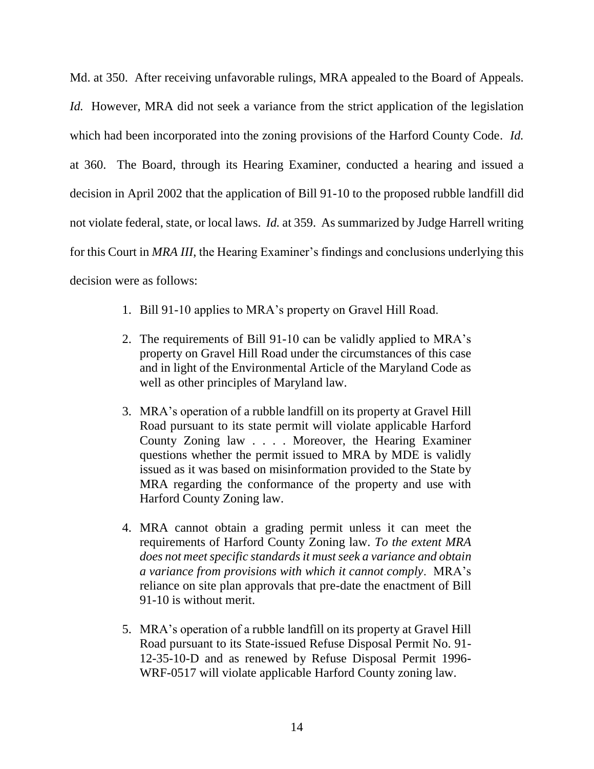Md. at 350. After receiving unfavorable rulings, MRA appealed to the Board of Appeals. *Id.* However, MRA did not seek a variance from the strict application of the legislation which had been incorporated into the zoning provisions of the Harford County Code. *Id.* at 360. The Board, through its Hearing Examiner, conducted a hearing and issued a decision in April 2002 that the application of Bill 91-10 to the proposed rubble landfill did not violate federal, state, or local laws. *Id.* at 359. As summarized by Judge Harrell writing for this Court in *MRA III*, the Hearing Examiner's findings and conclusions underlying this decision were as follows:

- 1. Bill 91-10 applies to MRA's property on Gravel Hill Road.
- 2. The requirements of Bill 91-10 can be validly applied to MRA's property on Gravel Hill Road under the circumstances of this case and in light of the Environmental Article of the Maryland Code as well as other principles of Maryland law.
- 3. MRA's operation of a rubble landfill on its property at Gravel Hill Road pursuant to its state permit will violate applicable Harford County Zoning law . . . . Moreover, the Hearing Examiner questions whether the permit issued to MRA by MDE is validly issued as it was based on misinformation provided to the State by MRA regarding the conformance of the property and use with Harford County Zoning law.
- 4. MRA cannot obtain a grading permit unless it can meet the requirements of Harford County Zoning law. *To the extent MRA does not meet specific standards it must seek a variance and obtain a variance from provisions with which it cannot comply*. MRA's reliance on site plan approvals that pre-date the enactment of Bill 91-10 is without merit.
- 5. MRA's operation of a rubble landfill on its property at Gravel Hill Road pursuant to its State-issued Refuse Disposal Permit No. 91- 12-35-10-D and as renewed by Refuse Disposal Permit 1996- WRF-0517 will violate applicable Harford County zoning law.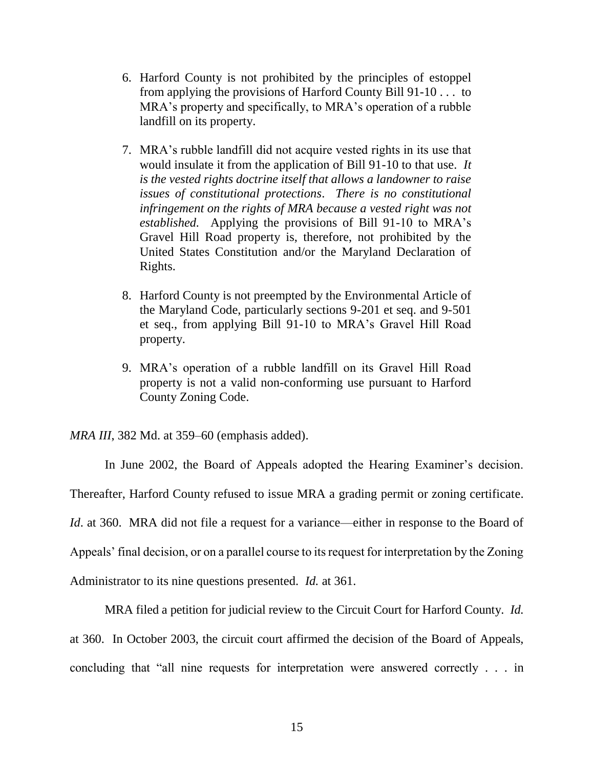- 6. Harford County is not prohibited by the principles of estoppel from applying the provisions of Harford County Bill 91-10 . . . to MRA's property and specifically, to MRA's operation of a rubble landfill on its property.
- 7. MRA's rubble landfill did not acquire vested rights in its use that would insulate it from the application of Bill 91-10 to that use. *It is the vested rights doctrine itself that allows a landowner to raise issues of constitutional protections*. *There is no constitutional infringement on the rights of MRA because a vested right was not established.* Applying the provisions of Bill 91-10 to MRA's Gravel Hill Road property is, therefore, not prohibited by the United States Constitution and/or the Maryland Declaration of Rights.
- 8. Harford County is not preempted by the Environmental Article of the Maryland Code, particularly sections 9-201 et seq. and 9-501 et seq., from applying Bill 91-10 to MRA's Gravel Hill Road property.
- 9. MRA's operation of a rubble landfill on its Gravel Hill Road property is not a valid non-conforming use pursuant to Harford County Zoning Code.

*MRA III*, 382 Md. at 359–60 (emphasis added).

In June 2002, the Board of Appeals adopted the Hearing Examiner's decision.

Thereafter, Harford County refused to issue MRA a grading permit or zoning certificate.

*Id.* at 360. MRA did not file a request for a variance—either in response to the Board of

Appeals' final decision, or on a parallel course to its request for interpretation by the Zoning

Administrator to its nine questions presented. *Id.* at 361.

MRA filed a petition for judicial review to the Circuit Court for Harford County. *Id.* at 360. In October 2003, the circuit court affirmed the decision of the Board of Appeals, concluding that "all nine requests for interpretation were answered correctly . . . in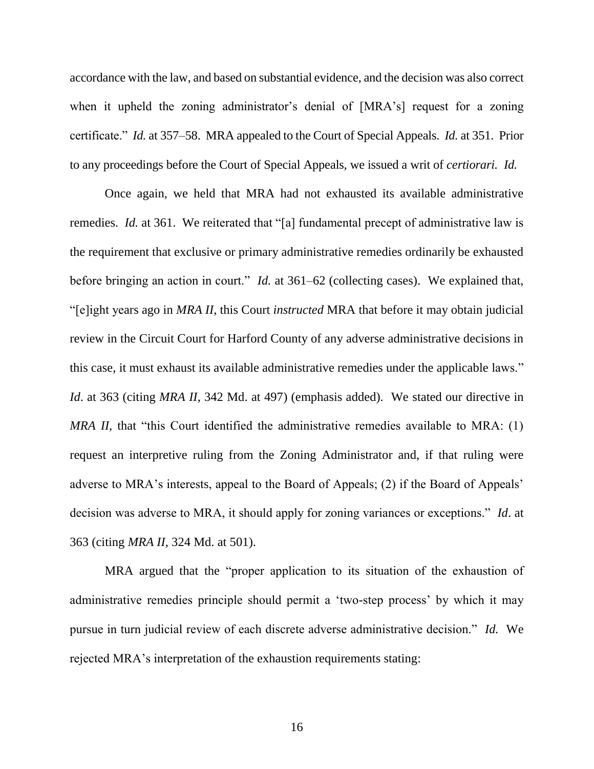accordance with the law, and based on substantial evidence, and the decision was also correct when it upheld the zoning administrator's denial of [MRA's] request for a zoning certificate." *Id.* at 357–58. MRA appealed to the Court of Special Appeals. *Id.* at 351. Prior to any proceedings before the Court of Special Appeals, we issued a writ of *certiorari. Id.*

Once again, we held that MRA had not exhausted its available administrative remedies. *Id.* at 361. We reiterated that "[a] fundamental precept of administrative law is the requirement that exclusive or primary administrative remedies ordinarily be exhausted before bringing an action in court." *Id.* at 361–62 (collecting cases). We explained that, "[e]ight years ago in *MRA II*, this Court *instructed* MRA that before it may obtain judicial review in the Circuit Court for Harford County of any adverse administrative decisions in this case, it must exhaust its available administrative remedies under the applicable laws." *Id.* at 363 (citing *MRA II*, 342 Md. at 497) (emphasis added). We stated our directive in *MRA II*, that "this Court identified the administrative remedies available to MRA: (1) request an interpretive ruling from the Zoning Administrator and, if that ruling were adverse to MRA's interests, appeal to the Board of Appeals; (2) if the Board of Appeals' decision was adverse to MRA, it should apply for zoning variances or exceptions." *Id*. at 363 (citing *MRA II*, 324 Md. at 501).

MRA argued that the "proper application to its situation of the exhaustion of administrative remedies principle should permit a 'two-step process' by which it may pursue in turn judicial review of each discrete adverse administrative decision." *Id.* We rejected MRA's interpretation of the exhaustion requirements stating: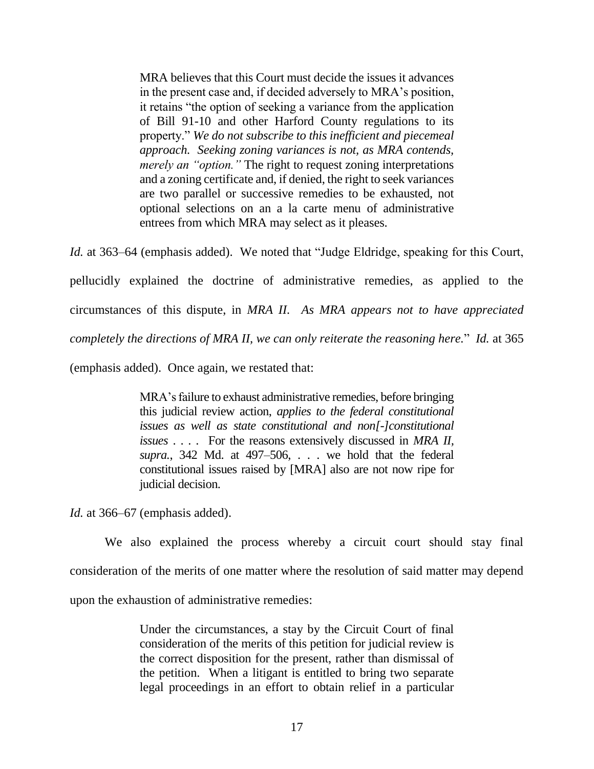MRA believes that this Court must decide the issues it advances in the present case and, if decided adversely to MRA's position, it retains "the option of seeking a variance from the application of Bill 91-10 and other Harford County regulations to its property." *We do not subscribe to this inefficient and piecemeal approach. Seeking zoning variances is not, as MRA contends, merely an "option."* The right to request zoning interpretations and a zoning certificate and, if denied, the right to seek variances are two parallel or successive remedies to be exhausted, not optional selections on an a la carte menu of administrative entrees from which MRA may select as it pleases.

*Id.* at 363–64 (emphasis added). We noted that "Judge Eldridge, speaking for this Court, pellucidly explained the doctrine of administrative remedies, as applied to the circumstances of this dispute, in *MRA II. As MRA appears not to have appreciated completely the directions of MRA II, we can only reiterate the reasoning here.*" *Id.* at 365 (emphasis added). Once again, we restated that:

> MRA's failure to exhaust administrative remedies, before bringing this judicial review action, *applies to the federal constitutional issues as well as state constitutional and non[-]constitutional issues* . . . . For the reasons extensively discussed in *MRA II, supra.*, 342 Md. at 497–506, . . . we hold that the federal constitutional issues raised by [MRA] also are not now ripe for

*Id.* at 366–67 (emphasis added).

judicial decision.

We also explained the process whereby a circuit court should stay final consideration of the merits of one matter where the resolution of said matter may depend upon the exhaustion of administrative remedies:

> Under the circumstances, a stay by the Circuit Court of final consideration of the merits of this petition for judicial review is the correct disposition for the present, rather than dismissal of the petition. When a litigant is entitled to bring two separate legal proceedings in an effort to obtain relief in a particular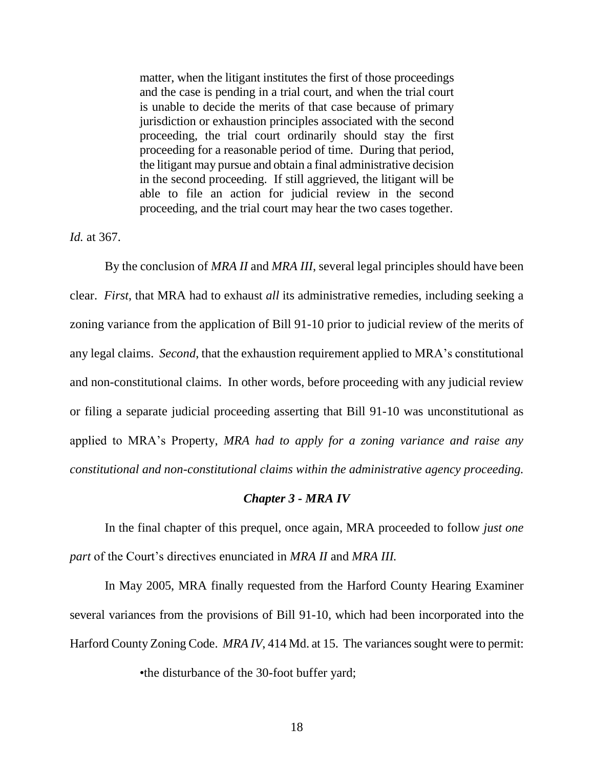matter, when the litigant institutes the first of those proceedings and the case is pending in a trial court, and when the trial court is unable to decide the merits of that case because of primary jurisdiction or exhaustion principles associated with the second proceeding, the trial court ordinarily should stay the first proceeding for a reasonable period of time. During that period, the litigant may pursue and obtain a final administrative decision in the second proceeding. If still aggrieved, the litigant will be able to file an action for judicial review in the second proceeding, and the trial court may hear the two cases together.

*Id.* at 367.

By the conclusion of *MRA II* and *MRA III*, several legal principles should have been clear. *First*, that MRA had to exhaust *all* its administrative remedies, including seeking a zoning variance from the application of Bill 91-10 prior to judicial review of the merits of any legal claims. *Second*, that the exhaustion requirement applied to MRA's constitutional and non-constitutional claims. In other words, before proceeding with any judicial review or filing a separate judicial proceeding asserting that Bill 91-10 was unconstitutional as applied to MRA's Property, *MRA had to apply for a zoning variance and raise any constitutional and non-constitutional claims within the administrative agency proceeding.* 

### *Chapter 3 - MRA IV*

In the final chapter of this prequel, once again, MRA proceeded to follow *just one part* of the Court's directives enunciated in *MRA II* and *MRA III.* 

In May 2005, MRA finally requested from the Harford County Hearing Examiner several variances from the provisions of Bill 91-10, which had been incorporated into the Harford County Zoning Code. *MRA IV*, 414 Md. at 15. The variances sought were to permit:

•the disturbance of the 30-foot buffer yard;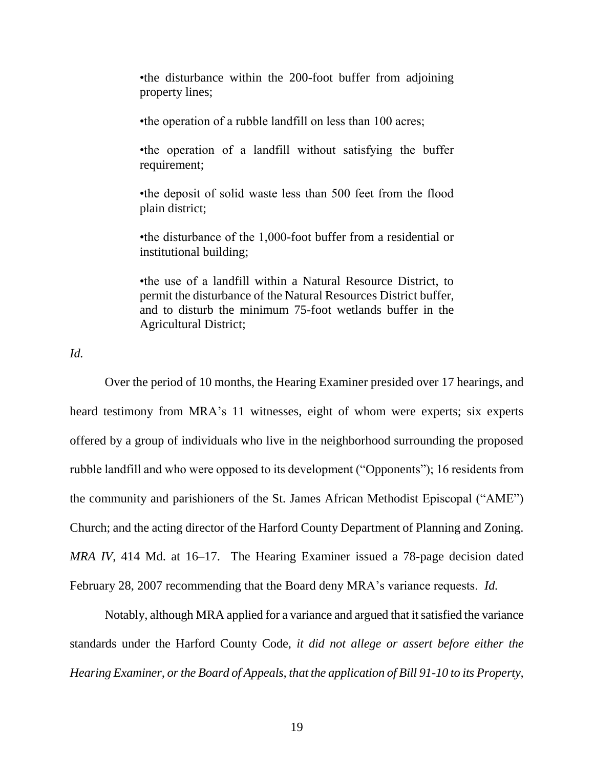•the disturbance within the 200-foot buffer from adjoining property lines;

•the operation of a rubble landfill on less than 100 acres;

•the operation of a landfill without satisfying the buffer requirement;

•the deposit of solid waste less than 500 feet from the flood plain district;

•the disturbance of the 1,000-foot buffer from a residential or institutional building;

•the use of a landfill within a Natural Resource District, to permit the disturbance of the Natural Resources District buffer, and to disturb the minimum 75-foot wetlands buffer in the Agricultural District;

*Id.*

Over the period of 10 months, the Hearing Examiner presided over 17 hearings, and heard testimony from MRA's 11 witnesses, eight of whom were experts; six experts offered by a group of individuals who live in the neighborhood surrounding the proposed rubble landfill and who were opposed to its development ("Opponents"); 16 residents from the community and parishioners of the St. James African Methodist Episcopal ("AME") Church; and the acting director of the Harford County Department of Planning and Zoning. *MRA IV*, 414 Md. at 16–17. The Hearing Examiner issued a 78-page decision dated February 28, 2007 recommending that the Board deny MRA's variance requests. *Id.*

Notably, although MRA applied for a variance and argued that it satisfied the variance standards under the Harford County Code, *it did not allege or assert before either the Hearing Examiner, or the Board of Appeals, that the application of Bill 91-10 to its Property,*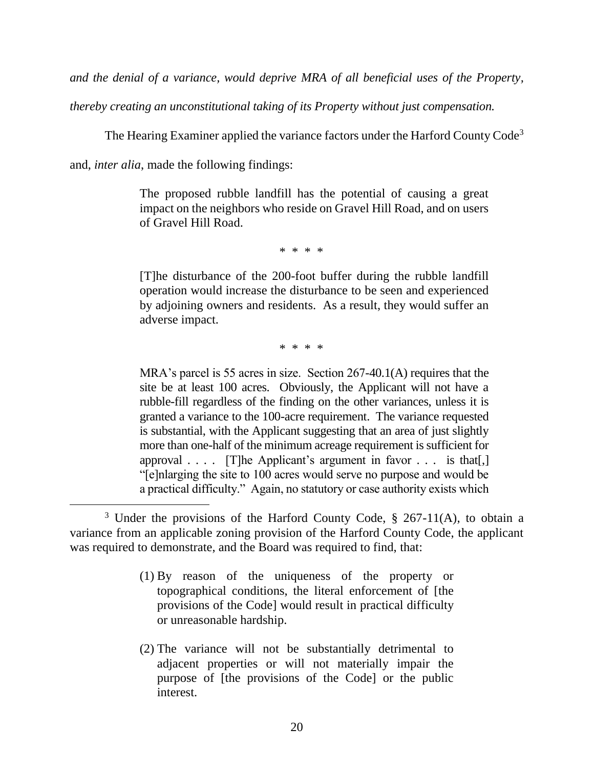*and the denial of a variance, would deprive MRA of all beneficial uses of the Property,*

*thereby creating an unconstitutional taking of its Property without just compensation.*

The Hearing Examiner applied the variance factors under the Harford County Code<sup>3</sup>

and, *inter alia*, made the following findings:

 $\overline{a}$ 

The proposed rubble landfill has the potential of causing a great impact on the neighbors who reside on Gravel Hill Road, and on users of Gravel Hill Road.

\* \* \* \*

[T]he disturbance of the 200-foot buffer during the rubble landfill operation would increase the disturbance to be seen and experienced by adjoining owners and residents. As a result, they would suffer an adverse impact.

\* \* \* \*

MRA's parcel is 55 acres in size. Section 267-40.1(A) requires that the site be at least 100 acres. Obviously, the Applicant will not have a rubble-fill regardless of the finding on the other variances, unless it is granted a variance to the 100-acre requirement. The variance requested is substantial, with the Applicant suggesting that an area of just slightly more than one-half of the minimum acreage requirement is sufficient for approval . . . . [T]he Applicant's argument in favor . . . is that[,] "[e]nlarging the site to 100 acres would serve no purpose and would be a practical difficulty." Again, no statutory or case authority exists which

- (1) By reason of the uniqueness of the property or topographical conditions, the literal enforcement of [the provisions of the Code] would result in practical difficulty or unreasonable hardship.
- (2) The variance will not be substantially detrimental to adjacent properties or will not materially impair the purpose of [the provisions of the Code] or the public interest.

 $3$  Under the provisions of the Harford County Code, § 267-11(A), to obtain a variance from an applicable zoning provision of the Harford County Code, the applicant was required to demonstrate, and the Board was required to find, that: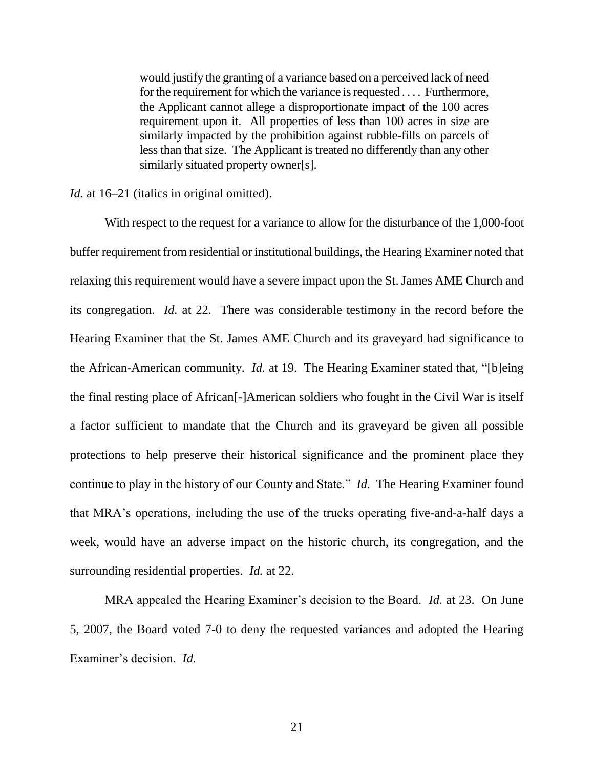would justify the granting of a variance based on a perceived lack of need for the requirement for which the variance is requested . . . . Furthermore, the Applicant cannot allege a disproportionate impact of the 100 acres requirement upon it. All properties of less than 100 acres in size are similarly impacted by the prohibition against rubble-fills on parcels of less than that size. The Applicant is treated no differently than any other similarly situated property owner[s].

*Id.* at 16–21 (italics in original omitted).

With respect to the request for a variance to allow for the disturbance of the 1,000-foot buffer requirement from residential or institutional buildings, the Hearing Examiner noted that relaxing this requirement would have a severe impact upon the St. James AME Church and its congregation. *Id.* at 22. There was considerable testimony in the record before the Hearing Examiner that the St. James AME Church and its graveyard had significance to the African-American community. *Id.* at 19. The Hearing Examiner stated that, "[b]eing the final resting place of African[-]American soldiers who fought in the Civil War is itself a factor sufficient to mandate that the Church and its graveyard be given all possible protections to help preserve their historical significance and the prominent place they continue to play in the history of our County and State." *Id.* The Hearing Examiner found that MRA's operations, including the use of the trucks operating five-and-a-half days a week, would have an adverse impact on the historic church, its congregation, and the surrounding residential properties. *Id.* at 22.

MRA appealed the Hearing Examiner's decision to the Board. *Id.* at 23. On June 5, 2007, the Board voted 7-0 to deny the requested variances and adopted the Hearing Examiner's decision. *Id.*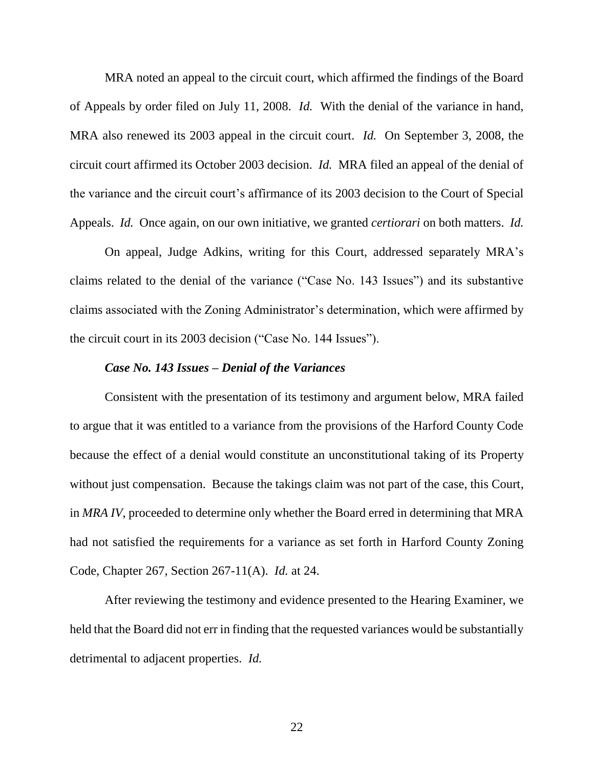MRA noted an appeal to the circuit court, which affirmed the findings of the Board of Appeals by order filed on July 11, 2008. *Id.* With the denial of the variance in hand, MRA also renewed its 2003 appeal in the circuit court. *Id.* On September 3, 2008, the circuit court affirmed its October 2003 decision. *Id.* MRA filed an appeal of the denial of the variance and the circuit court's affirmance of its 2003 decision to the Court of Special Appeals. *Id.* Once again, on our own initiative, we granted *certiorari* on both matters. *Id.*

On appeal, Judge Adkins, writing for this Court, addressed separately MRA's claims related to the denial of the variance ("Case No. 143 Issues") and its substantive claims associated with the Zoning Administrator's determination, which were affirmed by the circuit court in its 2003 decision ("Case No. 144 Issues").

#### *Case No. 143 Issues – Denial of the Variances*

Consistent with the presentation of its testimony and argument below, MRA failed to argue that it was entitled to a variance from the provisions of the Harford County Code because the effect of a denial would constitute an unconstitutional taking of its Property without just compensation. Because the takings claim was not part of the case, this Court, in *MRA IV*, proceeded to determine only whether the Board erred in determining that MRA had not satisfied the requirements for a variance as set forth in Harford County Zoning Code, Chapter 267, Section 267-11(A). *Id.* at 24.

After reviewing the testimony and evidence presented to the Hearing Examiner, we held that the Board did not err in finding that the requested variances would be substantially detrimental to adjacent properties. *Id.*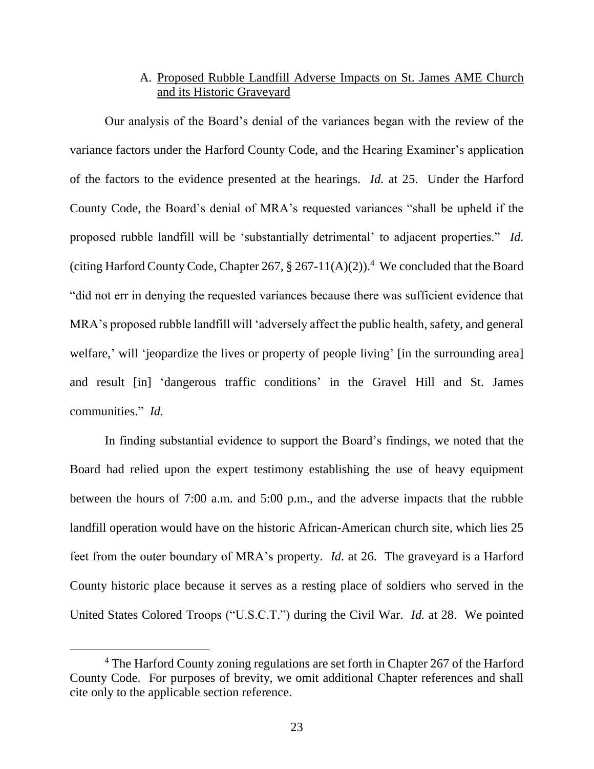# A. Proposed Rubble Landfill Adverse Impacts on St. James AME Church and its Historic Graveyard

Our analysis of the Board's denial of the variances began with the review of the variance factors under the Harford County Code, and the Hearing Examiner's application of the factors to the evidence presented at the hearings. *Id.* at 25.Under the Harford County Code, the Board's denial of MRA's requested variances "shall be upheld if the proposed rubble landfill will be 'substantially detrimental' to adjacent properties." *Id.* (citing Harford County Code, Chapter 267,  $\S 267-11(A)(2)$ ).<sup>4</sup> We concluded that the Board "did not err in denying the requested variances because there was sufficient evidence that MRA's proposed rubble landfill will 'adversely affect the public health, safety, and general welfare,' will 'jeopardize the lives or property of people living' [in the surrounding area] and result [in] 'dangerous traffic conditions' in the Gravel Hill and St. James communities." *Id.*

In finding substantial evidence to support the Board's findings, we noted that the Board had relied upon the expert testimony establishing the use of heavy equipment between the hours of 7:00 a.m. and 5:00 p.m., and the adverse impacts that the rubble landfill operation would have on the historic African-American church site, which lies 25 feet from the outer boundary of MRA's property. *Id.* at 26. The graveyard is a Harford County historic place because it serves as a resting place of soldiers who served in the United States Colored Troops ("U.S.C.T.") during the Civil War. *Id.* at 28. We pointed

 $\overline{a}$ 

<sup>4</sup> The Harford County zoning regulations are set forth in Chapter 267 of the Harford County Code. For purposes of brevity, we omit additional Chapter references and shall cite only to the applicable section reference.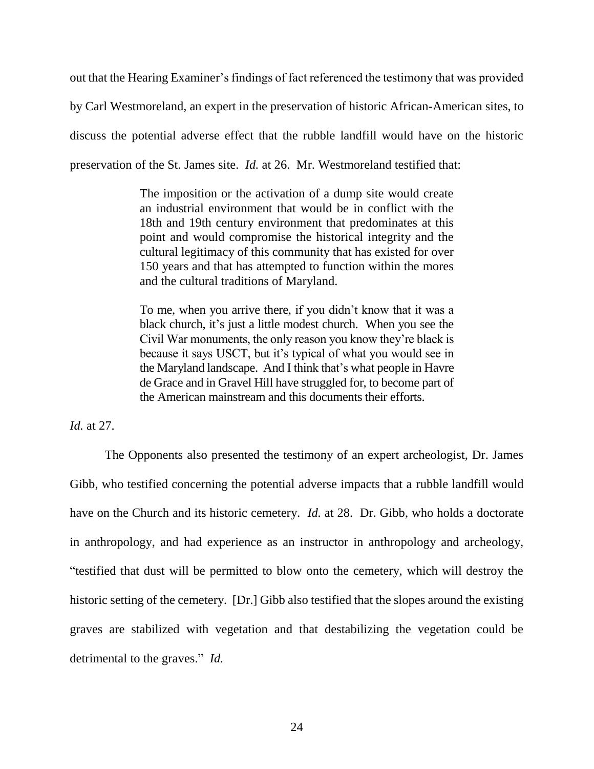out that the Hearing Examiner's findings of fact referenced the testimony that was provided by Carl Westmoreland, an expert in the preservation of historic African-American sites, to discuss the potential adverse effect that the rubble landfill would have on the historic preservation of the St. James site. *Id.* at 26. Mr. Westmoreland testified that:

> The imposition or the activation of a dump site would create an industrial environment that would be in conflict with the 18th and 19th century environment that predominates at this point and would compromise the historical integrity and the cultural legitimacy of this community that has existed for over 150 years and that has attempted to function within the mores and the cultural traditions of Maryland.

> To me, when you arrive there, if you didn't know that it was a black church, it's just a little modest church. When you see the Civil War monuments, the only reason you know they're black is because it says USCT, but it's typical of what you would see in the Maryland landscape. And I think that's what people in Havre de Grace and in Gravel Hill have struggled for, to become part of the American mainstream and this documents their efforts.

*Id.* at 27.

The Opponents also presented the testimony of an expert archeologist, Dr. James Gibb, who testified concerning the potential adverse impacts that a rubble landfill would have on the Church and its historic cemetery. *Id.* at 28. Dr. Gibb, who holds a doctorate in anthropology, and had experience as an instructor in anthropology and archeology, "testified that dust will be permitted to blow onto the cemetery, which will destroy the historic setting of the cemetery. [Dr.] Gibb also testified that the slopes around the existing graves are stabilized with vegetation and that destabilizing the vegetation could be detrimental to the graves." *Id.*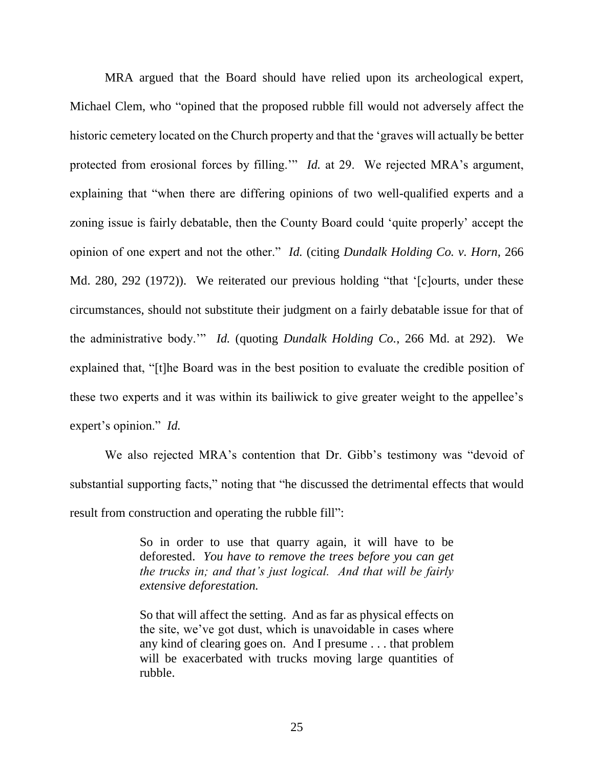MRA argued that the Board should have relied upon its archeological expert, Michael Clem, who "opined that the proposed rubble fill would not adversely affect the historic cemetery located on the Church property and that the 'graves will actually be better protected from erosional forces by filling." *Id.* at 29. We rejected MRA's argument, explaining that "when there are differing opinions of two well-qualified experts and a zoning issue is fairly debatable, then the County Board could 'quite properly' accept the opinion of one expert and not the other." *Id.* (citing *Dundalk Holding Co. v. Horn*, 266 Md. 280, 292 (1972)). We reiterated our previous holding "that '[c]ourts, under these circumstances, should not substitute their judgment on a fairly debatable issue for that of the administrative body.'" *Id.* (quoting *Dundalk Holding Co.*, 266 Md. at 292). We explained that, "[t]he Board was in the best position to evaluate the credible position of these two experts and it was within its bailiwick to give greater weight to the appellee's expert's opinion." *Id.*

We also rejected MRA's contention that Dr. Gibb's testimony was "devoid of substantial supporting facts," noting that "he discussed the detrimental effects that would result from construction and operating the rubble fill":

> So in order to use that quarry again, it will have to be deforested. *You have to remove the trees before you can get the trucks in; and that's just logical. And that will be fairly extensive deforestation.*

> So that will affect the setting. And as far as physical effects on the site, we've got dust, which is unavoidable in cases where any kind of clearing goes on. And I presume . . . that problem will be exacerbated with trucks moving large quantities of rubble.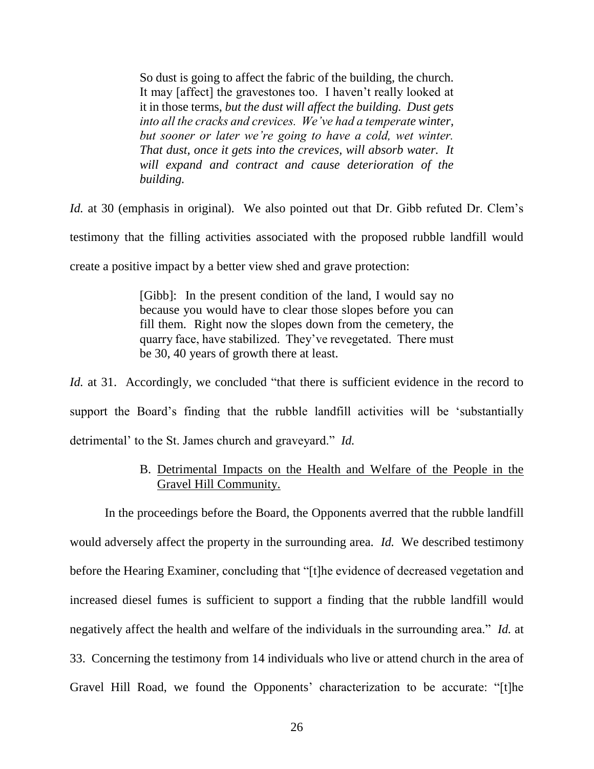So dust is going to affect the fabric of the building, the church. It may [affect] the gravestones too. I haven't really looked at it in those terms, *but the dust will affect the building. Dust gets into all the cracks and crevices. We've had a temperate winter, but sooner or later we're going to have a cold, wet winter. That dust, once it gets into the crevices, will absorb water. It will expand and contract and cause deterioration of the building.* 

*Id.* at 30 (emphasis in original). We also pointed out that Dr. Gibb refuted Dr. Clem's testimony that the filling activities associated with the proposed rubble landfill would create a positive impact by a better view shed and grave protection:

> [Gibb]: In the present condition of the land, I would say no because you would have to clear those slopes before you can fill them. Right now the slopes down from the cemetery, the quarry face, have stabilized. They've revegetated. There must be 30, 40 years of growth there at least.

*Id.* at 31. Accordingly, we concluded "that there is sufficient evidence in the record to support the Board's finding that the rubble landfill activities will be 'substantially detrimental' to the St. James church and graveyard." *Id.* 

# B. Detrimental Impacts on the Health and Welfare of the People in the Gravel Hill Community.

In the proceedings before the Board, the Opponents averred that the rubble landfill would adversely affect the property in the surrounding area. *Id.* We described testimony before the Hearing Examiner, concluding that "[t]he evidence of decreased vegetation and increased diesel fumes is sufficient to support a finding that the rubble landfill would negatively affect the health and welfare of the individuals in the surrounding area." *Id.* at 33. Concerning the testimony from 14 individuals who live or attend church in the area of Gravel Hill Road, we found the Opponents' characterization to be accurate: "[t]he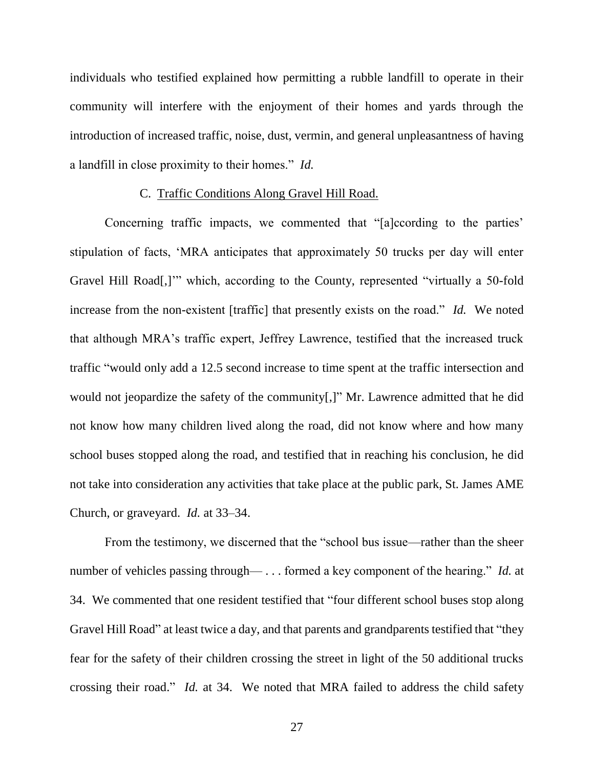individuals who testified explained how permitting a rubble landfill to operate in their community will interfere with the enjoyment of their homes and yards through the introduction of increased traffic, noise, dust, vermin, and general unpleasantness of having a landfill in close proximity to their homes." *Id.*

#### C. Traffic Conditions Along Gravel Hill Road.

Concerning traffic impacts, we commented that "[a]ccording to the parties' stipulation of facts, 'MRA anticipates that approximately 50 trucks per day will enter Gravel Hill Road[,]'" which, according to the County, represented "virtually a 50-fold increase from the non-existent [traffic] that presently exists on the road." *Id.* We noted that although MRA's traffic expert, Jeffrey Lawrence, testified that the increased truck traffic "would only add a 12.5 second increase to time spent at the traffic intersection and would not jeopardize the safety of the community[,]" Mr. Lawrence admitted that he did not know how many children lived along the road, did not know where and how many school buses stopped along the road, and testified that in reaching his conclusion, he did not take into consideration any activities that take place at the public park, St. James AME Church, or graveyard. *Id.* at 33–34.

From the testimony, we discerned that the "school bus issue—rather than the sheer number of vehicles passing through— . . . formed a key component of the hearing." *Id.* at 34. We commented that one resident testified that "four different school buses stop along Gravel Hill Road" at least twice a day, and that parents and grandparents testified that "they fear for the safety of their children crossing the street in light of the 50 additional trucks crossing their road." *Id.* at 34. We noted that MRA failed to address the child safety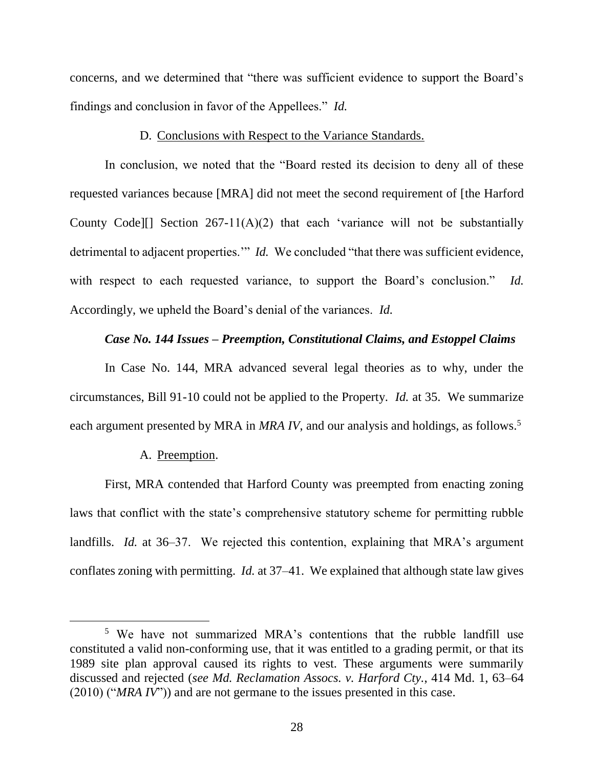concerns, and we determined that "there was sufficient evidence to support the Board's findings and conclusion in favor of the Appellees." *Id.*

### D. Conclusions with Respect to the Variance Standards.

In conclusion, we noted that the "Board rested its decision to deny all of these requested variances because [MRA] did not meet the second requirement of [the Harford County Code][] Section  $267-11(A)(2)$  that each 'variance will not be substantially detrimental to adjacent properties." *Id.* We concluded "that there was sufficient evidence, with respect to each requested variance, to support the Board's conclusion." *Id.* Accordingly, we upheld the Board's denial of the variances. *Id.*

### *Case No. 144 Issues – Preemption, Constitutional Claims, and Estoppel Claims*

In Case No. 144, MRA advanced several legal theories as to why, under the circumstances, Bill 91-10 could not be applied to the Property. *Id.* at 35. We summarize each argument presented by MRA in *MRA IV*, and our analysis and holdings, as follows.<sup>5</sup>

#### A. Preemption.

First, MRA contended that Harford County was preempted from enacting zoning laws that conflict with the state's comprehensive statutory scheme for permitting rubble landfills. *Id.* at 36–37. We rejected this contention, explaining that MRA's argument conflates zoning with permitting. *Id.* at 37–41. We explained that although state law gives

<sup>&</sup>lt;sup>5</sup> We have not summarized MRA's contentions that the rubble landfill use constituted a valid non-conforming use, that it was entitled to a grading permit, or that its 1989 site plan approval caused its rights to vest. These arguments were summarily discussed and rejected (*see Md. Reclamation Assocs. v. Harford Cty.*, 414 Md. 1, 63–64 (2010) ("*MRA IV*")) and are not germane to the issues presented in this case.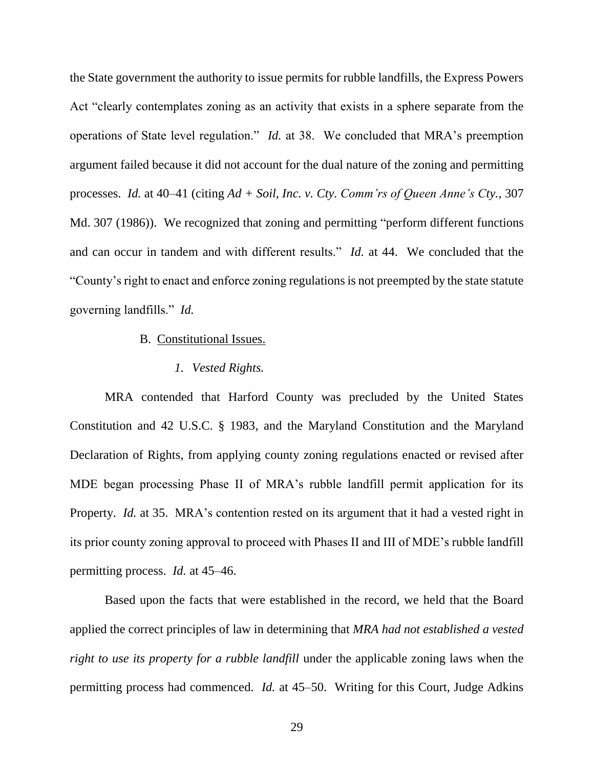the State government the authority to issue permits for rubble landfills, the Express Powers Act "clearly contemplates zoning as an activity that exists in a sphere separate from the operations of State level regulation." *Id.* at 38. We concluded that MRA's preemption argument failed because it did not account for the dual nature of the zoning and permitting processes. *Id.* at 40–41 (citing *Ad + Soil, Inc. v. Cty. Comm'rs of Queen Anne's Cty.*, 307 Md. 307 (1986)). We recognized that zoning and permitting "perform different functions and can occur in tandem and with different results." *Id.* at 44. We concluded that the "County's right to enact and enforce zoning regulations is not preempted by the state statute governing landfills." *Id.*

### B. Constitutional Issues.

## *1. Vested Rights.*

MRA contended that Harford County was precluded by the United States Constitution and 42 U.S.C. § 1983, and the Maryland Constitution and the Maryland Declaration of Rights, from applying county zoning regulations enacted or revised after MDE began processing Phase II of MRA's rubble landfill permit application for its Property. *Id.* at 35. MRA's contention rested on its argument that it had a vested right in its prior county zoning approval to proceed with Phases II and III of MDE's rubble landfill permitting process. *Id.* at 45–46.

Based upon the facts that were established in the record, we held that the Board applied the correct principles of law in determining that *MRA had not established a vested right to use its property for a rubble landfill* under the applicable zoning laws when the permitting process had commenced. *Id.* at 45–50. Writing for this Court, Judge Adkins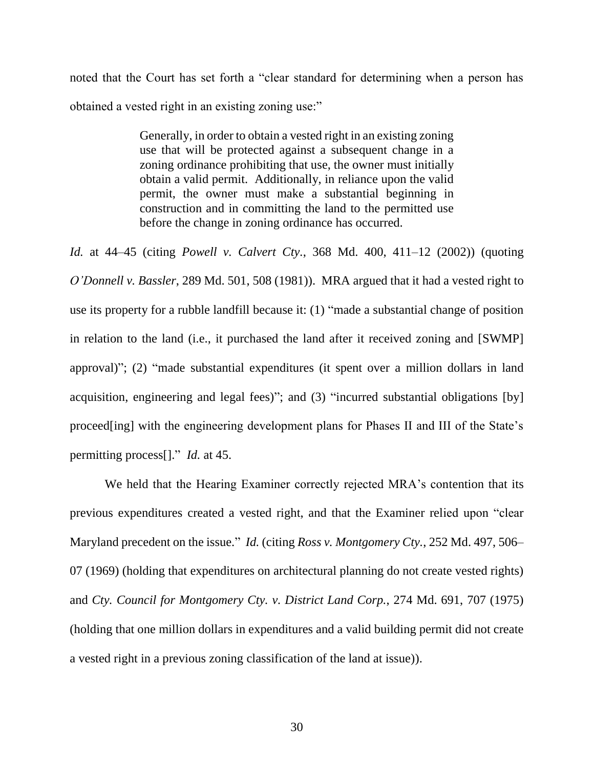noted that the Court has set forth a "clear standard for determining when a person has obtained a vested right in an existing zoning use:"

> Generally, in order to obtain a vested right in an existing zoning use that will be protected against a subsequent change in a zoning ordinance prohibiting that use, the owner must initially obtain a valid permit. Additionally, in reliance upon the valid permit, the owner must make a substantial beginning in construction and in committing the land to the permitted use before the change in zoning ordinance has occurred.

*Id.* at 44–45 (citing *Powell v. Calvert Cty.*, 368 Md. 400, 411–12 (2002)) (quoting *O'Donnell v. Bassler*, 289 Md. 501, 508 (1981)). MRA argued that it had a vested right to use its property for a rubble landfill because it: (1) "made a substantial change of position in relation to the land (i.e., it purchased the land after it received zoning and [SWMP] approval)"; (2) "made substantial expenditures (it spent over a million dollars in land acquisition, engineering and legal fees)"; and (3) "incurred substantial obligations [by] proceed[ing] with the engineering development plans for Phases II and III of the State's permitting process[]." *Id.* at 45.

We held that the Hearing Examiner correctly rejected MRA's contention that its previous expenditures created a vested right, and that the Examiner relied upon "clear Maryland precedent on the issue." *Id.* (citing *Ross v. Montgomery Cty.*, 252 Md. 497, 506– 07 (1969) (holding that expenditures on architectural planning do not create vested rights) and *Cty. Council for Montgomery Cty. v. District Land Corp.*, 274 Md. 691, 707 (1975) (holding that one million dollars in expenditures and a valid building permit did not create a vested right in a previous zoning classification of the land at issue)).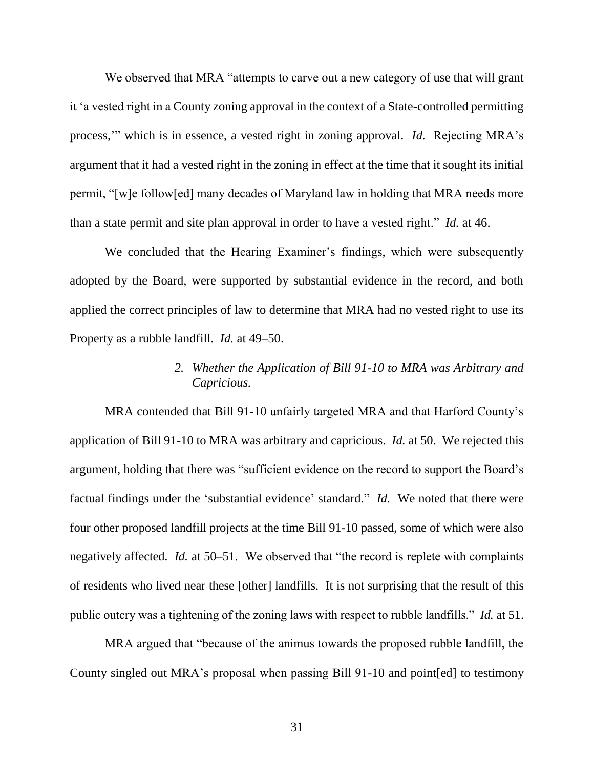We observed that MRA "attempts to carve out a new category of use that will grant it 'a vested right in a County zoning approval in the context of a State-controlled permitting process,'" which is in essence, a vested right in zoning approval. *Id.* Rejecting MRA's argument that it had a vested right in the zoning in effect at the time that it sought its initial permit, "[w]e follow[ed] many decades of Maryland law in holding that MRA needs more than a state permit and site plan approval in order to have a vested right." *Id.* at 46.

We concluded that the Hearing Examiner's findings, which were subsequently adopted by the Board, were supported by substantial evidence in the record, and both applied the correct principles of law to determine that MRA had no vested right to use its Property as a rubble landfill. *Id.* at 49–50.

# *2. Whether the Application of Bill 91-10 to MRA was Arbitrary and Capricious.*

MRA contended that Bill 91-10 unfairly targeted MRA and that Harford County's application of Bill 91-10 to MRA was arbitrary and capricious. *Id.* at 50. We rejected this argument, holding that there was "sufficient evidence on the record to support the Board's factual findings under the 'substantial evidence' standard." *Id.* We noted that there were four other proposed landfill projects at the time Bill 91-10 passed, some of which were also negatively affected. *Id.* at 50–51. We observed that "the record is replete with complaints of residents who lived near these [other] landfills. It is not surprising that the result of this public outcry was a tightening of the zoning laws with respect to rubble landfills." *Id.* at 51.

MRA argued that "because of the animus towards the proposed rubble landfill, the County singled out MRA's proposal when passing Bill 91-10 and point[ed] to testimony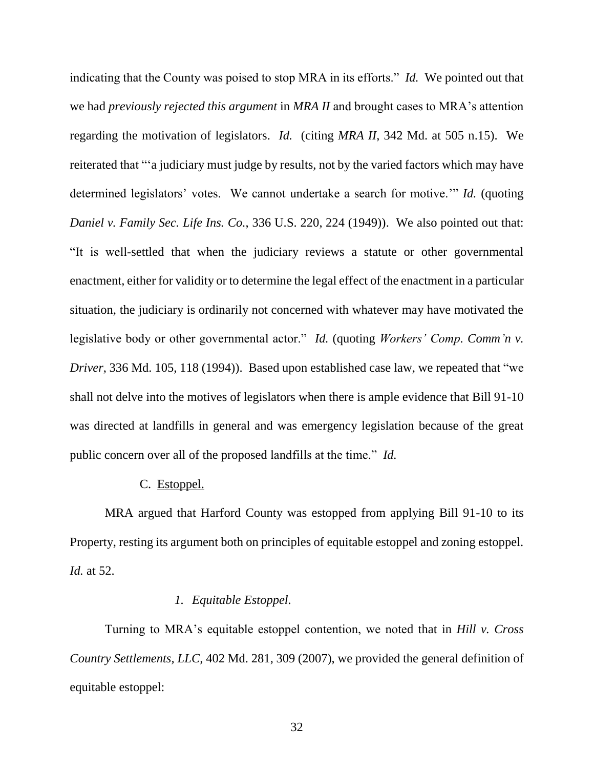indicating that the County was poised to stop MRA in its efforts." *Id.* We pointed out that we had *previously rejected this argument* in *MRA II* and brought cases to MRA's attention regarding the motivation of legislators. *Id.* (citing *MRA II*, 342 Md. at 505 n.15). We reiterated that "'a judiciary must judge by results, not by the varied factors which may have determined legislators' votes. We cannot undertake a search for motive.'" *Id.* (quoting *Daniel v. Family Sec. Life Ins. Co.*, 336 U.S. 220, 224 (1949)). We also pointed out that: "It is well-settled that when the judiciary reviews a statute or other governmental enactment, either for validity or to determine the legal effect of the enactment in a particular situation, the judiciary is ordinarily not concerned with whatever may have motivated the legislative body or other governmental actor." *Id.* (quoting *Workers' Comp. Comm'n v. Driver*, 336 Md. 105, 118 (1994)). Based upon established case law, we repeated that "we shall not delve into the motives of legislators when there is ample evidence that Bill 91-10 was directed at landfills in general and was emergency legislation because of the great public concern over all of the proposed landfills at the time." *Id.* 

# C. Estoppel.

MRA argued that Harford County was estopped from applying Bill 91-10 to its Property, resting its argument both on principles of equitable estoppel and zoning estoppel. *Id.* at 52.

# *1. Equitable Estoppel.*

Turning to MRA's equitable estoppel contention, we noted that in *Hill v. Cross Country Settlements, LLC,* 402 Md. 281, 309 (2007), we provided the general definition of equitable estoppel: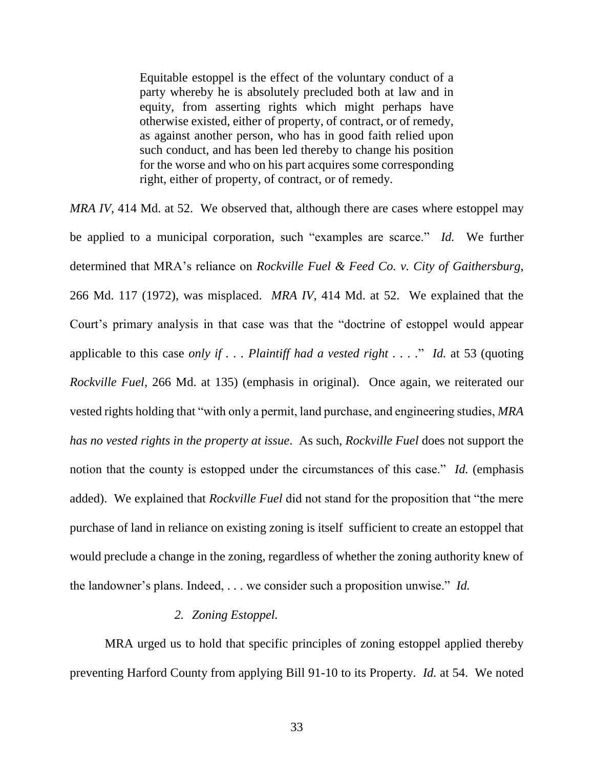Equitable estoppel is the effect of the voluntary conduct of a party whereby he is absolutely precluded both at law and in equity, from asserting rights which might perhaps have otherwise existed, either of property, of contract, or of remedy, as against another person, who has in good faith relied upon such conduct, and has been led thereby to change his position for the worse and who on his part acquires some corresponding right, either of property, of contract, or of remedy.

*MRA IV*, 414 Md. at 52. We observed that, although there are cases where estoppel may be applied to a municipal corporation, such "examples are scarce." *Id.* We further determined that MRA's reliance on *Rockville Fuel & Feed Co. v. City of Gaithersburg*, 266 Md. 117 (1972), was misplaced. *MRA IV*, 414 Md. at 52. We explained that the Court's primary analysis in that case was that the "doctrine of estoppel would appear applicable to this case *only if . . . Plaintiff had a vested right . . . .*" *Id.* at 53 (quoting *Rockville Fuel*, 266 Md. at 135) (emphasis in original). Once again, we reiterated our vested rights holding that "with only a permit, land purchase, and engineering studies, *MRA has no vested rights in the property at issue*. As such, *Rockville Fuel* does not support the notion that the county is estopped under the circumstances of this case." *Id.* (emphasis added). We explained that *Rockville Fuel* did not stand for the proposition that "the mere purchase of land in reliance on existing zoning is itself sufficient to create an estoppel that would preclude a change in the zoning, regardless of whether the zoning authority knew of the landowner's plans. Indeed, . . . we consider such a proposition unwise." *Id.*

## *2. Zoning Estoppel.*

MRA urged us to hold that specific principles of zoning estoppel applied thereby preventing Harford County from applying Bill 91-10 to its Property. *Id.* at 54. We noted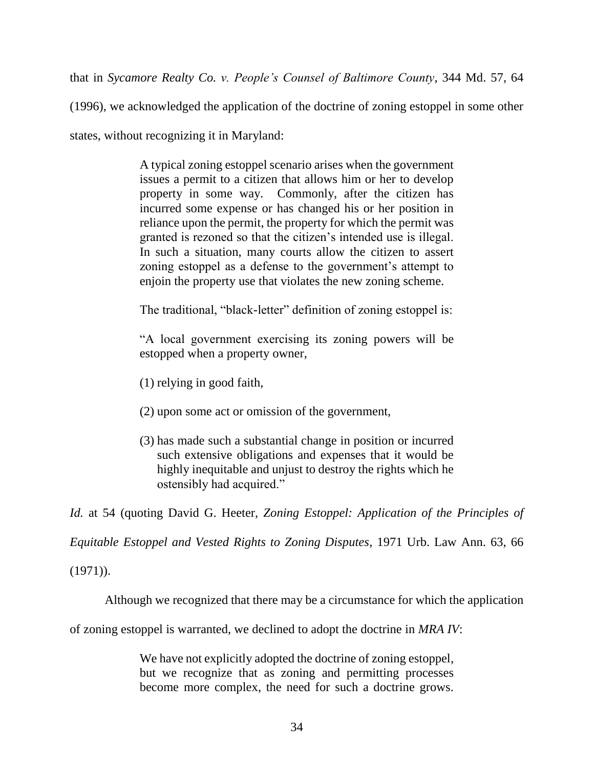that in *Sycamore Realty Co. v. People's Counsel of Baltimore County*, 344 Md. 57, 64

(1996), we acknowledged the application of the doctrine of zoning estoppel in some other

states, without recognizing it in Maryland:

A typical zoning estoppel scenario arises when the government issues a permit to a citizen that allows him or her to develop property in some way. Commonly, after the citizen has incurred some expense or has changed his or her position in reliance upon the permit, the property for which the permit was granted is rezoned so that the citizen's intended use is illegal. In such a situation, many courts allow the citizen to assert zoning estoppel as a defense to the government's attempt to enjoin the property use that violates the new zoning scheme.

The traditional, "black-letter" definition of zoning estoppel is:

"A local government exercising its zoning powers will be estopped when a property owner,

(1) relying in good faith,

- (2) upon some act or omission of the government,
- (3) has made such a substantial change in position or incurred such extensive obligations and expenses that it would be highly inequitable and unjust to destroy the rights which he ostensibly had acquired."

*Id.* at 54 (quoting David G. Heeter, *Zoning Estoppel: Application of the Principles of* 

*Equitable Estoppel and Vested Rights to Zoning Disputes*, 1971 Urb. Law Ann. 63, 66

(1971)).

Although we recognized that there may be a circumstance for which the application

of zoning estoppel is warranted, we declined to adopt the doctrine in *MRA IV*:

We have not explicitly adopted the doctrine of zoning estoppel, but we recognize that as zoning and permitting processes become more complex, the need for such a doctrine grows.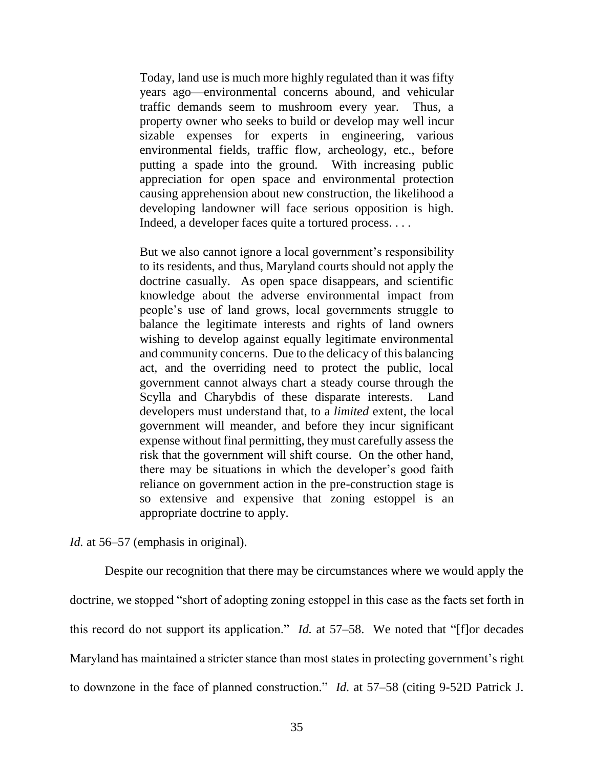Today, land use is much more highly regulated than it was fifty years ago—environmental concerns abound, and vehicular traffic demands seem to mushroom every year. Thus, a property owner who seeks to build or develop may well incur sizable expenses for experts in engineering, various environmental fields, traffic flow, archeology, etc., before putting a spade into the ground. With increasing public appreciation for open space and environmental protection causing apprehension about new construction, the likelihood a developing landowner will face serious opposition is high. Indeed, a developer faces quite a tortured process. . . .

But we also cannot ignore a local government's responsibility to its residents, and thus, Maryland courts should not apply the doctrine casually. As open space disappears, and scientific knowledge about the adverse environmental impact from people's use of land grows, local governments struggle to balance the legitimate interests and rights of land owners wishing to develop against equally legitimate environmental and community concerns. Due to the delicacy of this balancing act, and the overriding need to protect the public, local government cannot always chart a steady course through the Scylla and Charybdis of these disparate interests. Land developers must understand that, to a *limited* extent, the local government will meander, and before they incur significant expense without final permitting, they must carefully assess the risk that the government will shift course. On the other hand, there may be situations in which the developer's good faith reliance on government action in the pre-construction stage is so extensive and expensive that zoning estoppel is an appropriate doctrine to apply.

*Id.* at 56–57 (emphasis in original).

Despite our recognition that there may be circumstances where we would apply the doctrine, we stopped "short of adopting zoning estoppel in this case as the facts set forth in this record do not support its application." *Id.* at 57–58. We noted that "[f]or decades Maryland has maintained a stricter stance than most states in protecting government's right to downzone in the face of planned construction." *Id.* at 57–58 (citing 9-52D Patrick J.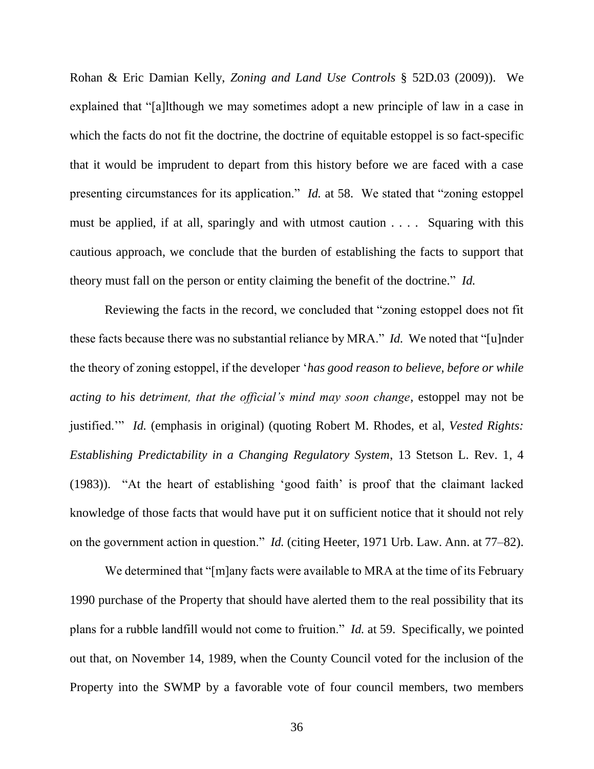Rohan & Eric Damian Kelly, *Zoning and Land Use Controls* § 52D.03 (2009)). We explained that "[a]lthough we may sometimes adopt a new principle of law in a case in which the facts do not fit the doctrine, the doctrine of equitable estoppel is so fact-specific that it would be imprudent to depart from this history before we are faced with a case presenting circumstances for its application." *Id.* at 58. We stated that "zoning estoppel must be applied, if at all, sparingly and with utmost caution . . . . Squaring with this cautious approach, we conclude that the burden of establishing the facts to support that theory must fall on the person or entity claiming the benefit of the doctrine." *Id.*

Reviewing the facts in the record, we concluded that "zoning estoppel does not fit these facts because there was no substantial reliance by MRA." *Id.* We noted that "[u]nder the theory of zoning estoppel, if the developer '*has good reason to believe, before or while acting to his detriment, that the official's mind may soon change*, estoppel may not be justified.'" *Id.* (emphasis in original) (quoting Robert M. Rhodes, et al, *Vested Rights: Establishing Predictability in a Changing Regulatory System*, 13 Stetson L. Rev. 1, 4 (1983)). "At the heart of establishing 'good faith' is proof that the claimant lacked knowledge of those facts that would have put it on sufficient notice that it should not rely on the government action in question." *Id.* (citing Heeter, 1971 Urb. Law. Ann. at 77–82).

We determined that "[m]any facts were available to MRA at the time of its February 1990 purchase of the Property that should have alerted them to the real possibility that its plans for a rubble landfill would not come to fruition." *Id.* at 59. Specifically, we pointed out that, on November 14, 1989, when the County Council voted for the inclusion of the Property into the SWMP by a favorable vote of four council members, two members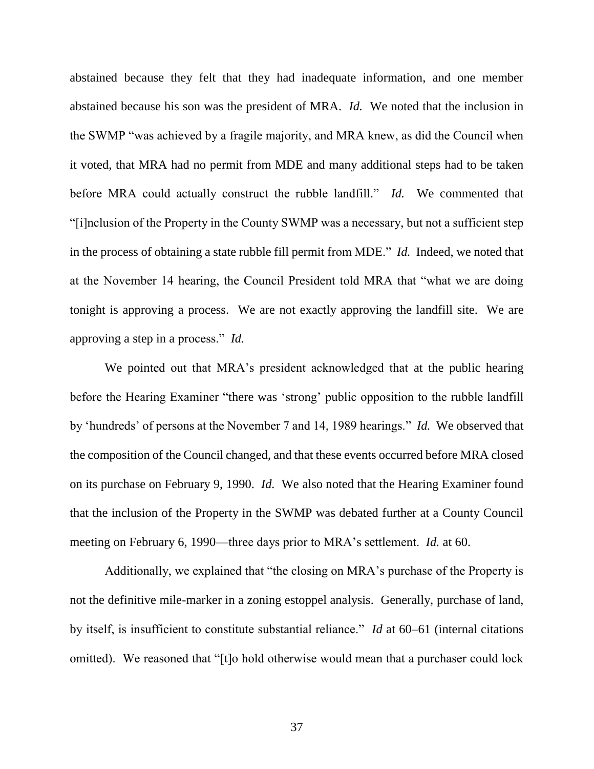abstained because they felt that they had inadequate information, and one member abstained because his son was the president of MRA. *Id.* We noted that the inclusion in the SWMP "was achieved by a fragile majority, and MRA knew, as did the Council when it voted, that MRA had no permit from MDE and many additional steps had to be taken before MRA could actually construct the rubble landfill." *Id.* We commented that "[i]nclusion of the Property in the County SWMP was a necessary, but not a sufficient step in the process of obtaining a state rubble fill permit from MDE." *Id.* Indeed, we noted that at the November 14 hearing, the Council President told MRA that "what we are doing tonight is approving a process. We are not exactly approving the landfill site. We are approving a step in a process." *Id.*

We pointed out that MRA's president acknowledged that at the public hearing before the Hearing Examiner "there was 'strong' public opposition to the rubble landfill by 'hundreds' of persons at the November 7 and 14, 1989 hearings." *Id.* We observed that the composition of the Council changed, and that these events occurred before MRA closed on its purchase on February 9, 1990. *Id.* We also noted that the Hearing Examiner found that the inclusion of the Property in the SWMP was debated further at a County Council meeting on February 6, 1990—three days prior to MRA's settlement. *Id.* at 60.

Additionally, we explained that "the closing on MRA's purchase of the Property is not the definitive mile-marker in a zoning estoppel analysis. Generally, purchase of land, by itself, is insufficient to constitute substantial reliance." *Id* at 60–61 (internal citations omitted). We reasoned that "[t]o hold otherwise would mean that a purchaser could lock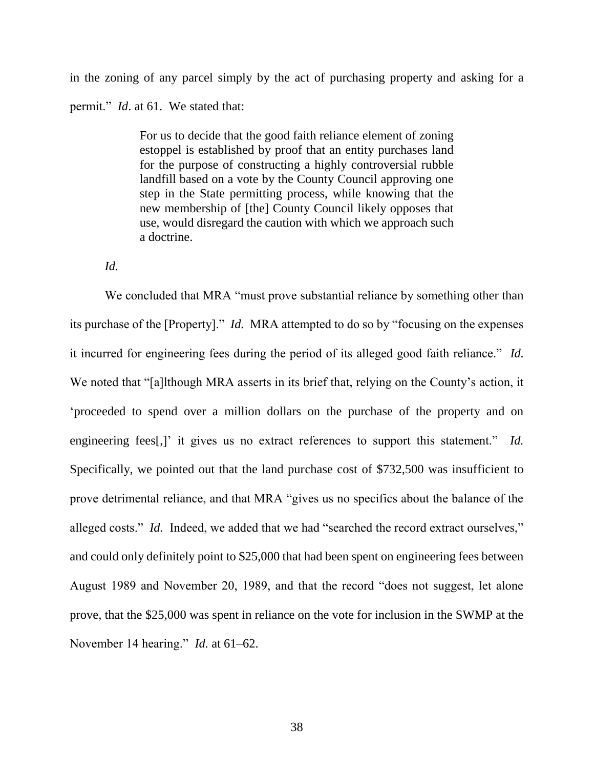in the zoning of any parcel simply by the act of purchasing property and asking for a permit." *Id*. at 61. We stated that:

> For us to decide that the good faith reliance element of zoning estoppel is established by proof that an entity purchases land for the purpose of constructing a highly controversial rubble landfill based on a vote by the County Council approving one step in the State permitting process, while knowing that the new membership of [the] County Council likely opposes that use, would disregard the caution with which we approach such a doctrine.

## *Id.*

We concluded that MRA "must prove substantial reliance by something other than its purchase of the [Property]." *Id.* MRA attempted to do so by "focusing on the expenses it incurred for engineering fees during the period of its alleged good faith reliance." *Id.* We noted that "[a]lthough MRA asserts in its brief that, relying on the County's action, it 'proceeded to spend over a million dollars on the purchase of the property and on engineering fees[,]' it gives us no extract references to support this statement." *Id.* Specifically, we pointed out that the land purchase cost of \$732,500 was insufficient to prove detrimental reliance, and that MRA "gives us no specifics about the balance of the alleged costs." *Id.* Indeed, we added that we had "searched the record extract ourselves," and could only definitely point to \$25,000 that had been spent on engineering fees between August 1989 and November 20, 1989, and that the record "does not suggest, let alone prove, that the \$25,000 was spent in reliance on the vote for inclusion in the SWMP at the November 14 hearing." *Id.* at 61–62.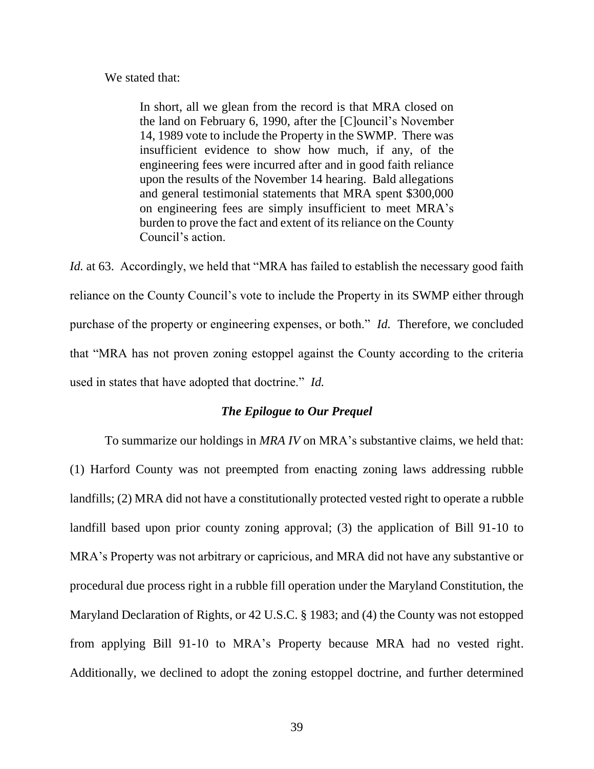#### We stated that:

In short, all we glean from the record is that MRA closed on the land on February 6, 1990, after the [C]ouncil's November 14, 1989 vote to include the Property in the SWMP. There was insufficient evidence to show how much, if any, of the engineering fees were incurred after and in good faith reliance upon the results of the November 14 hearing. Bald allegations and general testimonial statements that MRA spent \$300,000 on engineering fees are simply insufficient to meet MRA's burden to prove the fact and extent of its reliance on the County Council's action.

*Id.* at 63. Accordingly, we held that "MRA has failed to establish the necessary good faith reliance on the County Council's vote to include the Property in its SWMP either through purchase of the property or engineering expenses, or both." *Id.* Therefore, we concluded that "MRA has not proven zoning estoppel against the County according to the criteria used in states that have adopted that doctrine." *Id.*

## *The Epilogue to Our Prequel*

To summarize our holdings in *MRA IV* on MRA's substantive claims, we held that: (1) Harford County was not preempted from enacting zoning laws addressing rubble landfills; (2) MRA did not have a constitutionally protected vested right to operate a rubble landfill based upon prior county zoning approval; (3) the application of Bill 91-10 to MRA's Property was not arbitrary or capricious, and MRA did not have any substantive or procedural due process right in a rubble fill operation under the Maryland Constitution, the Maryland Declaration of Rights, or 42 U.S.C. § 1983; and (4) the County was not estopped from applying Bill 91-10 to MRA's Property because MRA had no vested right. Additionally, we declined to adopt the zoning estoppel doctrine, and further determined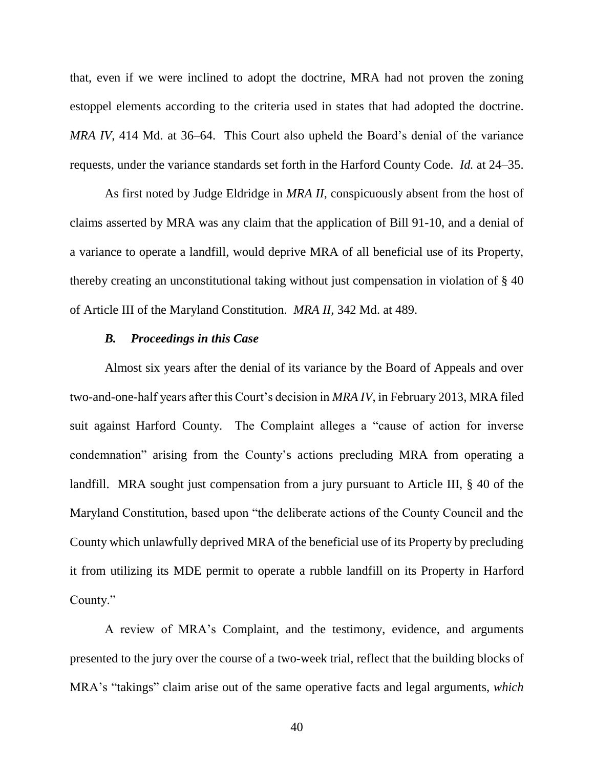that, even if we were inclined to adopt the doctrine, MRA had not proven the zoning estoppel elements according to the criteria used in states that had adopted the doctrine. *MRA IV*, 414 Md. at 36–64. This Court also upheld the Board's denial of the variance requests, under the variance standards set forth in the Harford County Code. *Id.* at 24–35.

As first noted by Judge Eldridge in *MRA II*, conspicuously absent from the host of claims asserted by MRA was any claim that the application of Bill 91-10, and a denial of a variance to operate a landfill, would deprive MRA of all beneficial use of its Property, thereby creating an unconstitutional taking without just compensation in violation of § 40 of Article III of the Maryland Constitution. *MRA II*, 342 Md. at 489.

## *B. Proceedings in this Case*

Almost six years after the denial of its variance by the Board of Appeals and over two-and-one-half years after this Court's decision in *MRA IV*, in February 2013, MRA filed suit against Harford County. The Complaint alleges a "cause of action for inverse condemnation" arising from the County's actions precluding MRA from operating a landfill. MRA sought just compensation from a jury pursuant to Article III, § 40 of the Maryland Constitution, based upon "the deliberate actions of the County Council and the County which unlawfully deprived MRA of the beneficial use of its Property by precluding it from utilizing its MDE permit to operate a rubble landfill on its Property in Harford County."

A review of MRA's Complaint, and the testimony, evidence, and arguments presented to the jury over the course of a two-week trial, reflect that the building blocks of MRA's "takings" claim arise out of the same operative facts and legal arguments, *which*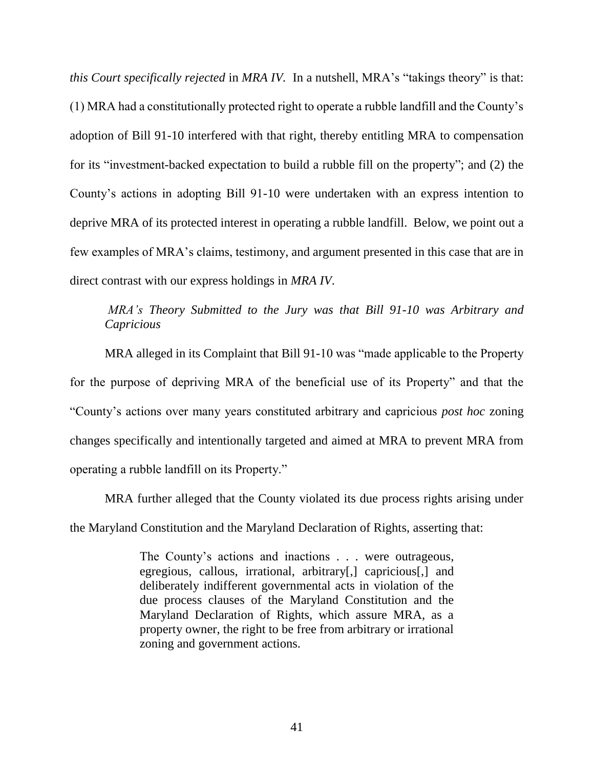*this Court specifically rejected* in *MRA IV.* In a nutshell, MRA's "takings theory" is that: (1) MRA had a constitutionally protected right to operate a rubble landfill and the County's adoption of Bill 91-10 interfered with that right, thereby entitling MRA to compensation for its "investment-backed expectation to build a rubble fill on the property"; and (2) the County's actions in adopting Bill 91-10 were undertaken with an express intention to deprive MRA of its protected interest in operating a rubble landfill. Below, we point out a few examples of MRA's claims, testimony, and argument presented in this case that are in direct contrast with our express holdings in *MRA IV*.

## *MRA's Theory Submitted to the Jury was that Bill 91-10 was Arbitrary and Capricious*

MRA alleged in its Complaint that Bill 91-10 was "made applicable to the Property for the purpose of depriving MRA of the beneficial use of its Property" and that the "County's actions over many years constituted arbitrary and capricious *post hoc* zoning changes specifically and intentionally targeted and aimed at MRA to prevent MRA from operating a rubble landfill on its Property."

MRA further alleged that the County violated its due process rights arising under the Maryland Constitution and the Maryland Declaration of Rights, asserting that:

> The County's actions and inactions . . . were outrageous, egregious, callous, irrational, arbitrary[,] capricious[,] and deliberately indifferent governmental acts in violation of the due process clauses of the Maryland Constitution and the Maryland Declaration of Rights, which assure MRA, as a property owner, the right to be free from arbitrary or irrational zoning and government actions.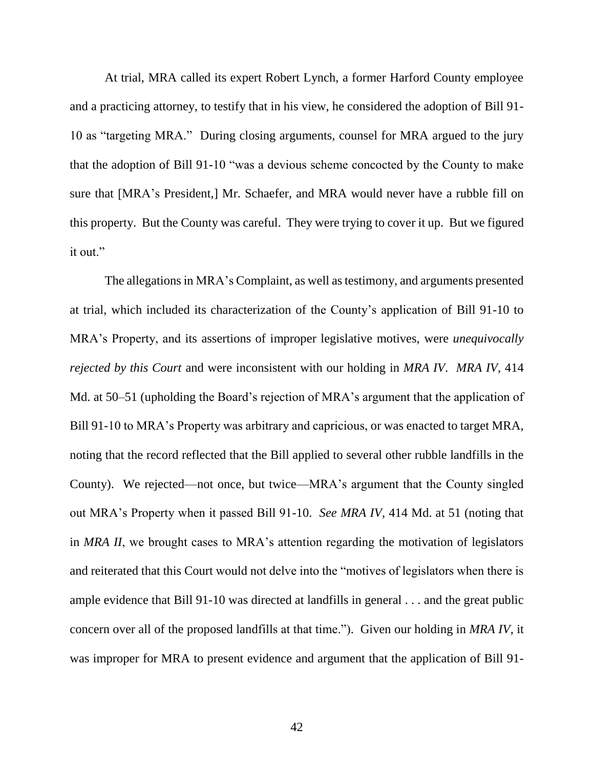At trial, MRA called its expert Robert Lynch, a former Harford County employee and a practicing attorney, to testify that in his view, he considered the adoption of Bill 91- 10 as "targeting MRA." During closing arguments, counsel for MRA argued to the jury that the adoption of Bill 91-10 "was a devious scheme concocted by the County to make sure that [MRA's President,] Mr. Schaefer, and MRA would never have a rubble fill on this property. But the County was careful. They were trying to cover it up. But we figured it out."

The allegations in MRA's Complaint, as well as testimony, and arguments presented at trial, which included its characterization of the County's application of Bill 91-10 to MRA's Property, and its assertions of improper legislative motives, were *unequivocally rejected by this Court* and were inconsistent with our holding in *MRA IV*. *MRA IV*, 414 Md. at 50–51 (upholding the Board's rejection of MRA's argument that the application of Bill 91-10 to MRA's Property was arbitrary and capricious, or was enacted to target MRA, noting that the record reflected that the Bill applied to several other rubble landfills in the County). We rejected—not once, but twice—MRA's argument that the County singled out MRA's Property when it passed Bill 91-10. *See MRA IV*, 414 Md. at 51 (noting that in *MRA II*, we brought cases to MRA's attention regarding the motivation of legislators and reiterated that this Court would not delve into the "motives of legislators when there is ample evidence that Bill 91-10 was directed at landfills in general . . . and the great public concern over all of the proposed landfills at that time."). Given our holding in *MRA IV*, it was improper for MRA to present evidence and argument that the application of Bill 91-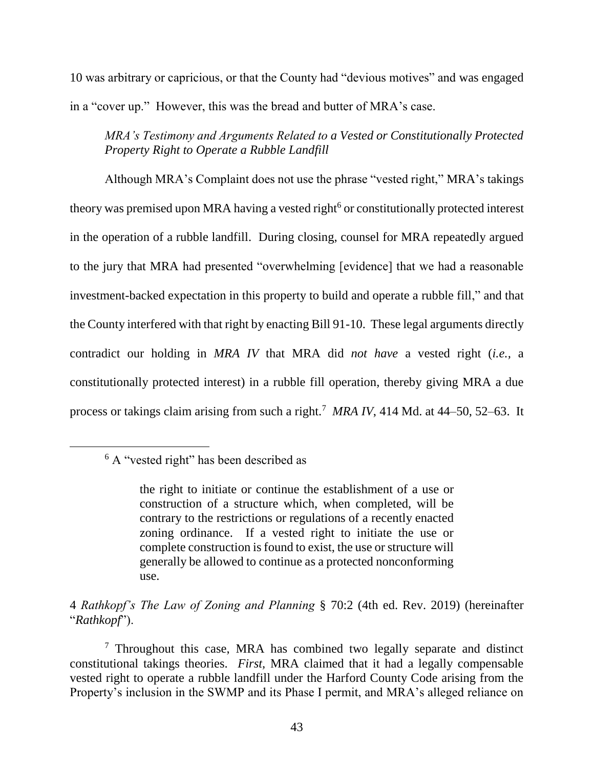10 was arbitrary or capricious, or that the County had "devious motives" and was engaged in a "cover up." However, this was the bread and butter of MRA's case.

*MRA's Testimony and Arguments Related to a Vested or Constitutionally Protected Property Right to Operate a Rubble Landfill* 

Although MRA's Complaint does not use the phrase "vested right," MRA's takings theory was premised upon MRA having a vested right<sup>6</sup> or constitutionally protected interest in the operation of a rubble landfill. During closing, counsel for MRA repeatedly argued to the jury that MRA had presented "overwhelming [evidence] that we had a reasonable investment-backed expectation in this property to build and operate a rubble fill," and that the County interfered with that right by enacting Bill 91-10. These legal arguments directly contradict our holding in *MRA IV* that MRA did *not have* a vested right (*i.e.,* a constitutionally protected interest) in a rubble fill operation, thereby giving MRA a due process or takings claim arising from such a right.<sup>7</sup> *MRA IV*, 414 Md. at 44–50, 52–63. It

 $\overline{a}$ 

4 *Rathkopf's The Law of Zoning and Planning* § 70:2 (4th ed. Rev. 2019) (hereinafter "*Rathkopf*").

<sup>6</sup> A "vested right" has been described as

the right to initiate or continue the establishment of a use or construction of a structure which, when completed, will be contrary to the restrictions or regulations of a recently enacted zoning ordinance. If a vested right to initiate the use or complete construction is found to exist, the use or structure will generally be allowed to continue as a protected nonconforming use.

<sup>&</sup>lt;sup>7</sup> Throughout this case, MRA has combined two legally separate and distinct constitutional takings theories. *First,* MRA claimed that it had a legally compensable vested right to operate a rubble landfill under the Harford County Code arising from the Property's inclusion in the SWMP and its Phase I permit, and MRA's alleged reliance on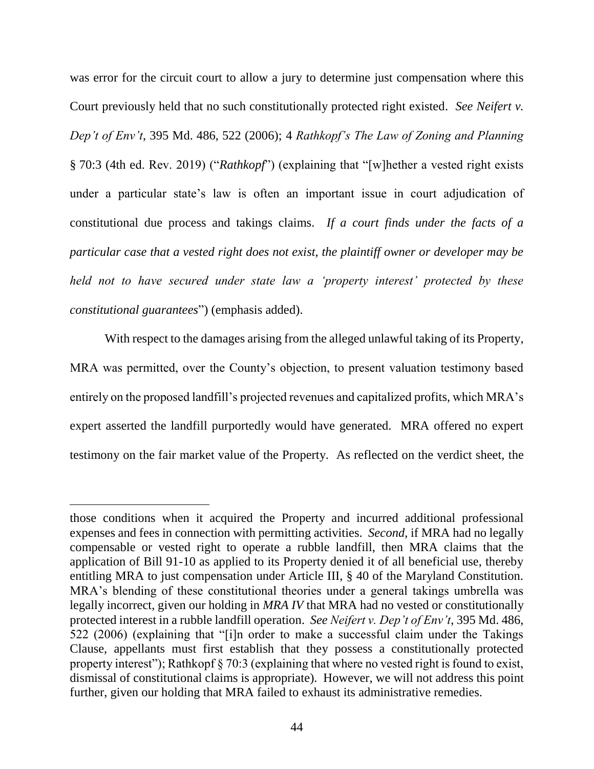was error for the circuit court to allow a jury to determine just compensation where this Court previously held that no such constitutionally protected right existed. *See Neifert v. Dep't of Env't*, 395 Md. 486, 522 (2006); 4 *Rathkopf's The Law of Zoning and Planning*  § 70:3 (4th ed. Rev. 2019) ("*Rathkopf*") (explaining that "[w]hether a vested right exists under a particular state's law is often an important issue in court adjudication of constitutional due process and takings claims. *If a court finds under the facts of a particular case that a vested right does not exist, the plaintiff owner or developer may be held not to have secured under state law a 'property interest' protected by these constitutional guarantees*") (emphasis added).

With respect to the damages arising from the alleged unlawful taking of its Property, MRA was permitted, over the County's objection, to present valuation testimony based entirely on the proposed landfill's projected revenues and capitalized profits, which MRA's expert asserted the landfill purportedly would have generated. MRA offered no expert testimony on the fair market value of the Property. As reflected on the verdict sheet, the

 $\overline{a}$ 

those conditions when it acquired the Property and incurred additional professional expenses and fees in connection with permitting activities. *Second*, if MRA had no legally compensable or vested right to operate a rubble landfill, then MRA claims that the application of Bill 91-10 as applied to its Property denied it of all beneficial use, thereby entitling MRA to just compensation under Article III, § 40 of the Maryland Constitution. MRA's blending of these constitutional theories under a general takings umbrella was legally incorrect, given our holding in *MRA IV* that MRA had no vested or constitutionally protected interest in a rubble landfill operation. *See Neifert v. Dep't of Env't*, 395 Md. 486, 522 (2006) (explaining that "[i]n order to make a successful claim under the Takings Clause, appellants must first establish that they possess a constitutionally protected property interest"); Rathkopf § 70:3 (explaining that where no vested right is found to exist, dismissal of constitutional claims is appropriate). However, we will not address this point further, given our holding that MRA failed to exhaust its administrative remedies.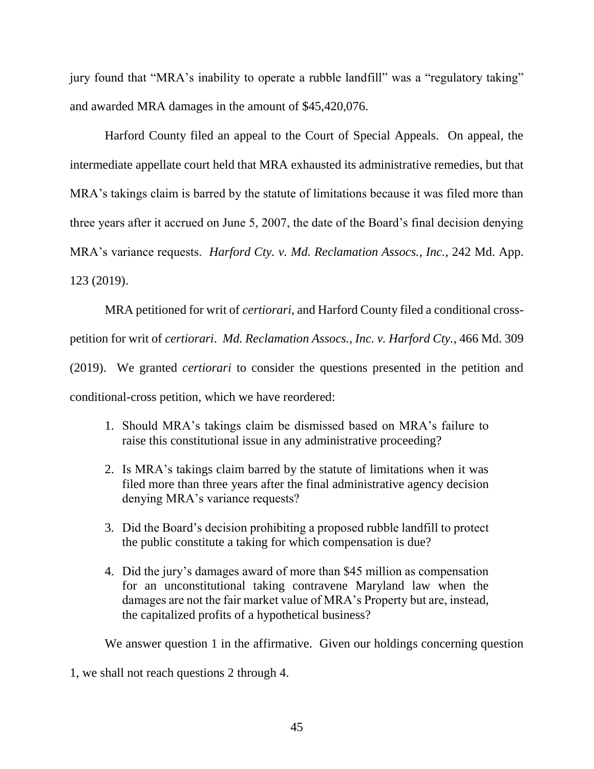jury found that "MRA's inability to operate a rubble landfill" was a "regulatory taking" and awarded MRA damages in the amount of \$45,420,076.

Harford County filed an appeal to the Court of Special Appeals. On appeal, the intermediate appellate court held that MRA exhausted its administrative remedies, but that MRA's takings claim is barred by the statute of limitations because it was filed more than three years after it accrued on June 5, 2007, the date of the Board's final decision denying MRA's variance requests. *Harford Cty. v. Md. Reclamation Assocs., Inc.*, 242 Md. App. 123 (2019).

MRA petitioned for writ of *certiorari*, and Harford County filed a conditional crosspetition for writ of *certiorari*. *Md. Reclamation Assocs., Inc. v. Harford Cty.*, 466 Md. 309 (2019). We granted *certiorari* to consider the questions presented in the petition and conditional-cross petition, which we have reordered:

- 1. Should MRA's takings claim be dismissed based on MRA's failure to raise this constitutional issue in any administrative proceeding?
- 2. Is MRA's takings claim barred by the statute of limitations when it was filed more than three years after the final administrative agency decision denying MRA's variance requests?
- 3. Did the Board's decision prohibiting a proposed rubble landfill to protect the public constitute a taking for which compensation is due?
- 4. Did the jury's damages award of more than \$45 million as compensation for an unconstitutional taking contravene Maryland law when the damages are not the fair market value of MRA's Property but are, instead, the capitalized profits of a hypothetical business?

We answer question 1 in the affirmative. Given our holdings concerning question

1, we shall not reach questions 2 through 4.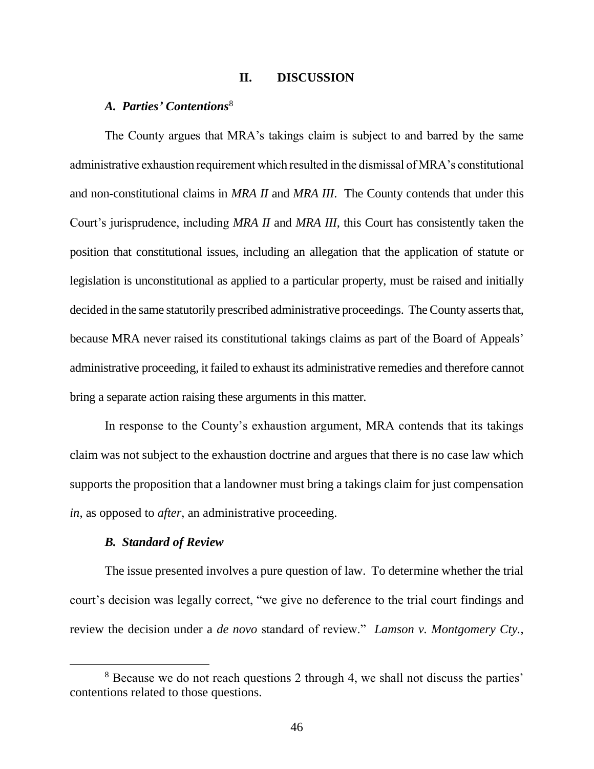## **II. DISCUSSION**

## *A. Parties' Contentions*<sup>8</sup>

The County argues that MRA's takings claim is subject to and barred by the same administrative exhaustion requirement which resulted in the dismissal of MRA's constitutional and non-constitutional claims in *MRA II* and *MRA III*. The County contends that under this Court's jurisprudence, including *MRA II* and *MRA III*, this Court has consistently taken the position that constitutional issues, including an allegation that the application of statute or legislation is unconstitutional as applied to a particular property, must be raised and initially decided in the same statutorily prescribed administrative proceedings. The County asserts that, because MRA never raised its constitutional takings claims as part of the Board of Appeals' administrative proceeding, it failed to exhaust its administrative remedies and therefore cannot bring a separate action raising these arguments in this matter.

In response to the County's exhaustion argument, MRA contends that its takings claim was not subject to the exhaustion doctrine and argues that there is no case law which supports the proposition that a landowner must bring a takings claim for just compensation *in*, as opposed to *after*, an administrative proceeding.

## *B. Standard of Review*

 $\overline{a}$ 

The issue presented involves a pure question of law. To determine whether the trial court's decision was legally correct, "we give no deference to the trial court findings and review the decision under a *de novo* standard of review." *Lamson v. Montgomery Cty.*,

<sup>&</sup>lt;sup>8</sup> Because we do not reach questions 2 through 4, we shall not discuss the parties' contentions related to those questions.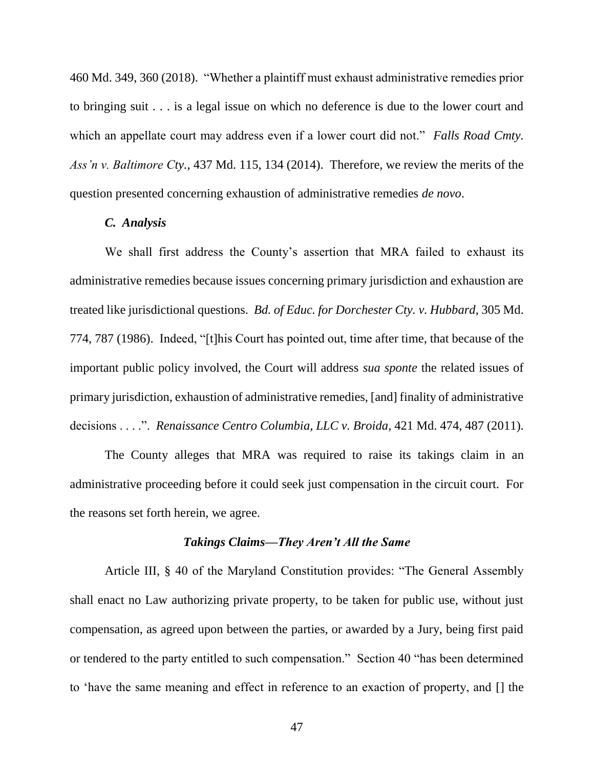460 Md. 349, 360 (2018). "Whether a plaintiff must exhaust administrative remedies prior to bringing suit . . . is a legal issue on which no deference is due to the lower court and which an appellate court may address even if a lower court did not." *Falls Road Cmty. Ass'n v. Baltimore Cty.*, 437 Md. 115, 134 (2014). Therefore, we review the merits of the question presented concerning exhaustion of administrative remedies *de novo*.

#### *C. Analysis*

We shall first address the County's assertion that MRA failed to exhaust its administrative remedies because issues concerning primary jurisdiction and exhaustion are treated like jurisdictional questions. *Bd. of Educ. for Dorchester Cty. v. Hubbard*, 305 Md. 774, 787 (1986). Indeed, "[t]his Court has pointed out, time after time, that because of the important public policy involved, the Court will address *sua sponte* the related issues of primary jurisdiction, exhaustion of administrative remedies, [and] finality of administrative decisions . . . .". *Renaissance Centro Columbia, LLC v. Broida*, 421 Md. 474, 487 (2011).

The County alleges that MRA was required to raise its takings claim in an administrative proceeding before it could seek just compensation in the circuit court. For the reasons set forth herein, we agree.

## *Takings Claims—They Aren't All the Same*

Article III, § 40 of the Maryland Constitution provides: "The General Assembly shall enact no Law authorizing private property, to be taken for public use, without just compensation, as agreed upon between the parties, or awarded by a Jury, being first paid or tendered to the party entitled to such compensation." Section 40 "has been determined to 'have the same meaning and effect in reference to an exaction of property, and [] the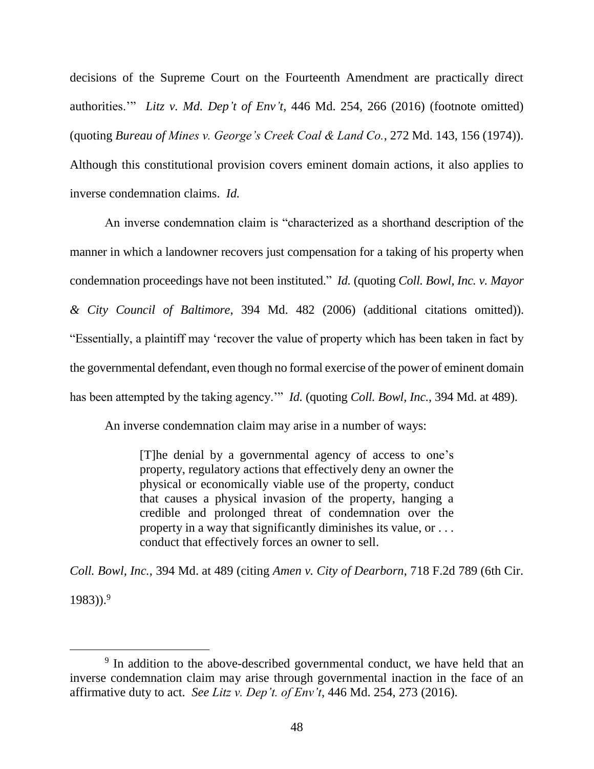decisions of the Supreme Court on the Fourteenth Amendment are practically direct authorities.'" *Litz v. Md. Dep't of Env't*, 446 Md. 254, 266 (2016) (footnote omitted) (quoting *Bureau of Mines v. George's Creek Coal & Land Co.*, 272 Md. 143, 156 (1974)). Although this constitutional provision covers eminent domain actions, it also applies to inverse condemnation claims. *Id.*

An inverse condemnation claim is "characterized as a shorthand description of the manner in which a landowner recovers just compensation for a taking of his property when condemnation proceedings have not been instituted." *Id.* (quoting *Coll. Bowl, Inc. v. Mayor & City Council of Baltimore*, 394 Md. 482 (2006) (additional citations omitted)). "Essentially, a plaintiff may 'recover the value of property which has been taken in fact by the governmental defendant, even though no formal exercise of the power of eminent domain has been attempted by the taking agency.'" *Id.* (quoting *Coll. Bowl, Inc.*, 394 Md. at 489).

An inverse condemnation claim may arise in a number of ways:

[T]he denial by a governmental agency of access to one's property, regulatory actions that effectively deny an owner the physical or economically viable use of the property, conduct that causes a physical invasion of the property, hanging a credible and prolonged threat of condemnation over the property in a way that significantly diminishes its value, or . . . conduct that effectively forces an owner to sell.

*Coll. Bowl, Inc.*, 394 Md. at 489 (citing *Amen v. City of Dearborn*, 718 F.2d 789 (6th Cir. 1983)). 9

 $\overline{a}$ 

<sup>&</sup>lt;sup>9</sup> In addition to the above-described governmental conduct, we have held that an inverse condemnation claim may arise through governmental inaction in the face of an affirmative duty to act. *See Litz v. Dep't. of Env't*, 446 Md. 254, 273 (2016).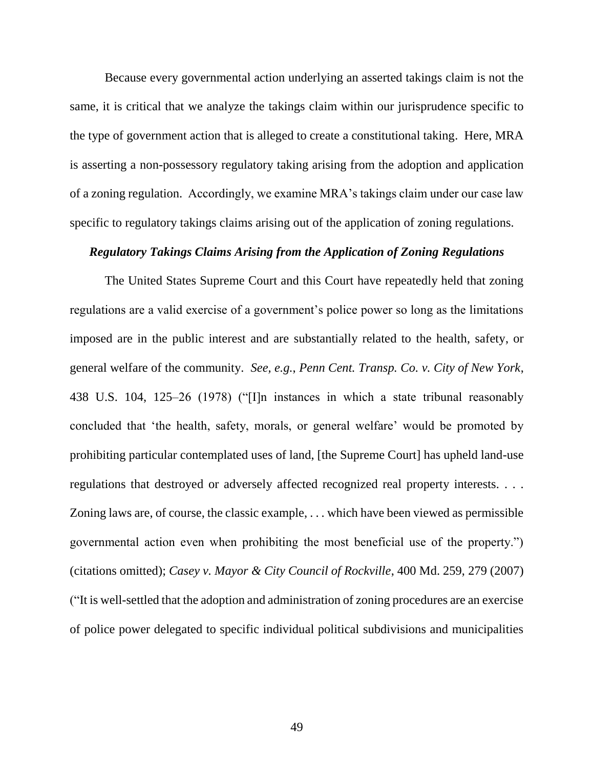Because every governmental action underlying an asserted takings claim is not the same, it is critical that we analyze the takings claim within our jurisprudence specific to the type of government action that is alleged to create a constitutional taking. Here, MRA is asserting a non-possessory regulatory taking arising from the adoption and application of a zoning regulation. Accordingly, we examine MRA's takings claim under our case law specific to regulatory takings claims arising out of the application of zoning regulations.

## *Regulatory Takings Claims Arising from the Application of Zoning Regulations*

The United States Supreme Court and this Court have repeatedly held that zoning regulations are a valid exercise of a government's police power so long as the limitations imposed are in the public interest and are substantially related to the health, safety, or general welfare of the community. *See, e.g.*, *Penn Cent. Transp. Co. v. City of New York*, 438 U.S. 104, 125–26 (1978) ("[I]n instances in which a state tribunal reasonably concluded that 'the health, safety, morals, or general welfare' would be promoted by prohibiting particular contemplated uses of land, [the Supreme Court] has upheld land-use regulations that destroyed or adversely affected recognized real property interests. . . . Zoning laws are, of course, the classic example, . . . which have been viewed as permissible governmental action even when prohibiting the most beneficial use of the property.") (citations omitted); *Casey v. Mayor & City Council of Rockville*, 400 Md. 259, 279 (2007) ("It is well-settled that the adoption and administration of zoning procedures are an exercise of police power delegated to specific individual political subdivisions and municipalities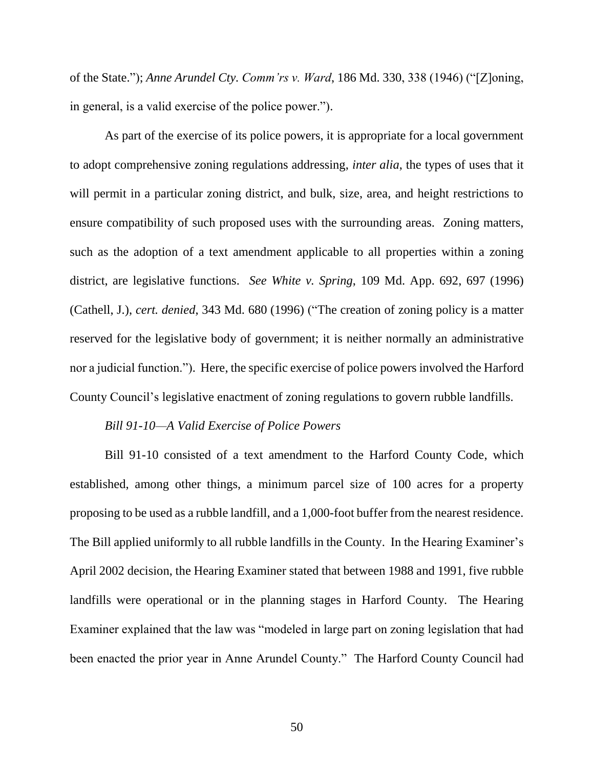of the State."); *Anne Arundel Cty. Comm'rs v. Ward*, 186 Md. 330, 338 (1946) ("[Z]oning, in general, is a valid exercise of the police power.").

As part of the exercise of its police powers, it is appropriate for a local government to adopt comprehensive zoning regulations addressing, *inter alia*, the types of uses that it will permit in a particular zoning district, and bulk, size, area, and height restrictions to ensure compatibility of such proposed uses with the surrounding areas. Zoning matters, such as the adoption of a text amendment applicable to all properties within a zoning district, are legislative functions. *See White v. Spring*, 109 Md. App. 692, 697 (1996) (Cathell, J.), *cert. denied*, 343 Md. 680 (1996) ("The creation of zoning policy is a matter reserved for the legislative body of government; it is neither normally an administrative nor a judicial function."). Here, the specific exercise of police powers involved the Harford County Council's legislative enactment of zoning regulations to govern rubble landfills.

#### *Bill 91-10—A Valid Exercise of Police Powers*

Bill 91-10 consisted of a text amendment to the Harford County Code, which established, among other things, a minimum parcel size of 100 acres for a property proposing to be used as a rubble landfill, and a 1,000-foot buffer from the nearest residence. The Bill applied uniformly to all rubble landfills in the County. In the Hearing Examiner's April 2002 decision, the Hearing Examiner stated that between 1988 and 1991, five rubble landfills were operational or in the planning stages in Harford County. The Hearing Examiner explained that the law was "modeled in large part on zoning legislation that had been enacted the prior year in Anne Arundel County." The Harford County Council had

50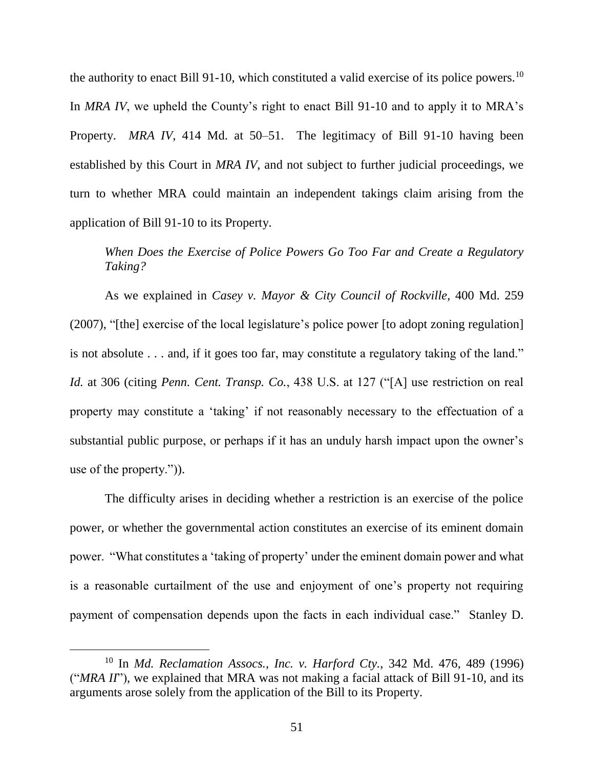the authority to enact Bill 91-10, which constituted a valid exercise of its police powers.<sup>10</sup> In *MRA IV*, we upheld the County's right to enact Bill 91-10 and to apply it to MRA's Property. *MRA IV*, 414 Md. at 50–51. The legitimacy of Bill 91-10 having been established by this Court in *MRA IV*, and not subject to further judicial proceedings, we turn to whether MRA could maintain an independent takings claim arising from the application of Bill 91-10 to its Property.

# *When Does the Exercise of Police Powers Go Too Far and Create a Regulatory Taking?*

As we explained in *Casey v. Mayor & City Council of Rockville*, 400 Md. 259 (2007), "[the] exercise of the local legislature's police power [to adopt zoning regulation] is not absolute . . . and, if it goes too far, may constitute a regulatory taking of the land." *Id.* at 306 (citing *Penn. Cent. Transp. Co.*, 438 U.S. at 127 ("[A] use restriction on real property may constitute a 'taking' if not reasonably necessary to the effectuation of a substantial public purpose, or perhaps if it has an unduly harsh impact upon the owner's use of the property.")).

The difficulty arises in deciding whether a restriction is an exercise of the police power, or whether the governmental action constitutes an exercise of its eminent domain power. "What constitutes a 'taking of property' under the eminent domain power and what is a reasonable curtailment of the use and enjoyment of one's property not requiring payment of compensation depends upon the facts in each individual case." Stanley D.

 $\overline{a}$ 

<sup>10</sup> In *Md. Reclamation Assocs., Inc. v. Harford Cty.*, 342 Md. 476, 489 (1996) ("*MRA II*"), we explained that MRA was not making a facial attack of Bill 91-10, and its arguments arose solely from the application of the Bill to its Property.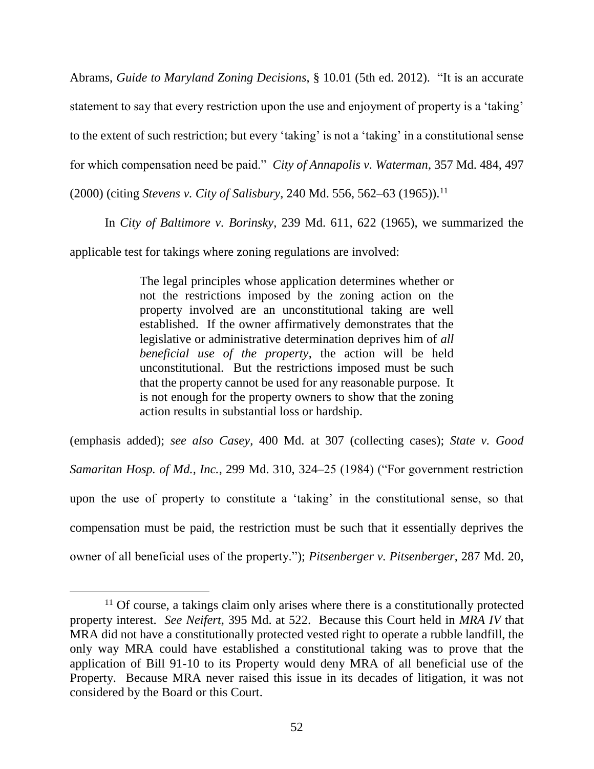Abrams, *Guide to Maryland Zoning Decisions*, § 10.01 (5th ed. 2012). "It is an accurate statement to say that every restriction upon the use and enjoyment of property is a 'taking' to the extent of such restriction; but every 'taking' is not a 'taking' in a constitutional sense for which compensation need be paid." *City of Annapolis v. Waterman*, 357 Md. 484, 497 (2000) (citing *Stevens v. City of Salisbury*, 240 Md. 556, 562–63 (1965)).<sup>11</sup>

In *City of Baltimore v. Borinsky*, 239 Md. 611, 622 (1965), we summarized the applicable test for takings where zoning regulations are involved:

> The legal principles whose application determines whether or not the restrictions imposed by the zoning action on the property involved are an unconstitutional taking are well established. If the owner affirmatively demonstrates that the legislative or administrative determination deprives him of *all beneficial use of the property*, the action will be held unconstitutional. But the restrictions imposed must be such that the property cannot be used for any reasonable purpose. It is not enough for the property owners to show that the zoning action results in substantial loss or hardship.

(emphasis added); *see also Casey*, 400 Md. at 307 (collecting cases); *State v. Good Samaritan Hosp. of Md., Inc.*, 299 Md. 310, 324–25 (1984) ("For government restriction upon the use of property to constitute a 'taking' in the constitutional sense, so that compensation must be paid, the restriction must be such that it essentially deprives the owner of all beneficial uses of the property."); *Pitsenberger v. Pitsenberger*, 287 Md. 20,

 $\overline{a}$ 

<sup>&</sup>lt;sup>11</sup> Of course, a takings claim only arises where there is a constitutionally protected property interest. *See Neifert*, 395 Md. at 522. Because this Court held in *MRA IV* that MRA did not have a constitutionally protected vested right to operate a rubble landfill, the only way MRA could have established a constitutional taking was to prove that the application of Bill 91-10 to its Property would deny MRA of all beneficial use of the Property. Because MRA never raised this issue in its decades of litigation, it was not considered by the Board or this Court.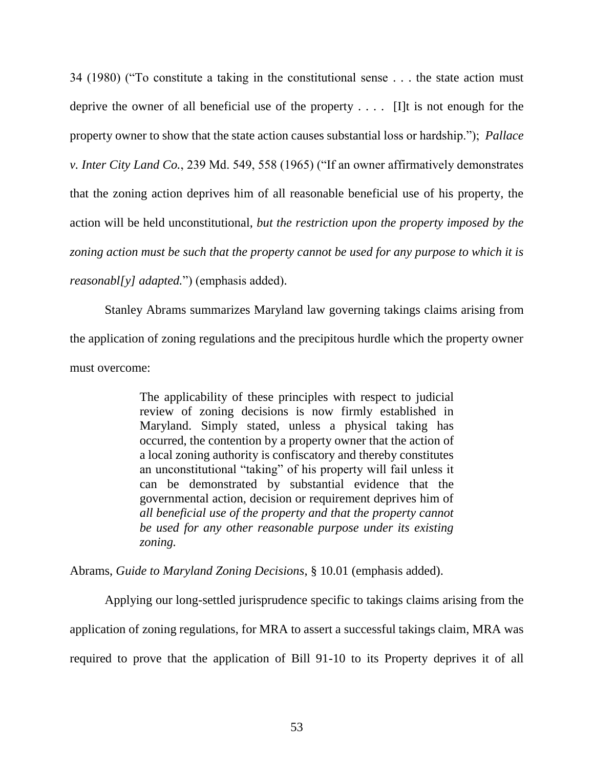34 (1980) ("To constitute a taking in the constitutional sense . . . the state action must deprive the owner of all beneficial use of the property . . . . [I]t is not enough for the property owner to show that the state action causes substantial loss or hardship."); *Pallace v. Inter City Land Co.*, 239 Md. 549, 558 (1965) ("If an owner affirmatively demonstrates that the zoning action deprives him of all reasonable beneficial use of his property, the action will be held unconstitutional, *but the restriction upon the property imposed by the zoning action must be such that the property cannot be used for any purpose to which it is reasonabl[y] adapted.*") (emphasis added).

Stanley Abrams summarizes Maryland law governing takings claims arising from the application of zoning regulations and the precipitous hurdle which the property owner must overcome:

> The applicability of these principles with respect to judicial review of zoning decisions is now firmly established in Maryland. Simply stated, unless a physical taking has occurred, the contention by a property owner that the action of a local zoning authority is confiscatory and thereby constitutes an unconstitutional "taking" of his property will fail unless it can be demonstrated by substantial evidence that the governmental action, decision or requirement deprives him of *all beneficial use of the property and that the property cannot be used for any other reasonable purpose under its existing zoning.*

Abrams, *Guide to Maryland Zoning Decisions*, § 10.01 (emphasis added).

Applying our long-settled jurisprudence specific to takings claims arising from the application of zoning regulations, for MRA to assert a successful takings claim, MRA was required to prove that the application of Bill 91-10 to its Property deprives it of all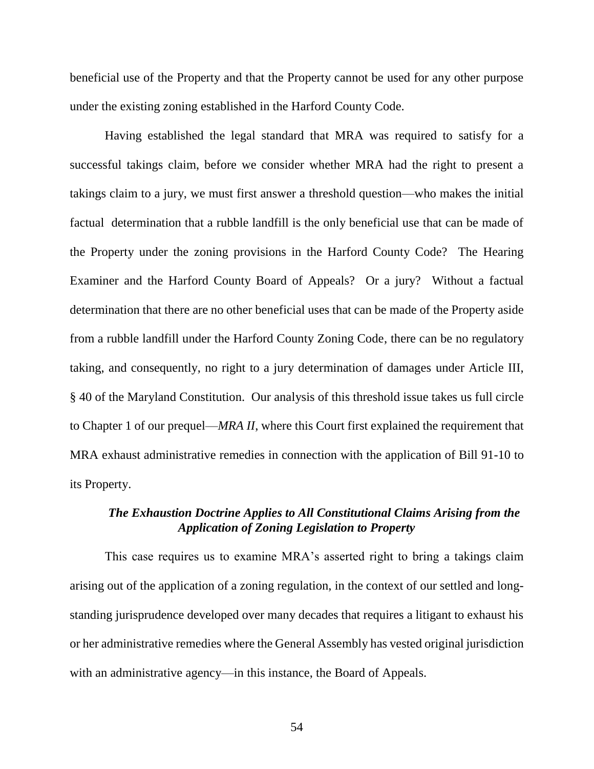beneficial use of the Property and that the Property cannot be used for any other purpose under the existing zoning established in the Harford County Code.

Having established the legal standard that MRA was required to satisfy for a successful takings claim, before we consider whether MRA had the right to present a takings claim to a jury, we must first answer a threshold question—who makes the initial factual determination that a rubble landfill is the only beneficial use that can be made of the Property under the zoning provisions in the Harford County Code? The Hearing Examiner and the Harford County Board of Appeals? Or a jury? Without a factual determination that there are no other beneficial uses that can be made of the Property aside from a rubble landfill under the Harford County Zoning Code, there can be no regulatory taking, and consequently, no right to a jury determination of damages under Article III, § 40 of the Maryland Constitution. Our analysis of this threshold issue takes us full circle to Chapter 1 of our prequel—*MRA II*, where this Court first explained the requirement that MRA exhaust administrative remedies in connection with the application of Bill 91-10 to its Property.

# *The Exhaustion Doctrine Applies to All Constitutional Claims Arising from the Application of Zoning Legislation to Property*

This case requires us to examine MRA's asserted right to bring a takings claim arising out of the application of a zoning regulation, in the context of our settled and longstanding jurisprudence developed over many decades that requires a litigant to exhaust his or her administrative remedies where the General Assembly has vested original jurisdiction with an administrative agency—in this instance, the Board of Appeals.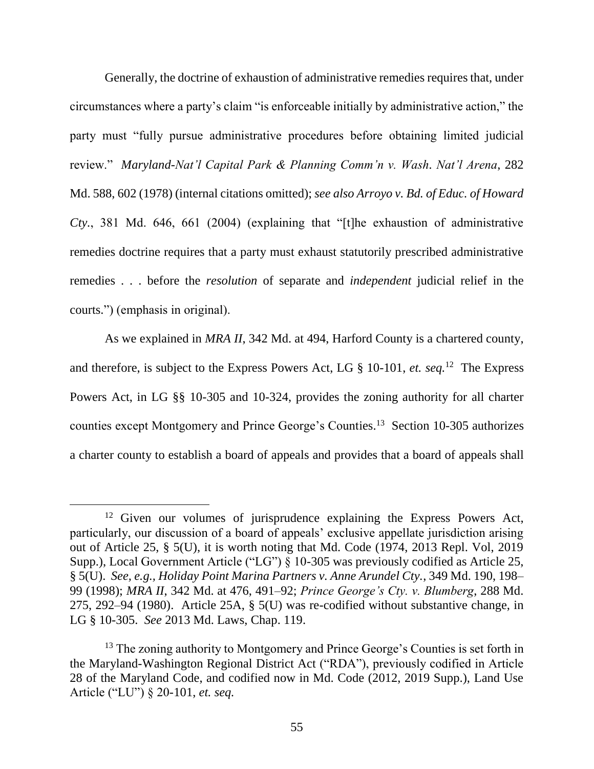Generally, the doctrine of exhaustion of administrative remedies requires that, under circumstances where a party's claim "is enforceable initially by administrative action," the party must "fully pursue administrative procedures before obtaining limited judicial review." *Maryland-Nat'l Capital Park & Planning Comm'n v. Wash. Nat'l Arena*, 282 Md. 588, 602 (1978) (internal citations omitted); *see also Arroyo v. Bd. of Educ. of Howard Cty.*, 381 Md. 646, 661 (2004) (explaining that "[t]he exhaustion of administrative remedies doctrine requires that a party must exhaust statutorily prescribed administrative remedies . . . before the *resolution* of separate and *independent* judicial relief in the courts.") (emphasis in original).

As we explained in *MRA II*, 342 Md. at 494, Harford County is a chartered county, and therefore, is subject to the Express Powers Act, LG § 10-101, *et. seq.*<sup>12</sup> The Express Powers Act, in LG §§ 10-305 and 10-324, provides the zoning authority for all charter counties except Montgomery and Prince George's Counties. <sup>13</sup> Section 10-305 authorizes a charter county to establish a board of appeals and provides that a board of appeals shall

 $\overline{a}$ 

<sup>&</sup>lt;sup>12</sup> Given our volumes of jurisprudence explaining the Express Powers Act, particularly, our discussion of a board of appeals' exclusive appellate jurisdiction arising out of Article 25, § 5(U), it is worth noting that Md. Code (1974, 2013 Repl. Vol, 2019 Supp.), Local Government Article ("LG") § 10-305 was previously codified as Article 25, § 5(U). *See, e.g., Holiday Point Marina Partners v. Anne Arundel Cty.*, 349 Md. 190, 198– 99 (1998); *MRA II*, 342 Md. at 476, 491–92; *Prince George's Cty. v. Blumberg*, 288 Md. 275, 292–94 (1980). Article 25A, § 5(U) was re-codified without substantive change, in LG § 10-305. *See* 2013 Md. Laws, Chap. 119.

<sup>&</sup>lt;sup>13</sup> The zoning authority to Montgomery and Prince George's Counties is set forth in the Maryland-Washington Regional District Act ("RDA"), previously codified in Article 28 of the Maryland Code, and codified now in Md. Code (2012, 2019 Supp.), Land Use Article ("LU") § 20-101, *et. seq.*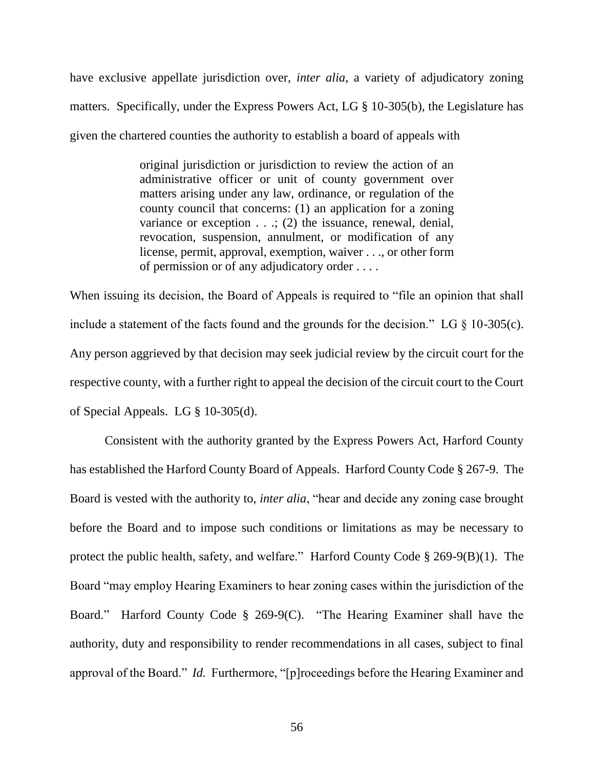have exclusive appellate jurisdiction over, *inter alia*, a variety of adjudicatory zoning matters. Specifically, under the Express Powers Act, LG § 10-305(b), the Legislature has given the chartered counties the authority to establish a board of appeals with

> original jurisdiction or jurisdiction to review the action of an administrative officer or unit of county government over matters arising under any law, ordinance, or regulation of the county council that concerns: (1) an application for a zoning variance or exception . . .; (2) the issuance, renewal, denial, revocation, suspension, annulment, or modification of any license, permit, approval, exemption, waiver . . ., or other form of permission or of any adjudicatory order . . . .

When issuing its decision, the Board of Appeals is required to "file an opinion that shall include a statement of the facts found and the grounds for the decision." LG  $\S$  10-305(c). Any person aggrieved by that decision may seek judicial review by the circuit court for the respective county, with a further right to appeal the decision of the circuit court to the Court of Special Appeals. LG § 10-305(d).

Consistent with the authority granted by the Express Powers Act, Harford County has established the Harford County Board of Appeals. Harford County Code § 267-9. The Board is vested with the authority to, *inter alia*, "hear and decide any zoning case brought before the Board and to impose such conditions or limitations as may be necessary to protect the public health, safety, and welfare." Harford County Code § 269-9(B)(1). The Board "may employ Hearing Examiners to hear zoning cases within the jurisdiction of the Board." Harford County Code § 269-9(C). "The Hearing Examiner shall have the authority, duty and responsibility to render recommendations in all cases, subject to final approval of the Board." *Id.* Furthermore, "[p]roceedings before the Hearing Examiner and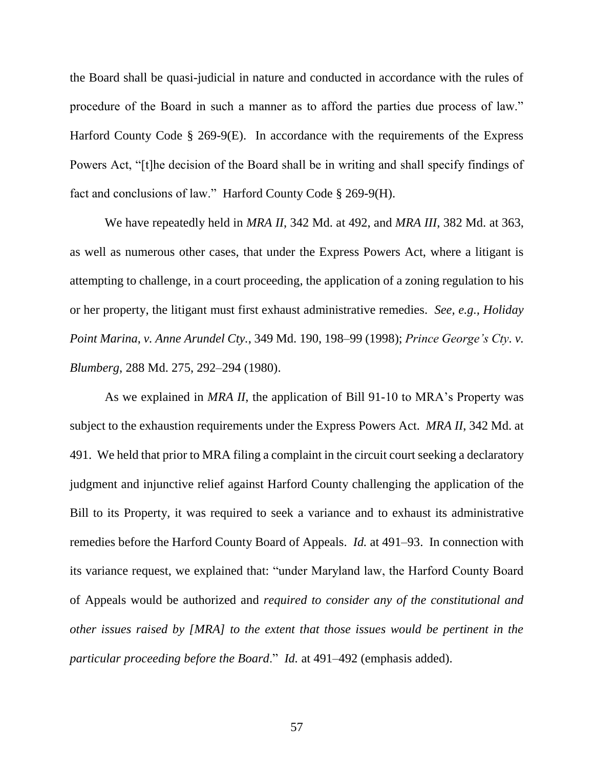the Board shall be quasi-judicial in nature and conducted in accordance with the rules of procedure of the Board in such a manner as to afford the parties due process of law." Harford County Code § 269-9(E). In accordance with the requirements of the Express Powers Act, "[t]he decision of the Board shall be in writing and shall specify findings of fact and conclusions of law." Harford County Code § 269-9(H).

We have repeatedly held in *MRA II*, 342 Md. at 492, and *MRA III*, 382 Md. at 363, as well as numerous other cases, that under the Express Powers Act, where a litigant is attempting to challenge, in a court proceeding, the application of a zoning regulation to his or her property, the litigant must first exhaust administrative remedies. *See, e.g., Holiday Point Marina*, *v. Anne Arundel Cty.*, 349 Md. 190, 198–99 (1998); *Prince George's Cty. v. Blumberg*, 288 Md. 275, 292–294 (1980).

As we explained in *MRA II*, the application of Bill 91-10 to MRA's Property was subject to the exhaustion requirements under the Express Powers Act. *MRA II*, 342 Md. at 491. We held that prior to MRA filing a complaint in the circuit court seeking a declaratory judgment and injunctive relief against Harford County challenging the application of the Bill to its Property, it was required to seek a variance and to exhaust its administrative remedies before the Harford County Board of Appeals. *Id.* at 491–93. In connection with its variance request, we explained that: "under Maryland law, the Harford County Board of Appeals would be authorized and *required to consider any of the constitutional and other issues raised by [MRA] to the extent that those issues would be pertinent in the particular proceeding before the Board*." *Id.* at 491–492 (emphasis added).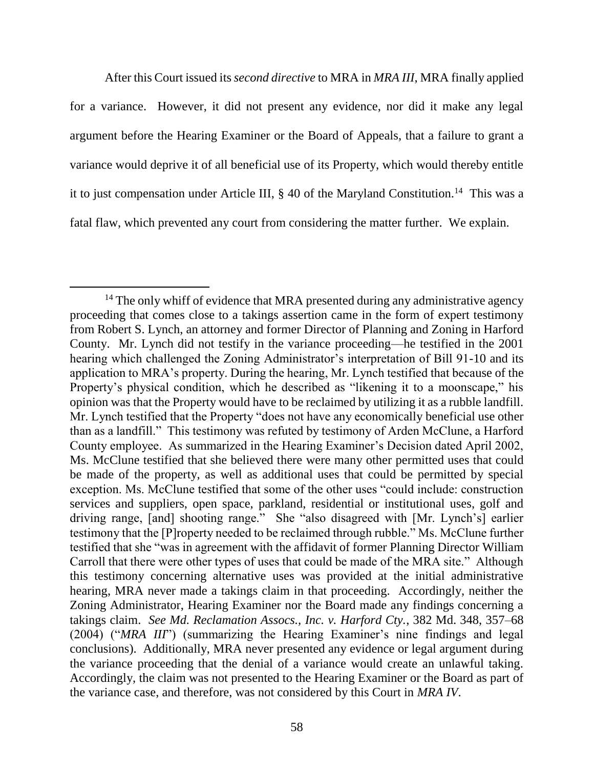After this Court issued its *second directive* to MRA in *MRA III*, MRA finally applied for a variance. However, it did not present any evidence, nor did it make any legal argument before the Hearing Examiner or the Board of Appeals, that a failure to grant a variance would deprive it of all beneficial use of its Property, which would thereby entitle it to just compensation under Article III, § 40 of the Maryland Constitution.<sup>14</sup> This was a fatal flaw, which prevented any court from considering the matter further. We explain.

 $14$  The only whiff of evidence that MRA presented during any administrative agency proceeding that comes close to a takings assertion came in the form of expert testimony from Robert S. Lynch, an attorney and former Director of Planning and Zoning in Harford County. Mr. Lynch did not testify in the variance proceeding—he testified in the 2001 hearing which challenged the Zoning Administrator's interpretation of Bill 91-10 and its application to MRA's property. During the hearing, Mr. Lynch testified that because of the Property's physical condition, which he described as "likening it to a moonscape," his opinion was that the Property would have to be reclaimed by utilizing it as a rubble landfill. Mr. Lynch testified that the Property "does not have any economically beneficial use other than as a landfill." This testimony was refuted by testimony of Arden McClune, a Harford County employee. As summarized in the Hearing Examiner's Decision dated April 2002, Ms. McClune testified that she believed there were many other permitted uses that could be made of the property, as well as additional uses that could be permitted by special exception. Ms. McClune testified that some of the other uses "could include: construction services and suppliers, open space, parkland, residential or institutional uses, golf and driving range, [and] shooting range." She "also disagreed with [Mr. Lynch's] earlier testimony that the [P]roperty needed to be reclaimed through rubble." Ms. McClune further testified that she "was in agreement with the affidavit of former Planning Director William Carroll that there were other types of uses that could be made of the MRA site." Although this testimony concerning alternative uses was provided at the initial administrative hearing, MRA never made a takings claim in that proceeding. Accordingly, neither the Zoning Administrator, Hearing Examiner nor the Board made any findings concerning a takings claim. *See Md. Reclamation Assocs., Inc. v. Harford Cty.*, 382 Md. 348, 357–68 (2004) ("*MRA III*") (summarizing the Hearing Examiner's nine findings and legal conclusions). Additionally, MRA never presented any evidence or legal argument during the variance proceeding that the denial of a variance would create an unlawful taking. Accordingly, the claim was not presented to the Hearing Examiner or the Board as part of the variance case, and therefore, was not considered by this Court in *MRA IV*.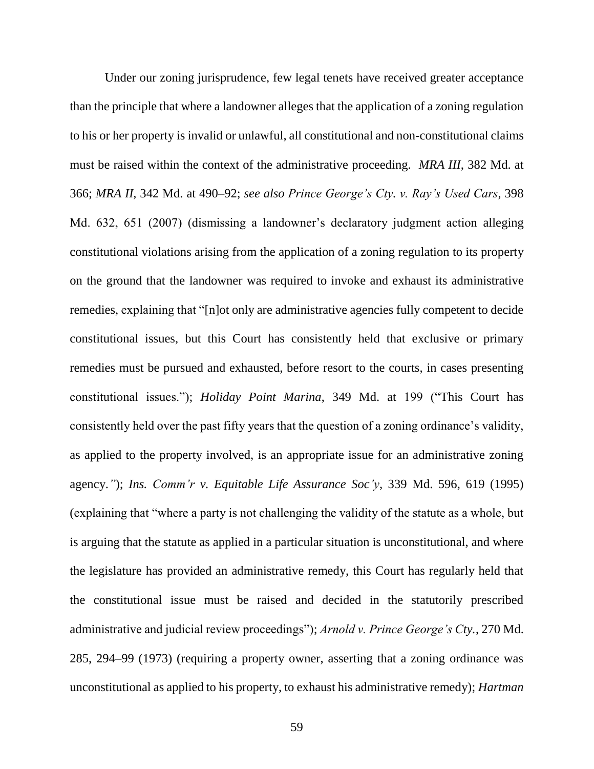Under our zoning jurisprudence, few legal tenets have received greater acceptance than the principle that where a landowner alleges that the application of a zoning regulation to his or her property is invalid or unlawful, all constitutional and non-constitutional claims must be raised within the context of the administrative proceeding. *MRA III*, 382 Md. at 366; *MRA II*, 342 Md. at 490–92; *see also Prince George's Cty. v. Ray's Used Cars*, 398 Md. 632, 651 (2007) (dismissing a landowner's declaratory judgment action alleging constitutional violations arising from the application of a zoning regulation to its property on the ground that the landowner was required to invoke and exhaust its administrative remedies, explaining that "[n]ot only are administrative agencies fully competent to decide constitutional issues, but this Court has consistently held that exclusive or primary remedies must be pursued and exhausted, before resort to the courts, in cases presenting constitutional issues."); *Holiday Point Marina*, 349 Md. at 199 ("This Court has consistently held over the past fifty years that the question of a zoning ordinance's validity, as applied to the property involved, is an appropriate issue for an administrative zoning agency.*"*); *Ins. Comm'r v. Equitable Life Assurance Soc'y*, 339 Md. 596, 619 (1995) (explaining that "where a party is not challenging the validity of the statute as a whole, but is arguing that the statute as applied in a particular situation is unconstitutional, and where the legislature has provided an administrative remedy, this Court has regularly held that the constitutional issue must be raised and decided in the statutorily prescribed administrative and judicial review proceedings"); *Arnold v. Prince George's Cty.*, 270 Md. 285, 294–99 (1973) (requiring a property owner, asserting that a zoning ordinance was unconstitutional as applied to his property, to exhaust his administrative remedy); *Hartman*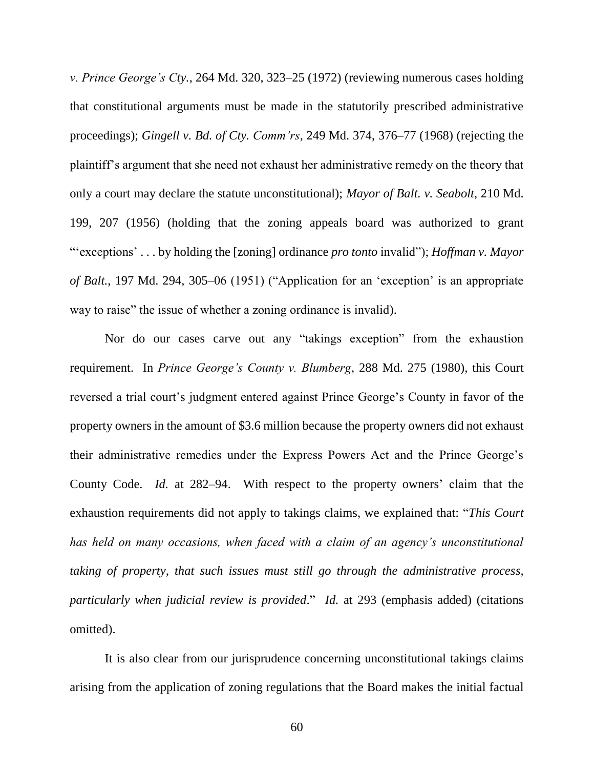*v. Prince George's Cty.*, 264 Md. 320, 323–25 (1972) (reviewing numerous cases holding that constitutional arguments must be made in the statutorily prescribed administrative proceedings); *Gingell v. Bd. of Cty. Comm'rs*, 249 Md. 374, 376–77 (1968) (rejecting the plaintiff's argument that she need not exhaust her administrative remedy on the theory that only a court may declare the statute unconstitutional); *Mayor of Balt. v. Seabolt*, 210 Md. 199, 207 (1956) (holding that the zoning appeals board was authorized to grant "'exceptions' . . . by holding the [zoning] ordinance *pro tonto* invalid"); *Hoffman v. Mayor of Balt.*, 197 Md. 294, 305–06 (1951) ("Application for an 'exception' is an appropriate way to raise" the issue of whether a zoning ordinance is invalid).

Nor do our cases carve out any "takings exception" from the exhaustion requirement. In *Prince George's County v. Blumberg*, 288 Md. 275 (1980), this Court reversed a trial court's judgment entered against Prince George's County in favor of the property owners in the amount of \$3.6 million because the property owners did not exhaust their administrative remedies under the Express Powers Act and the Prince George's County Code. *Id.* at 282–94. With respect to the property owners' claim that the exhaustion requirements did not apply to takings claims, we explained that: "*This Court has held on many occasions, when faced with a claim of an agency's unconstitutional taking of property, that such issues must still go through the administrative process, particularly when judicial review is provided*." *Id.* at 293 (emphasis added) (citations omitted).

It is also clear from our jurisprudence concerning unconstitutional takings claims arising from the application of zoning regulations that the Board makes the initial factual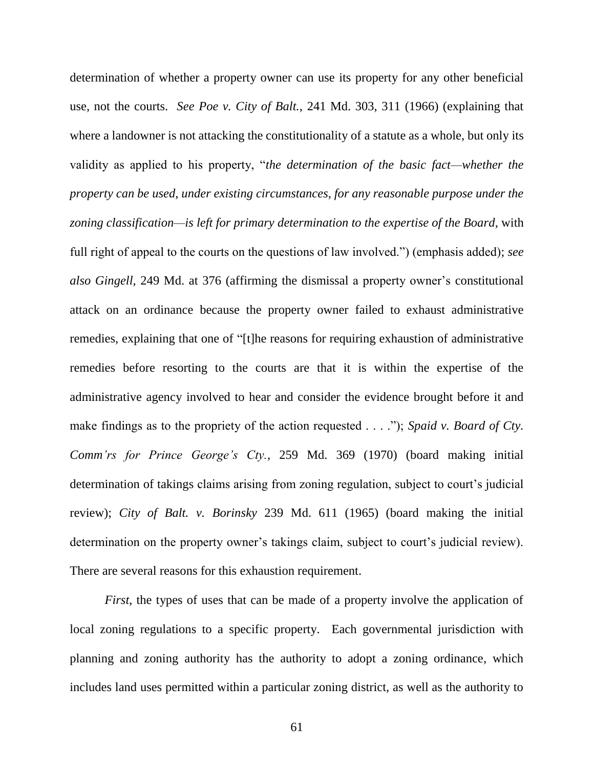determination of whether a property owner can use its property for any other beneficial use, not the courts. *See Poe v. City of Balt.*, 241 Md. 303, 311 (1966) (explaining that where a landowner is not attacking the constitutionality of a statute as a whole, but only its validity as applied to his property, "*the determination of the basic fact—whether the property can be used, under existing circumstances, for any reasonable purpose under the zoning classification—is left for primary determination to the expertise of the Board*, with full right of appeal to the courts on the questions of law involved.") (emphasis added); *see also Gingell*, 249 Md. at 376 (affirming the dismissal a property owner's constitutional attack on an ordinance because the property owner failed to exhaust administrative remedies, explaining that one of "[t]he reasons for requiring exhaustion of administrative remedies before resorting to the courts are that it is within the expertise of the administrative agency involved to hear and consider the evidence brought before it and make findings as to the propriety of the action requested . . . ."); *Spaid v. Board of Cty. Comm'rs for Prince George's Cty.*, 259 Md. 369 (1970) (board making initial determination of takings claims arising from zoning regulation, subject to court's judicial review); *City of Balt. v. Borinsky* 239 Md. 611 (1965) (board making the initial determination on the property owner's takings claim, subject to court's judicial review). There are several reasons for this exhaustion requirement.

*First*, the types of uses that can be made of a property involve the application of local zoning regulations to a specific property. Each governmental jurisdiction with planning and zoning authority has the authority to adopt a zoning ordinance, which includes land uses permitted within a particular zoning district, as well as the authority to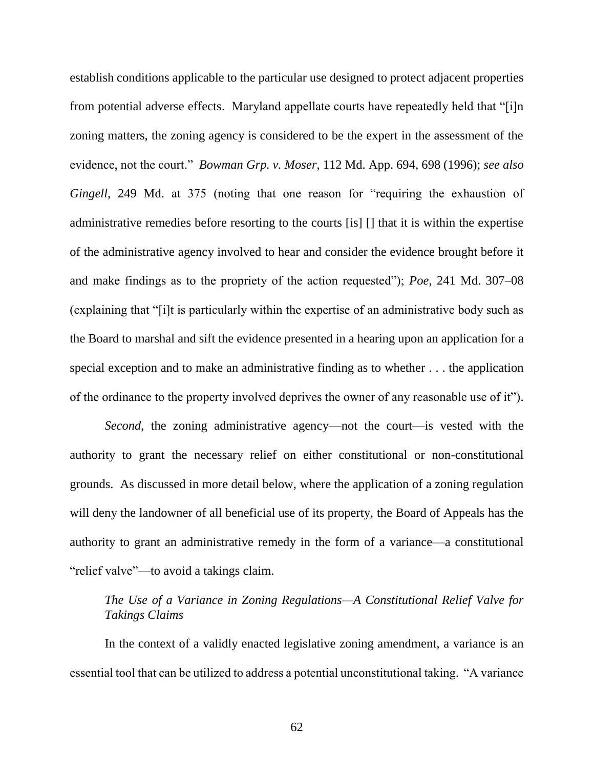establish conditions applicable to the particular use designed to protect adjacent properties from potential adverse effects. Maryland appellate courts have repeatedly held that "[i]n zoning matters, the zoning agency is considered to be the expert in the assessment of the evidence, not the court." *Bowman Grp. v. Moser*, 112 Md. App. 694, 698 (1996); *see also Gingell*, 249 Md. at 375 (noting that one reason for "requiring the exhaustion of administrative remedies before resorting to the courts [is] [] that it is within the expertise of the administrative agency involved to hear and consider the evidence brought before it and make findings as to the propriety of the action requested"); *Poe*, 241 Md. 307–08 (explaining that "[i]t is particularly within the expertise of an administrative body such as the Board to marshal and sift the evidence presented in a hearing upon an application for a special exception and to make an administrative finding as to whether . . . the application of the ordinance to the property involved deprives the owner of any reasonable use of it").

*Second*, the zoning administrative agency—not the court—is vested with the authority to grant the necessary relief on either constitutional or non-constitutional grounds. As discussed in more detail below, where the application of a zoning regulation will deny the landowner of all beneficial use of its property, the Board of Appeals has the authority to grant an administrative remedy in the form of a variance—a constitutional "relief valve"—to avoid a takings claim.

## *The Use of a Variance in Zoning Regulations—A Constitutional Relief Valve for Takings Claims*

In the context of a validly enacted legislative zoning amendment, a variance is an essential tool that can be utilized to address a potential unconstitutional taking. "A variance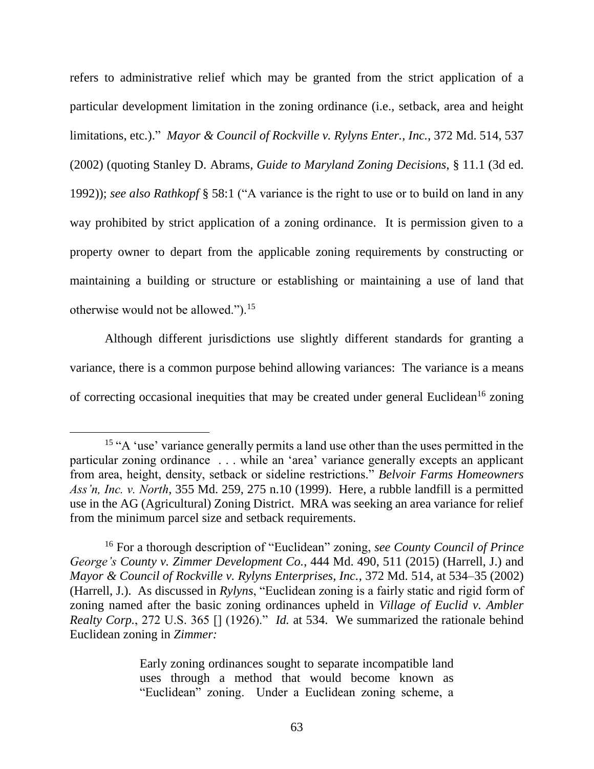refers to administrative relief which may be granted from the strict application of a particular development limitation in the zoning ordinance (i.e., setback, area and height limitations, etc.)." *Mayor & Council of Rockville v. Rylyns Enter., Inc.*, 372 Md. 514, 537 (2002) (quoting Stanley D. Abrams*, Guide to Maryland Zoning Decisions*, § 11.1 (3d ed. 1992)); *see also Rathkopf* § 58:1 ("A variance is the right to use or to build on land in any way prohibited by strict application of a zoning ordinance. It is permission given to a property owner to depart from the applicable zoning requirements by constructing or maintaining a building or structure or establishing or maintaining a use of land that otherwise would not be allowed.").<sup>15</sup>

Although different jurisdictions use slightly different standards for granting a variance, there is a common purpose behind allowing variances: The variance is a means of correcting occasional inequities that may be created under general Euclidean<sup>16</sup> zoning

Early zoning ordinances sought to separate incompatible land uses through a method that would become known as "Euclidean" zoning. Under a Euclidean zoning scheme, a

<sup>&</sup>lt;sup>15</sup> "A 'use' variance generally permits a land use other than the uses permitted in the particular zoning ordinance . . . while an 'area' variance generally excepts an applicant from area, height, density, setback or sideline restrictions." *Belvoir Farms Homeowners Ass'n, Inc. v. North*, 355 Md. 259, 275 n.10 (1999). Here, a rubble landfill is a permitted use in the AG (Agricultural) Zoning District. MRA was seeking an area variance for relief from the minimum parcel size and setback requirements.

<sup>16</sup> For a thorough description of "Euclidean" zoning, *see County Council of Prince George's County v. Zimmer Development Co.*, 444 Md. 490, 511 (2015) (Harrell, J.) and *Mayor & Council of Rockville v. Rylyns Enterprises, Inc.*, 372 Md. 514, at 534–35 (2002) (Harrell, J.). As discussed in *Rylyns*, "Euclidean zoning is a fairly static and rigid form of zoning named after the basic zoning ordinances upheld in *Village of Euclid v. Ambler Realty Corp.*, 272 U.S. 365 [] (1926)." *Id.* at 534. We summarized the rationale behind Euclidean zoning in *Zimmer:*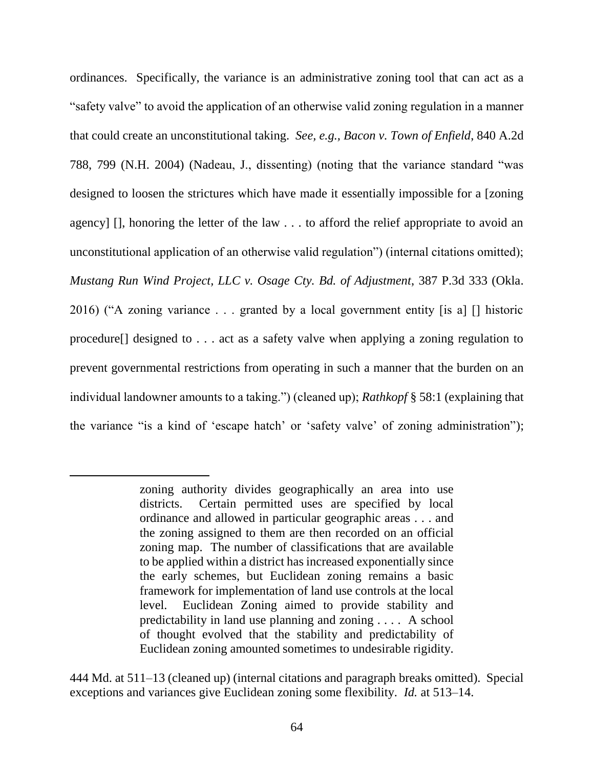ordinances. Specifically, the variance is an administrative zoning tool that can act as a "safety valve" to avoid the application of an otherwise valid zoning regulation in a manner that could create an unconstitutional taking. *See, e.g., Bacon v. Town of Enfield*, 840 A.2d 788, 799 (N.H. 2004) (Nadeau, J., dissenting) (noting that the variance standard "was designed to loosen the strictures which have made it essentially impossible for a [zoning agency] [], honoring the letter of the law . . . to afford the relief appropriate to avoid an unconstitutional application of an otherwise valid regulation") (internal citations omitted); *Mustang Run Wind Project, LLC v. Osage Cty. Bd. of Adjustment*, 387 P.3d 333 (Okla. 2016) ("A zoning variance . . . granted by a local government entity [is a] [] historic procedure[] designed to . . . act as a safety valve when applying a zoning regulation to prevent governmental restrictions from operating in such a manner that the burden on an individual landowner amounts to a taking.") (cleaned up); *Rathkopf* § 58:1 (explaining that the variance "is a kind of 'escape hatch' or 'safety valve' of zoning administration");

 $\overline{a}$ 

444 Md. at 511–13 (cleaned up) (internal citations and paragraph breaks omitted). Special exceptions and variances give Euclidean zoning some flexibility. *Id.* at 513–14.

zoning authority divides geographically an area into use districts. Certain permitted uses are specified by local ordinance and allowed in particular geographic areas . . . and the zoning assigned to them are then recorded on an official zoning map. The number of classifications that are available to be applied within a district has increased exponentially since the early schemes, but Euclidean zoning remains a basic framework for implementation of land use controls at the local level. Euclidean Zoning aimed to provide stability and predictability in land use planning and zoning . . . . A school of thought evolved that the stability and predictability of Euclidean zoning amounted sometimes to undesirable rigidity.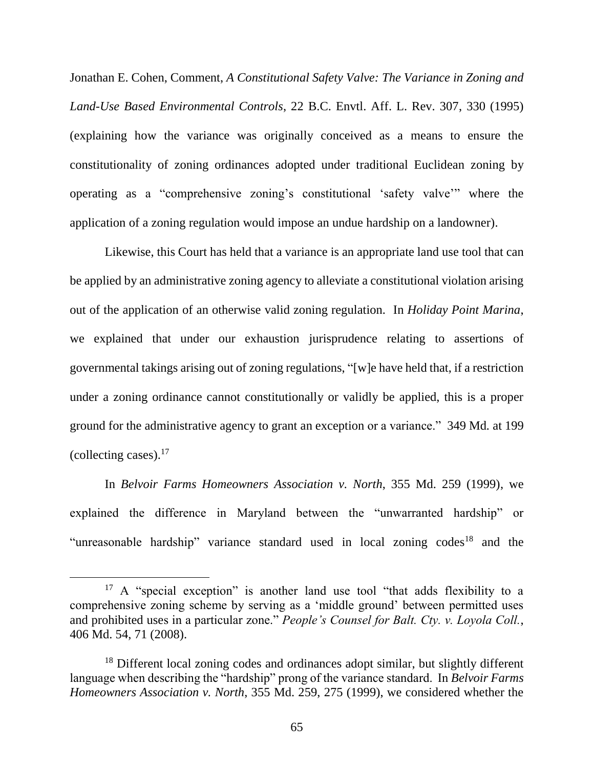Jonathan E. Cohen, Comment, *A Constitutional Safety Valve: The Variance in Zoning and Land-Use Based Environmental Controls*, 22 B.C. Envtl. Aff. L. Rev. 307, 330 (1995) (explaining how the variance was originally conceived as a means to ensure the constitutionality of zoning ordinances adopted under traditional Euclidean zoning by operating as a "comprehensive zoning's constitutional 'safety valve'" where the application of a zoning regulation would impose an undue hardship on a landowner).

Likewise, this Court has held that a variance is an appropriate land use tool that can be applied by an administrative zoning agency to alleviate a constitutional violation arising out of the application of an otherwise valid zoning regulation. In *Holiday Point Marina*, we explained that under our exhaustion jurisprudence relating to assertions of governmental takings arising out of zoning regulations, "[w]e have held that, if a restriction under a zoning ordinance cannot constitutionally or validly be applied, this is a proper ground for the administrative agency to grant an exception or a variance." 349 Md*.* at 199 (collecting cases). $17$ 

In *Belvoir Farms Homeowners Association v. North*, 355 Md. 259 (1999), we explained the difference in Maryland between the "unwarranted hardship" or "unreasonable hardship" variance standard used in local zoning  $codes^{18}$  and the

 $\overline{a}$ 

 $17$  A "special exception" is another land use tool "that adds flexibility to a comprehensive zoning scheme by serving as a 'middle ground' between permitted uses and prohibited uses in a particular zone." *People's Counsel for Balt. Cty. v. Loyola Coll.*, 406 Md. 54, 71 (2008).

<sup>&</sup>lt;sup>18</sup> Different local zoning codes and ordinances adopt similar, but slightly different language when describing the "hardship" prong of the variance standard. In *Belvoir Farms Homeowners Association v. North*, 355 Md. 259, 275 (1999), we considered whether the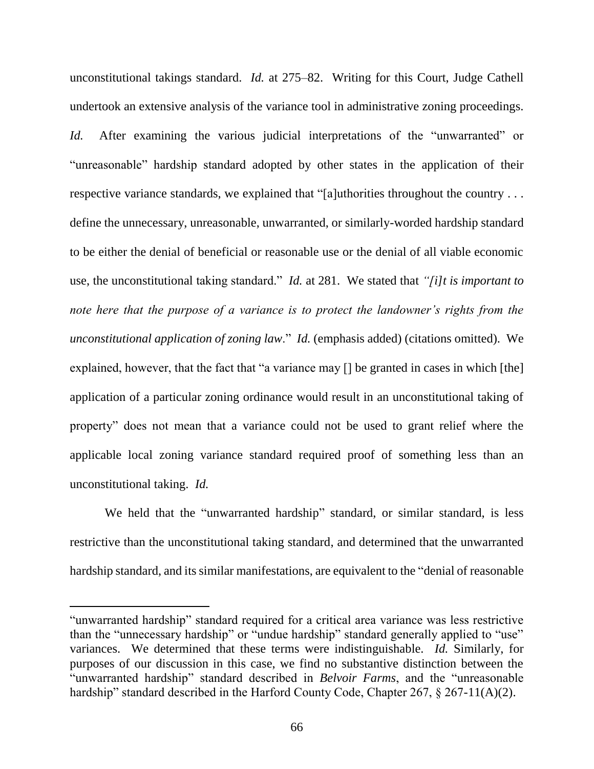unconstitutional takings standard. *Id.* at 275–82. Writing for this Court, Judge Cathell undertook an extensive analysis of the variance tool in administrative zoning proceedings. *Id.* After examining the various judicial interpretations of the "unwarranted" or "unreasonable" hardship standard adopted by other states in the application of their respective variance standards, we explained that "[a]uthorities throughout the country . . . define the unnecessary, unreasonable, unwarranted, or similarly-worded hardship standard to be either the denial of beneficial or reasonable use or the denial of all viable economic use, the unconstitutional taking standard." *Id.* at 281. We stated that *"[i]t is important to note here that the purpose of a variance is to protect the landowner's rights from the unconstitutional application of zoning law.*" *Id.* (emphasis added) (citations omitted). We explained, however, that the fact that "a variance may [] be granted in cases in which [the] application of a particular zoning ordinance would result in an unconstitutional taking of property" does not mean that a variance could not be used to grant relief where the applicable local zoning variance standard required proof of something less than an unconstitutional taking. *Id.* 

We held that the "unwarranted hardship" standard, or similar standard, is less restrictive than the unconstitutional taking standard, and determined that the unwarranted hardship standard, and its similar manifestations, are equivalent to the "denial of reasonable

 $\overline{a}$ 

<sup>&</sup>quot;unwarranted hardship" standard required for a critical area variance was less restrictive than the "unnecessary hardship" or "undue hardship" standard generally applied to "use" variances. We determined that these terms were indistinguishable. *Id.* Similarly, for purposes of our discussion in this case, we find no substantive distinction between the "unwarranted hardship" standard described in *Belvoir Farms*, and the "unreasonable hardship" standard described in the Harford County Code, Chapter 267, § 267-11(A)(2).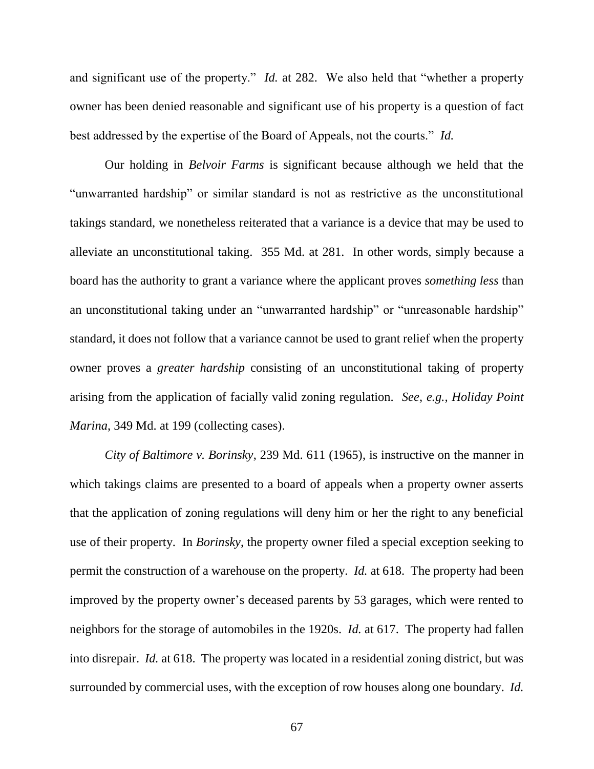and significant use of the property." *Id.* at 282. We also held that "whether a property owner has been denied reasonable and significant use of his property is a question of fact best addressed by the expertise of the Board of Appeals, not the courts." *Id.*

Our holding in *Belvoir Farms* is significant because although we held that the "unwarranted hardship" or similar standard is not as restrictive as the unconstitutional takings standard, we nonetheless reiterated that a variance is a device that may be used to alleviate an unconstitutional taking. 355 Md. at 281. In other words, simply because a board has the authority to grant a variance where the applicant proves *something less* than an unconstitutional taking under an "unwarranted hardship" or "unreasonable hardship" standard, it does not follow that a variance cannot be used to grant relief when the property owner proves a *greater hardship* consisting of an unconstitutional taking of property arising from the application of facially valid zoning regulation. *See, e.g., Holiday Point Marina*, 349 Md. at 199 (collecting cases).

*City of Baltimore v. Borinsky*, 239 Md. 611 (1965), is instructive on the manner in which takings claims are presented to a board of appeals when a property owner asserts that the application of zoning regulations will deny him or her the right to any beneficial use of their property. In *Borinsky*, the property owner filed a special exception seeking to permit the construction of a warehouse on the property. *Id.* at 618. The property had been improved by the property owner's deceased parents by 53 garages, which were rented to neighbors for the storage of automobiles in the 1920s. *Id.* at 617. The property had fallen into disrepair. *Id.* at 618. The property was located in a residential zoning district, but was surrounded by commercial uses, with the exception of row houses along one boundary. *Id.*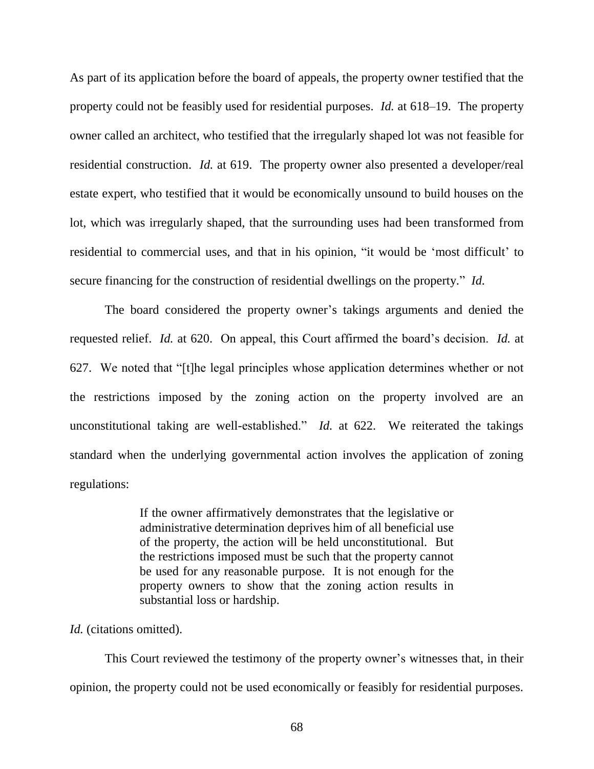As part of its application before the board of appeals, the property owner testified that the property could not be feasibly used for residential purposes. *Id.* at 618–19. The property owner called an architect, who testified that the irregularly shaped lot was not feasible for residential construction. *Id.* at 619. The property owner also presented a developer/real estate expert, who testified that it would be economically unsound to build houses on the lot, which was irregularly shaped, that the surrounding uses had been transformed from residential to commercial uses, and that in his opinion, "it would be 'most difficult' to secure financing for the construction of residential dwellings on the property." *Id.*

The board considered the property owner's takings arguments and denied the requested relief. *Id.* at 620. On appeal, this Court affirmed the board's decision. *Id.* at 627. We noted that "[t]he legal principles whose application determines whether or not the restrictions imposed by the zoning action on the property involved are an unconstitutional taking are well-established." *Id.* at 622. We reiterated the takings standard when the underlying governmental action involves the application of zoning regulations:

> If the owner affirmatively demonstrates that the legislative or administrative determination deprives him of all beneficial use of the property, the action will be held unconstitutional. But the restrictions imposed must be such that the property cannot be used for any reasonable purpose. It is not enough for the property owners to show that the zoning action results in substantial loss or hardship.

## *Id.* (citations omitted).

This Court reviewed the testimony of the property owner's witnesses that, in their opinion, the property could not be used economically or feasibly for residential purposes.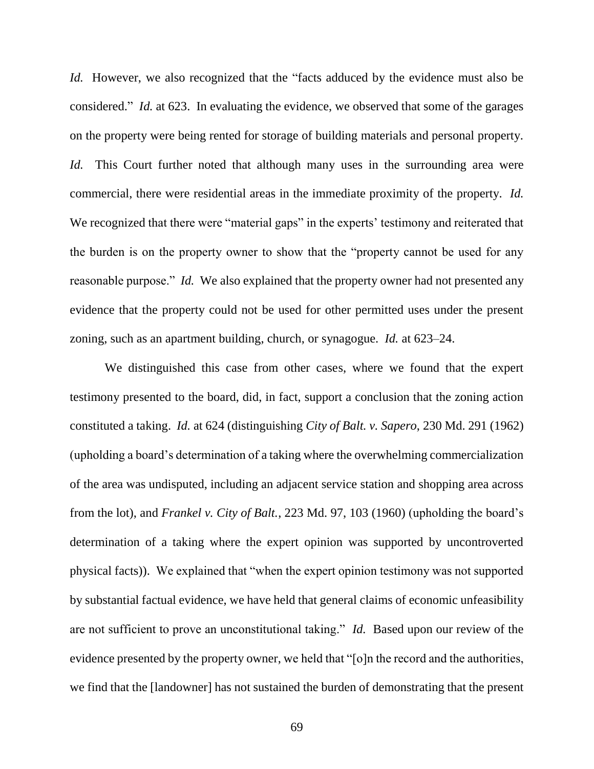*Id.* However, we also recognized that the "facts adduced by the evidence must also be considered." *Id.* at 623. In evaluating the evidence, we observed that some of the garages on the property were being rented for storage of building materials and personal property. *Id.* This Court further noted that although many uses in the surrounding area were commercial, there were residential areas in the immediate proximity of the property. *Id.* We recognized that there were "material gaps" in the experts' testimony and reiterated that the burden is on the property owner to show that the "property cannot be used for any reasonable purpose." *Id.* We also explained that the property owner had not presented any evidence that the property could not be used for other permitted uses under the present zoning, such as an apartment building, church, or synagogue. *Id.* at 623–24.

We distinguished this case from other cases, where we found that the expert testimony presented to the board, did, in fact, support a conclusion that the zoning action constituted a taking. *Id.* at 624 (distinguishing *City of Balt. v. Sapero*, 230 Md. 291 (1962) (upholding a board's determination of a taking where the overwhelming commercialization of the area was undisputed, including an adjacent service station and shopping area across from the lot), and *Frankel v. City of Balt.*, 223 Md. 97, 103 (1960) (upholding the board's determination of a taking where the expert opinion was supported by uncontroverted physical facts)). We explained that "when the expert opinion testimony was not supported by substantial factual evidence, we have held that general claims of economic unfeasibility are not sufficient to prove an unconstitutional taking." *Id.* Based upon our review of the evidence presented by the property owner, we held that "[o]n the record and the authorities, we find that the [landowner] has not sustained the burden of demonstrating that the present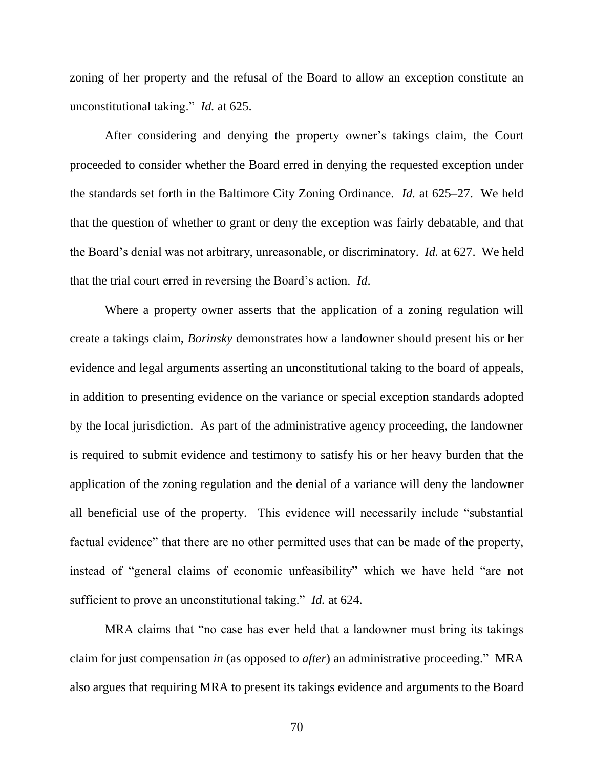zoning of her property and the refusal of the Board to allow an exception constitute an unconstitutional taking." *Id.* at 625.

After considering and denying the property owner's takings claim, the Court proceeded to consider whether the Board erred in denying the requested exception under the standards set forth in the Baltimore City Zoning Ordinance. *Id.* at 625–27. We held that the question of whether to grant or deny the exception was fairly debatable, and that the Board's denial was not arbitrary, unreasonable, or discriminatory. *Id.* at 627. We held that the trial court erred in reversing the Board's action. *Id*.

Where a property owner asserts that the application of a zoning regulation will create a takings claim, *Borinsky* demonstrates how a landowner should present his or her evidence and legal arguments asserting an unconstitutional taking to the board of appeals, in addition to presenting evidence on the variance or special exception standards adopted by the local jurisdiction. As part of the administrative agency proceeding, the landowner is required to submit evidence and testimony to satisfy his or her heavy burden that the application of the zoning regulation and the denial of a variance will deny the landowner all beneficial use of the property. This evidence will necessarily include "substantial factual evidence" that there are no other permitted uses that can be made of the property, instead of "general claims of economic unfeasibility" which we have held "are not sufficient to prove an unconstitutional taking." *Id.* at 624.

MRA claims that "no case has ever held that a landowner must bring its takings claim for just compensation *in* (as opposed to *after*) an administrative proceeding." MRA also argues that requiring MRA to present its takings evidence and arguments to the Board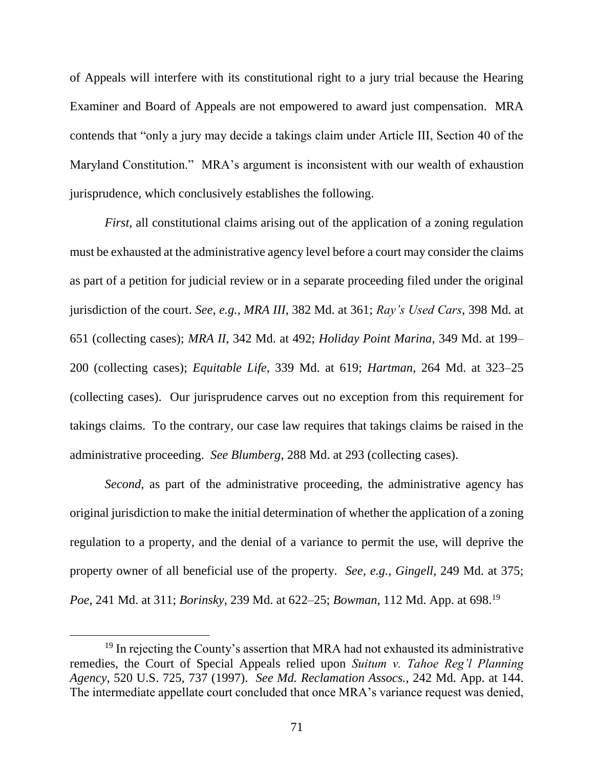of Appeals will interfere with its constitutional right to a jury trial because the Hearing Examiner and Board of Appeals are not empowered to award just compensation. MRA contends that "only a jury may decide a takings claim under Article III, Section 40 of the Maryland Constitution." MRA's argument is inconsistent with our wealth of exhaustion jurisprudence, which conclusively establishes the following.

*First*, all constitutional claims arising out of the application of a zoning regulation must be exhausted at the administrative agency level before a court may consider the claims as part of a petition for judicial review or in a separate proceeding filed under the original jurisdiction of the court. *See, e.g., MRA III*, 382 Md. at 361; *Ray's Used Cars*, 398 Md. at 651 (collecting cases); *MRA II*, 342 Md. at 492; *Holiday Point Marina*, 349 Md. at 199– 200 (collecting cases); *Equitable Life*, 339 Md. at 619; *Hartman*, 264 Md. at 323–25 (collecting cases). Our jurisprudence carves out no exception from this requirement for takings claims. To the contrary, our case law requires that takings claims be raised in the administrative proceeding. *See Blumberg*, 288 Md. at 293 (collecting cases).

*Second,* as part of the administrative proceeding, the administrative agency has original jurisdiction to make the initial determination of whether the application of a zoning regulation to a property, and the denial of a variance to permit the use, will deprive the property owner of all beneficial use of the property. *See, e.g., Gingell*, 249 Md. at 375; *Poe*, 241 Md. at 311; *Borinsky*, 239 Md. at 622–25; *Bowman*, 112 Md. App. at 698. 19

<sup>&</sup>lt;sup>19</sup> In rejecting the County's assertion that MRA had not exhausted its administrative remedies, the Court of Special Appeals relied upon *Suitum v. Tahoe Reg'l Planning Agency*, 520 U.S. 725, 737 (1997). *See Md. Reclamation Assocs.*, 242 Md. App. at 144. The intermediate appellate court concluded that once MRA's variance request was denied,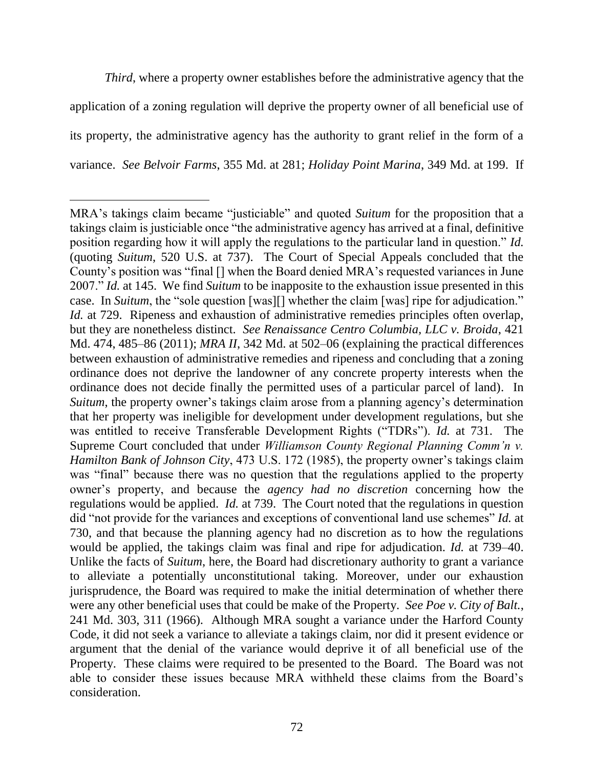*Third*, where a property owner establishes before the administrative agency that the application of a zoning regulation will deprive the property owner of all beneficial use of its property, the administrative agency has the authority to grant relief in the form of a variance. *See Belvoir Farms*, 355 Md. at 281; *Holiday Point Marina*, 349 Md. at 199. If

 MRA's takings claim became "justiciable" and quoted *Suitum* for the proposition that a takings claim is justiciable once "the administrative agency has arrived at a final, definitive position regarding how it will apply the regulations to the particular land in question." *Id.* (quoting *Suitum*, 520 U.S. at 737). The Court of Special Appeals concluded that the County's position was "final [] when the Board denied MRA's requested variances in June 2007." *Id.* at 145. We find *Suitum* to be inapposite to the exhaustion issue presented in this case. In *Suitum*, the "sole question [was][] whether the claim [was] ripe for adjudication." *Id.* at 729. Ripeness and exhaustion of administrative remedies principles often overlap, but they are nonetheless distinct. *See Renaissance Centro Columbia, LLC v. Broida*, 421 Md. 474, 485–86 (2011); *MRA II*, 342 Md. at 502–06 (explaining the practical differences between exhaustion of administrative remedies and ripeness and concluding that a zoning ordinance does not deprive the landowner of any concrete property interests when the ordinance does not decide finally the permitted uses of a particular parcel of land). In *Suitum*, the property owner's takings claim arose from a planning agency's determination that her property was ineligible for development under development regulations, but she was entitled to receive Transferable Development Rights ("TDRs"). *Id.* at 731. The Supreme Court concluded that under *Williamson County Regional Planning Comm'n v. Hamilton Bank of Johnson City*, 473 U.S. 172 (1985), the property owner's takings claim was "final" because there was no question that the regulations applied to the property owner's property, and because the *agency had no discretion* concerning how the regulations would be applied. *Id.* at 739. The Court noted that the regulations in question did "not provide for the variances and exceptions of conventional land use schemes" *Id.* at 730, and that because the planning agency had no discretion as to how the regulations would be applied, the takings claim was final and ripe for adjudication. *Id.* at 739–40. Unlike the facts of *Suitum*, here, the Board had discretionary authority to grant a variance to alleviate a potentially unconstitutional taking. Moreover, under our exhaustion jurisprudence, the Board was required to make the initial determination of whether there were any other beneficial uses that could be make of the Property. *See Poe v. City of Balt.*, 241 Md. 303, 311 (1966). Although MRA sought a variance under the Harford County Code, it did not seek a variance to alleviate a takings claim, nor did it present evidence or argument that the denial of the variance would deprive it of all beneficial use of the Property. These claims were required to be presented to the Board. The Board was not able to consider these issues because MRA withheld these claims from the Board's consideration.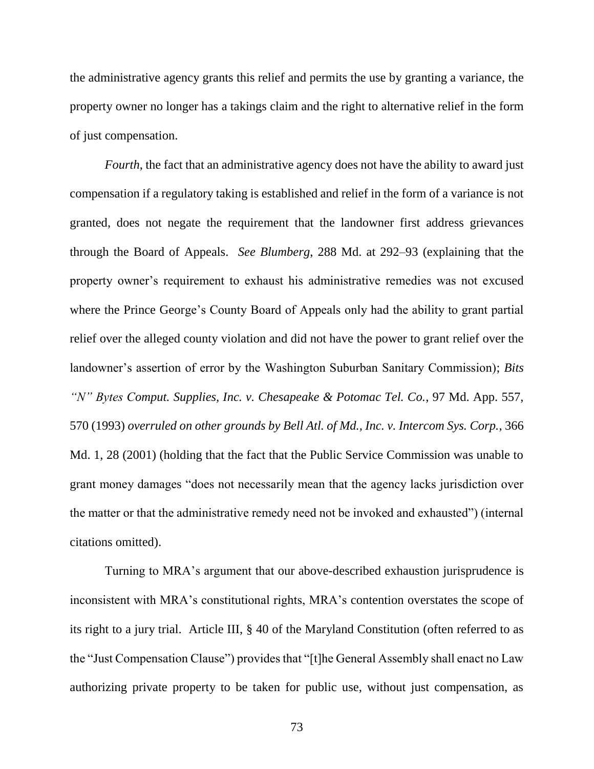the administrative agency grants this relief and permits the use by granting a variance, the property owner no longer has a takings claim and the right to alternative relief in the form of just compensation.

*Fourth*, the fact that an administrative agency does not have the ability to award just compensation if a regulatory taking is established and relief in the form of a variance is not granted, does not negate the requirement that the landowner first address grievances through the Board of Appeals. *See Blumberg*, 288 Md. at 292–93 (explaining that the property owner's requirement to exhaust his administrative remedies was not excused where the Prince George's County Board of Appeals only had the ability to grant partial relief over the alleged county violation and did not have the power to grant relief over the landowner's assertion of error by the Washington Suburban Sanitary Commission); *Bits "N" Bytes Comput. Supplies, Inc. v. Chesapeake & Potomac Tel. Co.*, 97 Md. App. 557, 570 (1993) *overruled on other grounds by Bell Atl. of Md., Inc. v. Intercom Sys. Corp.*, 366 Md. 1, 28 (2001) (holding that the fact that the Public Service Commission was unable to grant money damages "does not necessarily mean that the agency lacks jurisdiction over the matter or that the administrative remedy need not be invoked and exhausted") (internal citations omitted).

Turning to MRA's argument that our above-described exhaustion jurisprudence is inconsistent with MRA's constitutional rights, MRA's contention overstates the scope of its right to a jury trial. Article III, § 40 of the Maryland Constitution (often referred to as the "Just Compensation Clause") provides that "[t]he General Assembly shall enact no Law authorizing private property to be taken for public use, without just compensation, as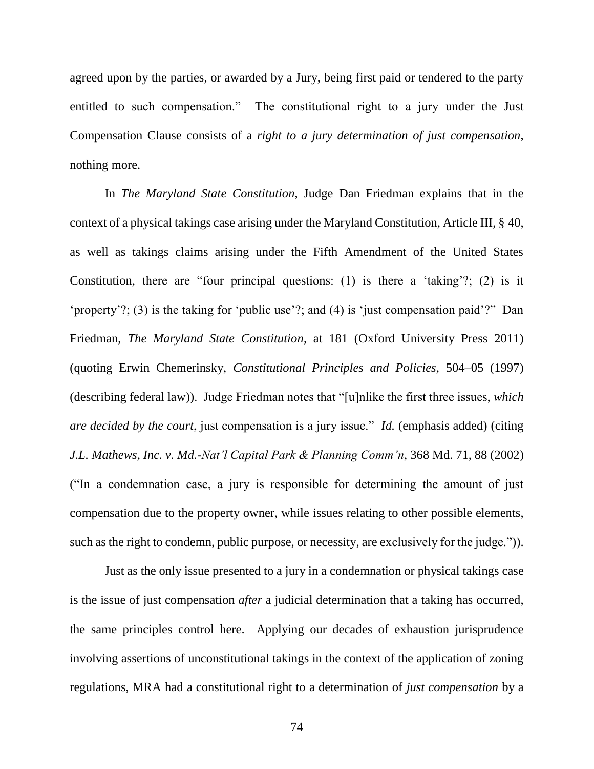agreed upon by the parties, or awarded by a Jury, being first paid or tendered to the party entitled to such compensation." The constitutional right to a jury under the Just Compensation Clause consists of a *right to a jury determination of just compensation*, nothing more.

In *The Maryland State Constitution*, Judge Dan Friedman explains that in the context of a physical takings case arising under the Maryland Constitution, Article III, § 40, as well as takings claims arising under the Fifth Amendment of the United States Constitution, there are "four principal questions: (1) is there a 'taking'?; (2) is it 'property'?; (3) is the taking for 'public use'?; and (4) is 'just compensation paid'?" Dan Friedman, *The Maryland State Constitution*, at 181 (Oxford University Press 2011) (quoting Erwin Chemerinsky, *Constitutional Principles and Policies*, 504–05 (1997) (describing federal law)). Judge Friedman notes that "[u]nlike the first three issues, *which are decided by the court*, just compensation is a jury issue." *Id.* (emphasis added) (citing *J.L. Mathews, Inc. v. Md.-Nat'l Capital Park & Planning Comm'n*, 368 Md. 71, 88 (2002) ("In a condemnation case, a jury is responsible for determining the amount of just compensation due to the property owner, while issues relating to other possible elements, such as the right to condemn, public purpose, or necessity, are exclusively for the judge.")).

Just as the only issue presented to a jury in a condemnation or physical takings case is the issue of just compensation *after* a judicial determination that a taking has occurred, the same principles control here. Applying our decades of exhaustion jurisprudence involving assertions of unconstitutional takings in the context of the application of zoning regulations, MRA had a constitutional right to a determination of *just compensation* by a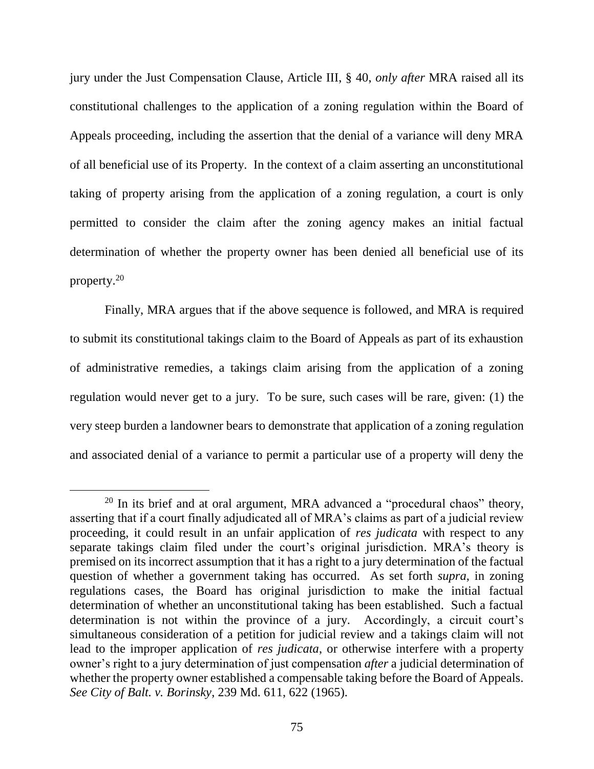jury under the Just Compensation Clause, Article III, § 40, *only after* MRA raised all its constitutional challenges to the application of a zoning regulation within the Board of Appeals proceeding, including the assertion that the denial of a variance will deny MRA of all beneficial use of its Property. In the context of a claim asserting an unconstitutional taking of property arising from the application of a zoning regulation, a court is only permitted to consider the claim after the zoning agency makes an initial factual determination of whether the property owner has been denied all beneficial use of its property. 20

Finally, MRA argues that if the above sequence is followed, and MRA is required to submit its constitutional takings claim to the Board of Appeals as part of its exhaustion of administrative remedies, a takings claim arising from the application of a zoning regulation would never get to a jury. To be sure, such cases will be rare, given: (1) the very steep burden a landowner bears to demonstrate that application of a zoning regulation and associated denial of a variance to permit a particular use of a property will deny the

 $\overline{a}$ 

 $20$  In its brief and at oral argument, MRA advanced a "procedural chaos" theory, asserting that if a court finally adjudicated all of MRA's claims as part of a judicial review proceeding, it could result in an unfair application of *res judicata* with respect to any separate takings claim filed under the court's original jurisdiction. MRA's theory is premised on its incorrect assumption that it has a right to a jury determination of the factual question of whether a government taking has occurred. As set forth *supra*, in zoning regulations cases, the Board has original jurisdiction to make the initial factual determination of whether an unconstitutional taking has been established. Such a factual determination is not within the province of a jury. Accordingly, a circuit court's simultaneous consideration of a petition for judicial review and a takings claim will not lead to the improper application of *res judicata*, or otherwise interfere with a property owner's right to a jury determination of just compensation *after* a judicial determination of whether the property owner established a compensable taking before the Board of Appeals. *See City of Balt. v. Borinsky*, 239 Md. 611, 622 (1965).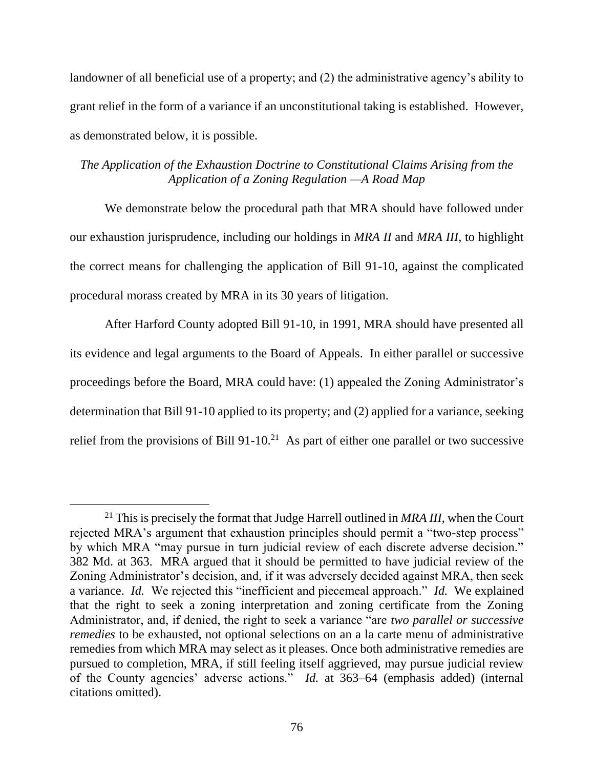landowner of all beneficial use of a property; and (2) the administrative agency's ability to grant relief in the form of a variance if an unconstitutional taking is established. However, as demonstrated below, it is possible.

## *The Application of the Exhaustion Doctrine to Constitutional Claims Arising from the Application of a Zoning Regulation —A Road Map*

We demonstrate below the procedural path that MRA should have followed under our exhaustion jurisprudence, including our holdings in *MRA II* and *MRA III*, to highlight the correct means for challenging the application of Bill 91-10, against the complicated procedural morass created by MRA in its 30 years of litigation.

After Harford County adopted Bill 91-10, in 1991, MRA should have presented all its evidence and legal arguments to the Board of Appeals. In either parallel or successive proceedings before the Board, MRA could have: (1) appealed the Zoning Administrator's determination that Bill 91-10 applied to its property; and (2) applied for a variance, seeking relief from the provisions of Bill  $91-10$ <sup>21</sup> As part of either one parallel or two successive

 $\overline{a}$ 

<sup>21</sup> This is precisely the format that Judge Harrell outlined in *MRA III*, when the Court rejected MRA's argument that exhaustion principles should permit a "two-step process" by which MRA "may pursue in turn judicial review of each discrete adverse decision." 382 Md. at 363. MRA argued that it should be permitted to have judicial review of the Zoning Administrator's decision, and, if it was adversely decided against MRA, then seek a variance. *Id.* We rejected this "inefficient and piecemeal approach." *Id.* We explained that the right to seek a zoning interpretation and zoning certificate from the Zoning Administrator, and, if denied, the right to seek a variance "are *two parallel or successive remedies* to be exhausted, not optional selections on an a la carte menu of administrative remedies from which MRA may select as it pleases. Once both administrative remedies are pursued to completion, MRA, if still feeling itself aggrieved, may pursue judicial review of the County agencies' adverse actions." *Id.* at 363–64 (emphasis added) (internal citations omitted).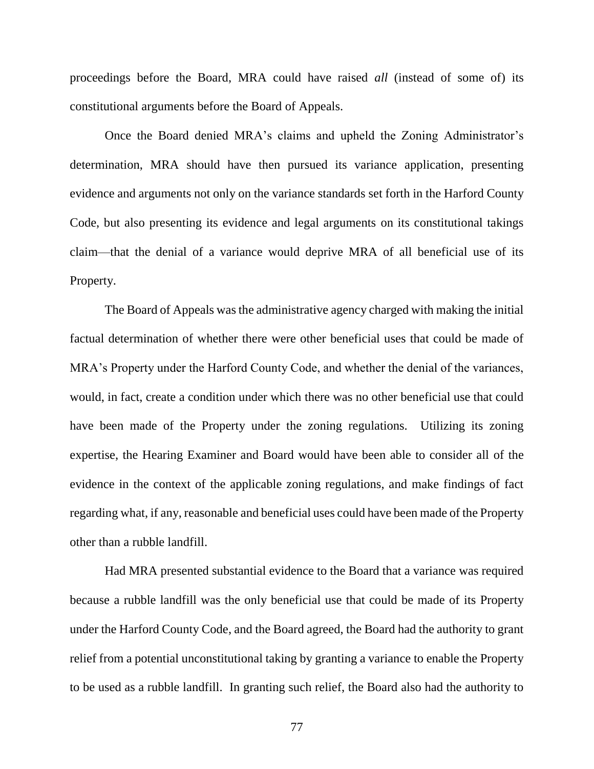proceedings before the Board, MRA could have raised *all* (instead of some of) its constitutional arguments before the Board of Appeals.

Once the Board denied MRA's claims and upheld the Zoning Administrator's determination, MRA should have then pursued its variance application, presenting evidence and arguments not only on the variance standards set forth in the Harford County Code, but also presenting its evidence and legal arguments on its constitutional takings claim—that the denial of a variance would deprive MRA of all beneficial use of its Property.

The Board of Appeals was the administrative agency charged with making the initial factual determination of whether there were other beneficial uses that could be made of MRA's Property under the Harford County Code, and whether the denial of the variances, would, in fact, create a condition under which there was no other beneficial use that could have been made of the Property under the zoning regulations. Utilizing its zoning expertise, the Hearing Examiner and Board would have been able to consider all of the evidence in the context of the applicable zoning regulations, and make findings of fact regarding what, if any, reasonable and beneficial uses could have been made of the Property other than a rubble landfill.

Had MRA presented substantial evidence to the Board that a variance was required because a rubble landfill was the only beneficial use that could be made of its Property under the Harford County Code, and the Board agreed, the Board had the authority to grant relief from a potential unconstitutional taking by granting a variance to enable the Property to be used as a rubble landfill. In granting such relief, the Board also had the authority to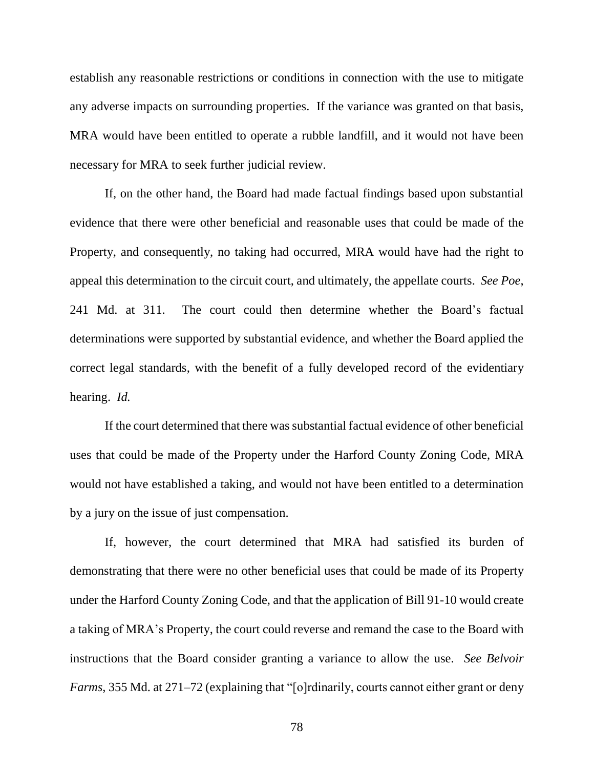establish any reasonable restrictions or conditions in connection with the use to mitigate any adverse impacts on surrounding properties. If the variance was granted on that basis, MRA would have been entitled to operate a rubble landfill, and it would not have been necessary for MRA to seek further judicial review.

If, on the other hand, the Board had made factual findings based upon substantial evidence that there were other beneficial and reasonable uses that could be made of the Property, and consequently, no taking had occurred, MRA would have had the right to appeal this determination to the circuit court, and ultimately, the appellate courts. *See Poe*, 241 Md. at 311. The court could then determine whether the Board's factual determinations were supported by substantial evidence, and whether the Board applied the correct legal standards, with the benefit of a fully developed record of the evidentiary hearing. *Id.*

If the court determined that there was substantial factual evidence of other beneficial uses that could be made of the Property under the Harford County Zoning Code, MRA would not have established a taking, and would not have been entitled to a determination by a jury on the issue of just compensation.

If, however, the court determined that MRA had satisfied its burden of demonstrating that there were no other beneficial uses that could be made of its Property under the Harford County Zoning Code, and that the application of Bill 91-10 would create a taking of MRA's Property, the court could reverse and remand the case to the Board with instructions that the Board consider granting a variance to allow the use. *See Belvoir Farms*, 355 Md. at 271–72 (explaining that "[o]rdinarily, courts cannot either grant or deny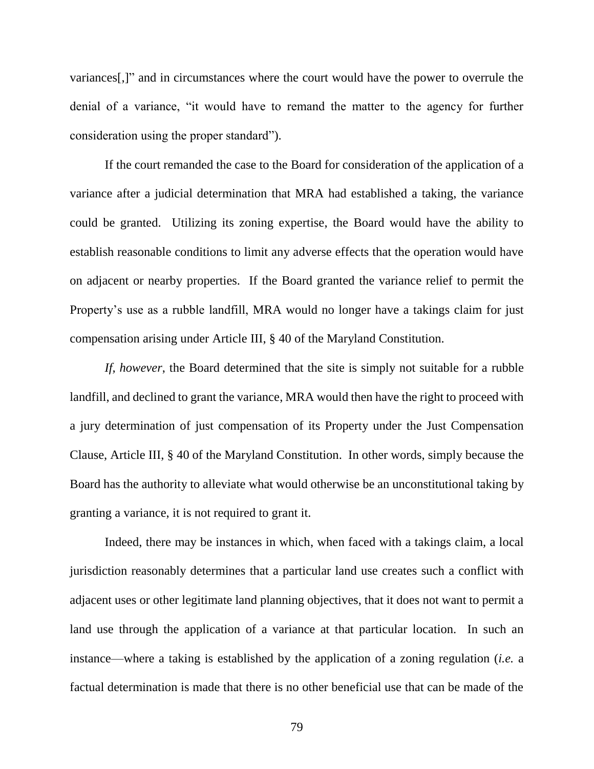variances[,]" and in circumstances where the court would have the power to overrule the denial of a variance, "it would have to remand the matter to the agency for further consideration using the proper standard").

If the court remanded the case to the Board for consideration of the application of a variance after a judicial determination that MRA had established a taking, the variance could be granted. Utilizing its zoning expertise, the Board would have the ability to establish reasonable conditions to limit any adverse effects that the operation would have on adjacent or nearby properties. If the Board granted the variance relief to permit the Property's use as a rubble landfill, MRA would no longer have a takings claim for just compensation arising under Article III, § 40 of the Maryland Constitution.

*If, however*, the Board determined that the site is simply not suitable for a rubble landfill, and declined to grant the variance, MRA would then have the right to proceed with a jury determination of just compensation of its Property under the Just Compensation Clause, Article III, § 40 of the Maryland Constitution. In other words, simply because the Board has the authority to alleviate what would otherwise be an unconstitutional taking by granting a variance, it is not required to grant it.

Indeed, there may be instances in which, when faced with a takings claim, a local jurisdiction reasonably determines that a particular land use creates such a conflict with adjacent uses or other legitimate land planning objectives, that it does not want to permit a land use through the application of a variance at that particular location. In such an instance—where a taking is established by the application of a zoning regulation (*i.e.* a factual determination is made that there is no other beneficial use that can be made of the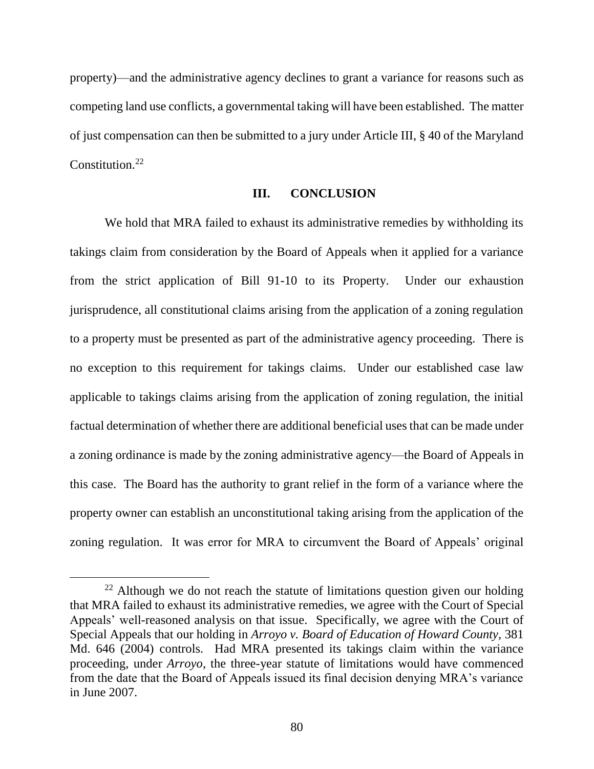property)—and the administrative agency declines to grant a variance for reasons such as competing land use conflicts, a governmental taking will have been established. The matter of just compensation can then be submitted to a jury under Article III, § 40 of the Maryland Constitution.<sup>22</sup>

## **III. CONCLUSION**

We hold that MRA failed to exhaust its administrative remedies by withholding its takings claim from consideration by the Board of Appeals when it applied for a variance from the strict application of Bill 91-10 to its Property. Under our exhaustion jurisprudence, all constitutional claims arising from the application of a zoning regulation to a property must be presented as part of the administrative agency proceeding. There is no exception to this requirement for takings claims. Under our established case law applicable to takings claims arising from the application of zoning regulation, the initial factual determination of whether there are additional beneficial uses that can be made under a zoning ordinance is made by the zoning administrative agency—the Board of Appeals in this case. The Board has the authority to grant relief in the form of a variance where the property owner can establish an unconstitutional taking arising from the application of the zoning regulation. It was error for MRA to circumvent the Board of Appeals' original

 $\overline{a}$ 

 $22$  Although we do not reach the statute of limitations question given our holding that MRA failed to exhaust its administrative remedies, we agree with the Court of Special Appeals' well-reasoned analysis on that issue. Specifically, we agree with the Court of Special Appeals that our holding in *Arroyo v. Board of Education of Howard County,* 381 Md. 646 (2004) controls. Had MRA presented its takings claim within the variance proceeding, under *Arroyo*, the three-year statute of limitations would have commenced from the date that the Board of Appeals issued its final decision denying MRA's variance in June 2007.